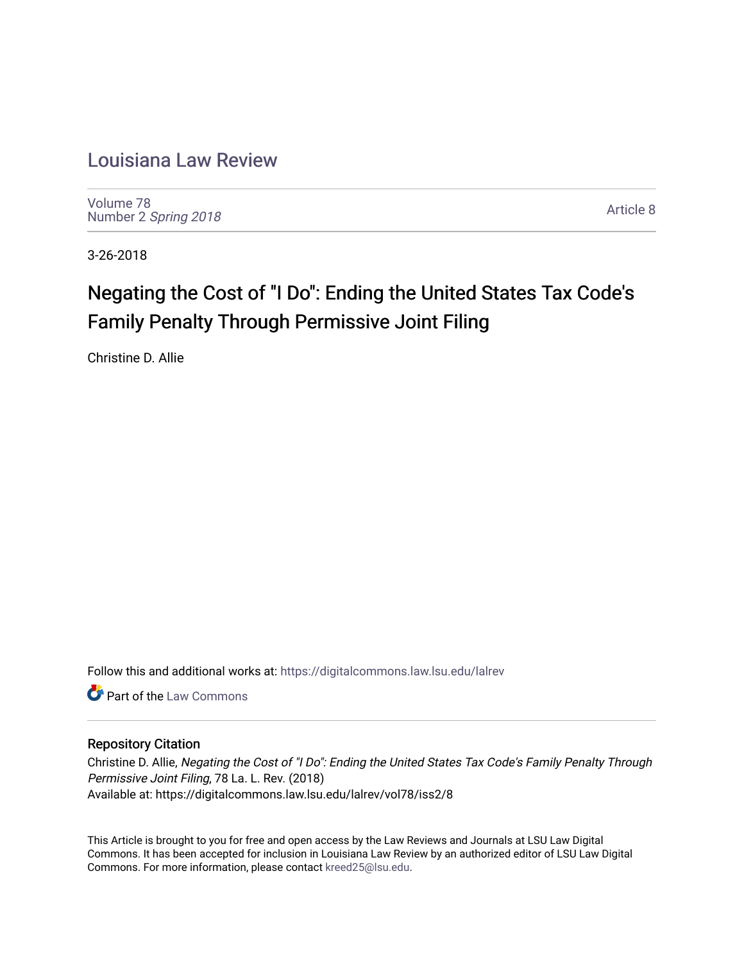# [Louisiana Law Review](https://digitalcommons.law.lsu.edu/lalrev)

[Volume 78](https://digitalcommons.law.lsu.edu/lalrev/vol78) Number 2 [Spring 2018](https://digitalcommons.law.lsu.edu/lalrev/vol78/iss2) 

[Article 8](https://digitalcommons.law.lsu.edu/lalrev/vol78/iss2/8) 

3-26-2018

# Negating the Cost of "I Do": Ending the United States Tax Code's Family Penalty Through Permissive Joint Filing

Christine D. Allie

Follow this and additional works at: [https://digitalcommons.law.lsu.edu/lalrev](https://digitalcommons.law.lsu.edu/lalrev?utm_source=digitalcommons.law.lsu.edu%2Flalrev%2Fvol78%2Fiss2%2F8&utm_medium=PDF&utm_campaign=PDFCoverPages)

**C** Part of the [Law Commons](http://network.bepress.com/hgg/discipline/578?utm_source=digitalcommons.law.lsu.edu%2Flalrev%2Fvol78%2Fiss2%2F8&utm_medium=PDF&utm_campaign=PDFCoverPages)

# Repository Citation

Christine D. Allie, Negating the Cost of "I Do": Ending the United States Tax Code's Family Penalty Through Permissive Joint Filing, 78 La. L. Rev. (2018) Available at: https://digitalcommons.law.lsu.edu/lalrev/vol78/iss2/8

This Article is brought to you for free and open access by the Law Reviews and Journals at LSU Law Digital Commons. It has been accepted for inclusion in Louisiana Law Review by an authorized editor of LSU Law Digital Commons. For more information, please contact [kreed25@lsu.edu](mailto:kreed25@lsu.edu).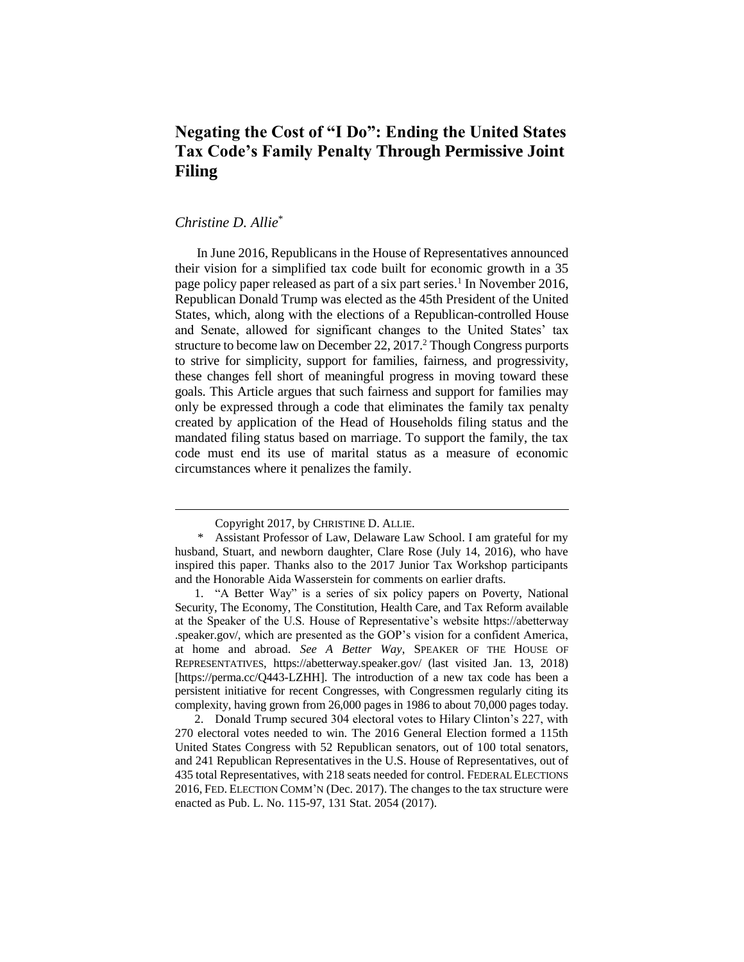# **Negating the Cost of "I Do": Ending the United States Tax Code's Family Penalty Through Permissive Joint Filing**

# *Christine D. Allie*\*

 $\overline{a}$ 

In June 2016, Republicans in the House of Representatives announced their vision for a simplified tax code built for economic growth in a 35 page policy paper released as part of a six part series.<sup>1</sup> In November 2016, Republican Donald Trump was elected as the 45th President of the United States, which, along with the elections of a Republican-controlled House and Senate, allowed for significant changes to the United States' tax structure to become law on December 22, 2017.<sup>2</sup> Though Congress purports to strive for simplicity, support for families, fairness, and progressivity, these changes fell short of meaningful progress in moving toward these goals. This Article argues that such fairness and support for families may only be expressed through a code that eliminates the family tax penalty created by application of the Head of Households filing status and the mandated filing status based on marriage. To support the family, the tax code must end its use of marital status as a measure of economic circumstances where it penalizes the family.

Copyright 2017, by CHRISTINE D. ALLIE.

<sup>\*</sup> Assistant Professor of Law, Delaware Law School. I am grateful for my husband, Stuart, and newborn daughter, Clare Rose (July 14, 2016), who have inspired this paper. Thanks also to the 2017 Junior Tax Workshop participants and the Honorable Aida Wasserstein for comments on earlier drafts.

<sup>1.</sup> "A Better Way" is a series of six policy papers on Poverty, National Security, The Economy, The Constitution, Health Care, and Tax Reform available at the Speaker of the U.S. House of Representative's website https://abetterway .speaker.gov/, which are presented as the GOP's vision for a confident America, at home and abroad. *See A Better Way*, SPEAKER OF THE HOUSE OF REPRESENTATIVES, https://abetterway.speaker.gov/ (last visited Jan. 13, 2018) [https://perma.cc/Q443-LZHH]. The introduction of a new tax code has been a persistent initiative for recent Congresses, with Congressmen regularly citing its complexity, having grown from 26,000 pages in 1986 to about 70,000 pages today.

<sup>2.</sup> Donald Trump secured 304 electoral votes to Hilary Clinton's 227, with 270 electoral votes needed to win. The 2016 General Election formed a 115th United States Congress with 52 Republican senators, out of 100 total senators, and 241 Republican Representatives in the U.S. House of Representatives, out of 435 total Representatives, with 218 seats needed for control. FEDERAL ELECTIONS 2016, FED. ELECTION COMM'N (Dec. 2017). The changes to the tax structure were enacted as Pub. L. No. 115-97, 131 Stat. 2054 (2017).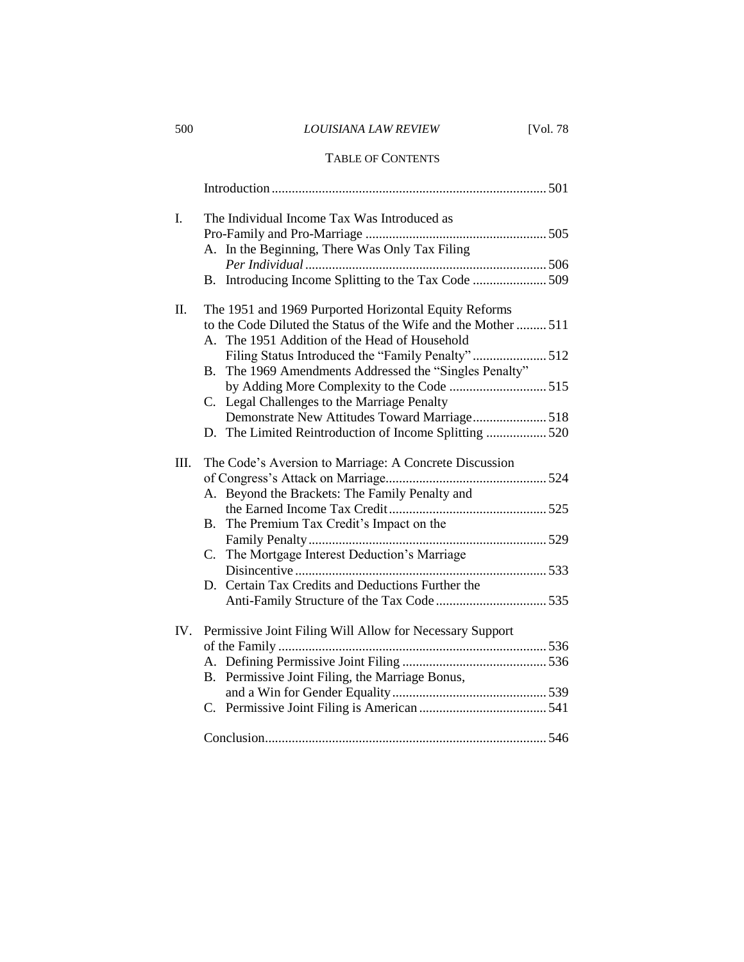# 500 *LOUISIANA LAW REVIEW* [Vol. 78

### TABLE OF CONTENTS

| I.   | The Individual Income Tax Was Introduced as                      |
|------|------------------------------------------------------------------|
|      | A. In the Beginning, There Was Only Tax Filing                   |
|      | B. Introducing Income Splitting to the Tax Code 509              |
|      |                                                                  |
| Π.   | The 1951 and 1969 Purported Horizontal Equity Reforms            |
|      | to the Code Diluted the Status of the Wife and the Mother 511    |
|      | A. The 1951 Addition of the Head of Household                    |
|      | Filing Status Introduced the "Family Penalty" 512                |
|      | The 1969 Amendments Addressed the "Singles Penalty"<br><b>B.</b> |
|      | by Adding More Complexity to the Code 515                        |
|      | C. Legal Challenges to the Marriage Penalty                      |
|      | Demonstrate New Attitudes Toward Marriage518                     |
|      | D. The Limited Reintroduction of Income Splitting  520           |
| III. | The Code's Aversion to Marriage: A Concrete Discussion           |
|      |                                                                  |
|      | A. Beyond the Brackets: The Family Penalty and                   |
|      |                                                                  |
|      | The Premium Tax Credit's Impact on the<br>B.                     |
|      |                                                                  |
|      | C. The Mortgage Interest Deduction's Marriage                    |
|      |                                                                  |
|      | D. Certain Tax Credits and Deductions Further the                |
|      |                                                                  |
|      |                                                                  |
| IV.  | Permissive Joint Filing Will Allow for Necessary Support         |
|      |                                                                  |
|      | B. Permissive Joint Filing, the Marriage Bonus,                  |
|      |                                                                  |
|      |                                                                  |
|      |                                                                  |
|      |                                                                  |
|      |                                                                  |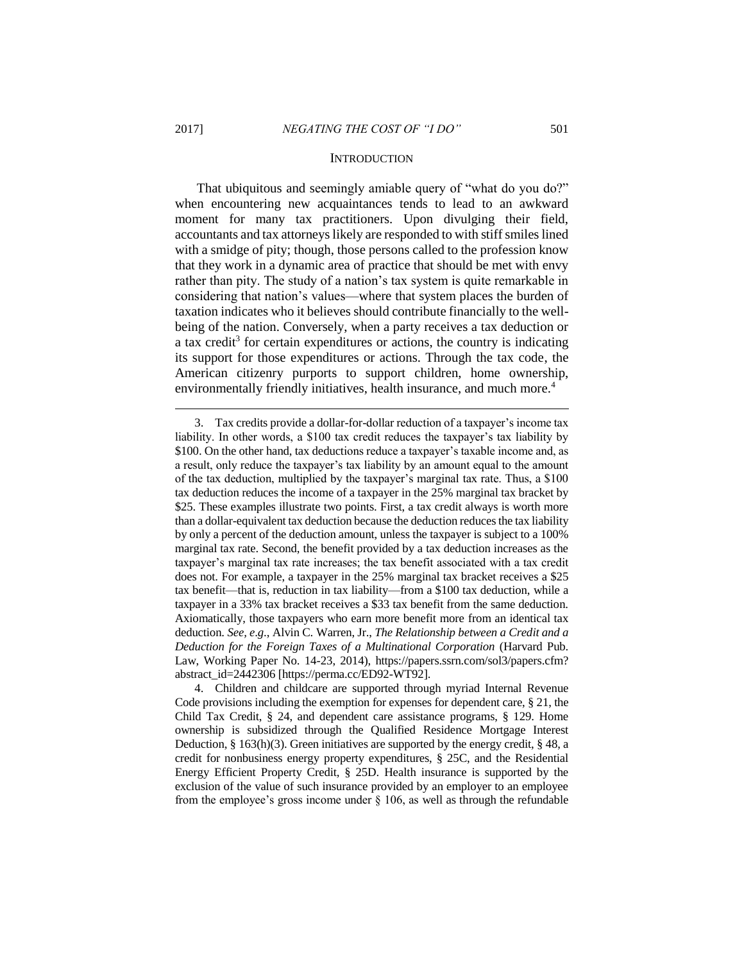#### **INTRODUCTION**

That ubiquitous and seemingly amiable query of "what do you do?" when encountering new acquaintances tends to lead to an awkward moment for many tax practitioners. Upon divulging their field, accountants and tax attorneys likely are responded to with stiff smiles lined with a smidge of pity; though, those persons called to the profession know that they work in a dynamic area of practice that should be met with envy rather than pity. The study of a nation's tax system is quite remarkable in considering that nation's values—where that system places the burden of taxation indicates who it believes should contribute financially to the wellbeing of the nation. Conversely, when a party receives a tax deduction or a tax credit<sup>3</sup> for certain expenditures or actions, the country is indicating its support for those expenditures or actions. Through the tax code, the American citizenry purports to support children, home ownership, environmentally friendly initiatives, health insurance, and much more.<sup>4</sup>

<sup>3.</sup> Tax credits provide a dollar-for-dollar reduction of a taxpayer's income tax liability. In other words, a \$100 tax credit reduces the taxpayer's tax liability by \$100. On the other hand, tax deductions reduce a taxpayer's taxable income and, as a result, only reduce the taxpayer's tax liability by an amount equal to the amount of the tax deduction, multiplied by the taxpayer's marginal tax rate. Thus, a \$100 tax deduction reduces the income of a taxpayer in the 25% marginal tax bracket by \$25. These examples illustrate two points. First, a tax credit always is worth more than a dollar-equivalent tax deduction because the deduction reduces the tax liability by only a percent of the deduction amount, unless the taxpayer is subject to a 100% marginal tax rate. Second, the benefit provided by a tax deduction increases as the taxpayer's marginal tax rate increases; the tax benefit associated with a tax credit does not. For example, a taxpayer in the 25% marginal tax bracket receives a \$25 tax benefit—that is, reduction in tax liability—from a \$100 tax deduction, while a taxpayer in a 33% tax bracket receives a \$33 tax benefit from the same deduction. Axiomatically, those taxpayers who earn more benefit more from an identical tax deduction. *See, e*.*g*., Alvin C. Warren, Jr., *The Relationship between a Credit and a Deduction for the Foreign Taxes of a Multinational Corporation* (Harvard Pub. Law, Working Paper No. 14-23, 2014), https://papers.ssrn.com/sol3/papers.cfm? abstract\_id=2442306 [https://perma.cc/ED92-WT92].

<sup>4.</sup> Children and childcare are supported through myriad Internal Revenue Code provisions including the exemption for expenses for dependent care, § 21, the Child Tax Credit, § 24, and dependent care assistance programs, § 129. Home ownership is subsidized through the Qualified Residence Mortgage Interest Deduction, § 163(h)(3). Green initiatives are supported by the energy credit, § 48, a credit for nonbusiness energy property expenditures, § 25C, and the Residential Energy Efficient Property Credit, § 25D. Health insurance is supported by the exclusion of the value of such insurance provided by an employer to an employee from the employee's gross income under § 106, as well as through the refundable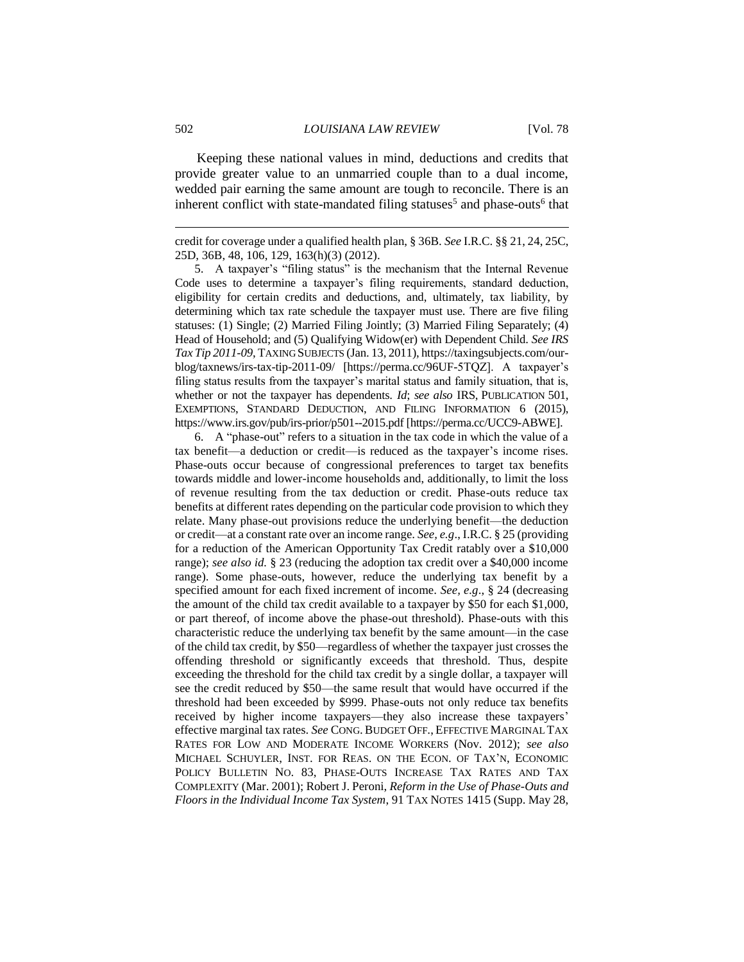Keeping these national values in mind, deductions and credits that provide greater value to an unmarried couple than to a dual income, wedded pair earning the same amount are tough to reconcile. There is an inherent conflict with state-mandated filing statuses<sup>5</sup> and phase-outs<sup>6</sup> that

5. A taxpayer's "filing status" is the mechanism that the Internal Revenue Code uses to determine a taxpayer's filing requirements, standard deduction, eligibility for certain credits and deductions, and, ultimately, tax liability, by determining which tax rate schedule the taxpayer must use. There are five filing statuses: (1) Single; (2) Married Filing Jointly; (3) Married Filing Separately; (4) Head of Household; and (5) Qualifying Widow(er) with Dependent Child. *See IRS Tax Tip 2011-09*, TAXING SUBJECTS (Jan. 13, 2011), https://taxingsubjects.com/ourblog/taxnews/irs-tax-tip-2011-09/ [https://perma.cc/96UF-5TQZ]. A taxpayer's filing status results from the taxpayer's marital status and family situation, that is, whether or not the taxpayer has dependents. *Id*; *see also* IRS, PUBLICATION 501, EXEMPTIONS, STANDARD DEDUCTION, AND FILING INFORMATION 6 (2015), https://www.irs.gov/pub/irs-prior/p501--2015.pdf [https://perma.cc/UCC9-ABWE].

6. A "phase-out" refers to a situation in the tax code in which the value of a tax benefit—a deduction or credit—is reduced as the taxpayer's income rises. Phase-outs occur because of congressional preferences to target tax benefits towards middle and lower-income households and, additionally, to limit the loss of revenue resulting from the tax deduction or credit. Phase-outs reduce tax benefits at different rates depending on the particular code provision to which they relate. Many phase-out provisions reduce the underlying benefit—the deduction or credit—at a constant rate over an income range. *See, e.g*., I.R.C. § 25 (providing for a reduction of the American Opportunity Tax Credit ratably over a \$10,000 range); *see also id.* § 23 (reducing the adoption tax credit over a \$40,000 income range). Some phase-outs, however, reduce the underlying tax benefit by a specified amount for each fixed increment of income. *See, e.g*., § 24 (decreasing the amount of the child tax credit available to a taxpayer by \$50 for each \$1,000, or part thereof, of income above the phase-out threshold). Phase-outs with this characteristic reduce the underlying tax benefit by the same amount—in the case of the child tax credit, by \$50—regardless of whether the taxpayer just crosses the offending threshold or significantly exceeds that threshold. Thus, despite exceeding the threshold for the child tax credit by a single dollar, a taxpayer will see the credit reduced by \$50—the same result that would have occurred if the threshold had been exceeded by \$999. Phase-outs not only reduce tax benefits received by higher income taxpayers—they also increase these taxpayers' effective marginal tax rates. *See* CONG. BUDGET OFF., EFFECTIVE MARGINAL TAX RATES FOR LOW AND MODERATE INCOME WORKERS (Nov. 2012); *see also* MICHAEL SCHUYLER, INST. FOR REAS. ON THE ECON. OF TAX'N, ECONOMIC POLICY BULLETIN NO. 83, PHASE-OUTS INCREASE TAX RATES AND TAX COMPLEXITY (Mar. 2001); Robert J. Peroni, *Reform in the Use of Phase-Outs and Floors in the Individual Income Tax System*, 91 TAX NOTES 1415 (Supp. May 28,

credit for coverage under a qualified health plan, § 36B. *See* I.R.C. §§ 21, 24, 25C, 25D, 36B, 48, 106, 129, 163(h)(3) (2012).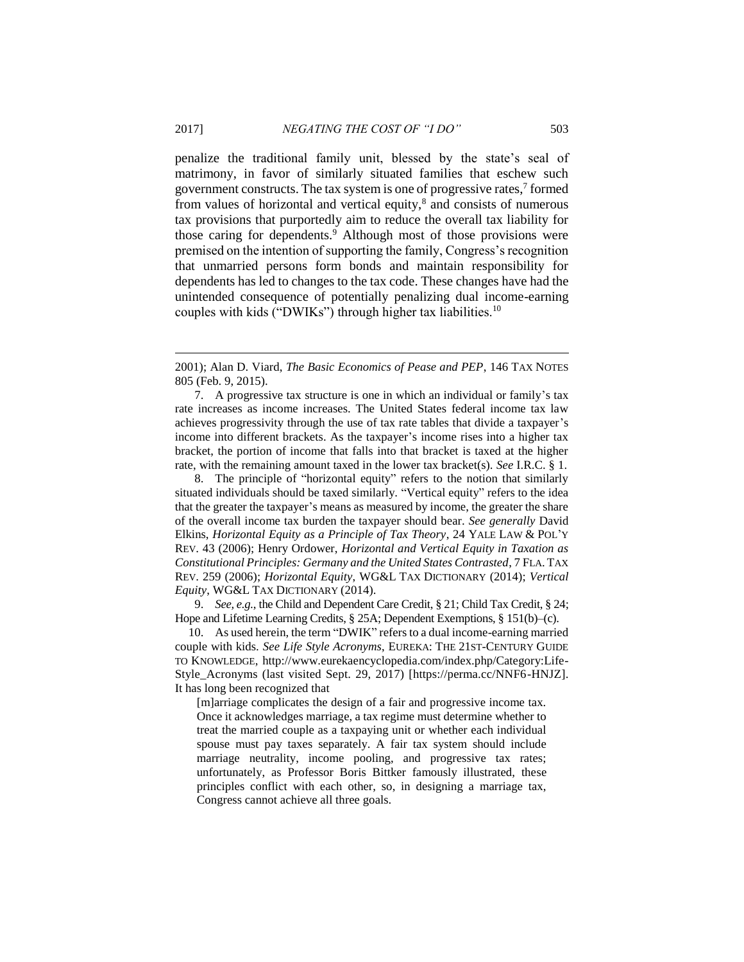penalize the traditional family unit, blessed by the state's seal of matrimony, in favor of similarly situated families that eschew such government constructs. The tax system is one of progressive rates, $<sup>7</sup>$  formed</sup> from values of horizontal and vertical equity,<sup>8</sup> and consists of numerous tax provisions that purportedly aim to reduce the overall tax liability for those caring for dependents.<sup>9</sup> Although most of those provisions were premised on the intention of supporting the family, Congress's recognition that unmarried persons form bonds and maintain responsibility for dependents has led to changes to the tax code. These changes have had the unintended consequence of potentially penalizing dual income-earning couples with kids ("DWIKs") through higher tax liabilities.<sup>10</sup>

7. A progressive tax structure is one in which an individual or family's tax rate increases as income increases. The United States federal income tax law achieves progressivity through the use of tax rate tables that divide a taxpayer's income into different brackets. As the taxpayer's income rises into a higher tax bracket, the portion of income that falls into that bracket is taxed at the higher rate, with the remaining amount taxed in the lower tax bracket(s). *See* I.R.C. § 1.

8. The principle of "horizontal equity" refers to the notion that similarly situated individuals should be taxed similarly. "Vertical equity" refers to the idea that the greater the taxpayer's means as measured by income, the greater the share of the overall income tax burden the taxpayer should bear. *See generally* David Elkins, *Horizontal Equity as a Principle of Tax Theory*, 24 YALE LAW & POL'Y REV. 43 (2006); Henry Ordower, *Horizontal and Vertical Equity in Taxation as Constitutional Principles: Germany and the United States Contrasted*, 7 FLA. TAX REV. 259 (2006); *Horizontal Equity*, WG&L TAX DICTIONARY (2014); *Vertical Equity*, WG&L TAX DICTIONARY (2014).

9. *See, e.g.*, the Child and Dependent Care Credit, § 21; Child Tax Credit, § 24; Hope and Lifetime Learning Credits, § 25A; Dependent Exemptions, § 151(b)–(c).

10. As used herein, the term "DWIK" refers to a dual income-earning married couple with kids. *See Life Style Acronyms*, EUREKA: THE 21ST-CENTURY GUIDE TO KNOWLEDGE, http://www.eurekaencyclopedia.com/index.php/Category:Life-Style\_Acronyms (last visited Sept. 29, 2017) [https://perma.cc/NNF6-HNJZ]. It has long been recognized that

[m]arriage complicates the design of a fair and progressive income tax. Once it acknowledges marriage, a tax regime must determine whether to treat the married couple as a taxpaying unit or whether each individual spouse must pay taxes separately. A fair tax system should include marriage neutrality, income pooling, and progressive tax rates; unfortunately, as Professor Boris Bittker famously illustrated, these principles conflict with each other, so, in designing a marriage tax, Congress cannot achieve all three goals.

<sup>2001);</sup> Alan D. Viard, *The Basic Economics of Pease and PEP*, 146 TAX NOTES 805 (Feb. 9, 2015).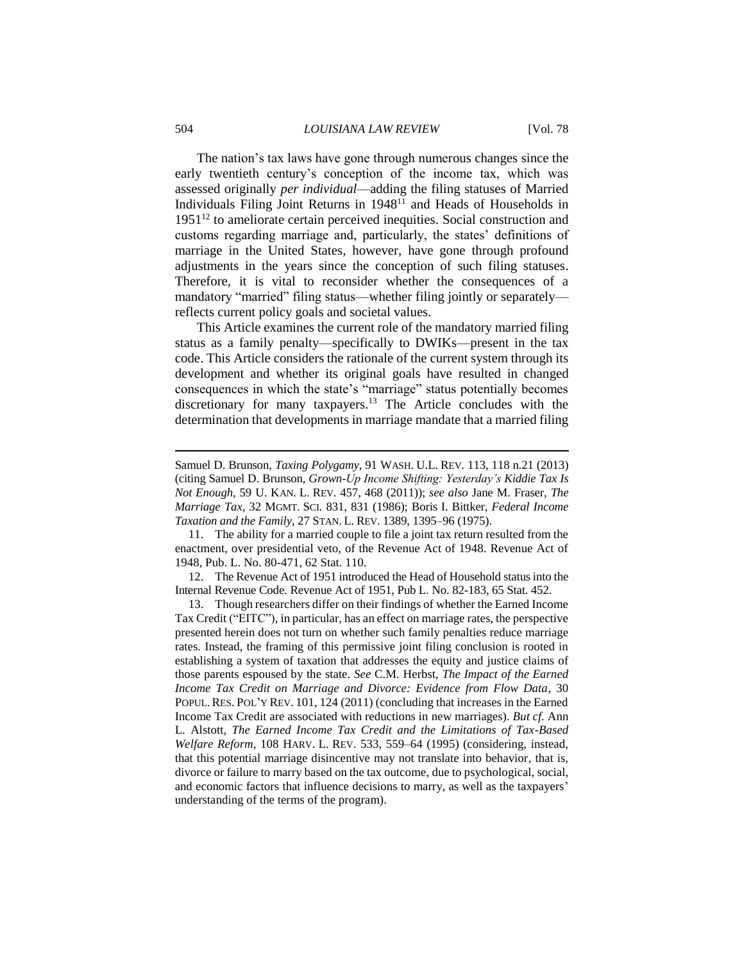The nation's tax laws have gone through numerous changes since the early twentieth century's conception of the income tax, which was assessed originally *per individual*—adding the filing statuses of Married Individuals Filing Joint Returns in 1948<sup>11</sup> and Heads of Households in  $1951<sup>12</sup>$  to ameliorate certain perceived inequities. Social construction and customs regarding marriage and, particularly, the states' definitions of marriage in the United States, however, have gone through profound adjustments in the years since the conception of such filing statuses. Therefore, it is vital to reconsider whether the consequences of a mandatory "married" filing status—whether filing jointly or separately reflects current policy goals and societal values.

This Article examines the current role of the mandatory married filing status as a family penalty—specifically to DWIKs—present in the tax code. This Article considers the rationale of the current system through its development and whether its original goals have resulted in changed consequences in which the state's "marriage" status potentially becomes discretionary for many taxpayers.<sup>13</sup> The Article concludes with the determination that developments in marriage mandate that a married filing

11. The ability for a married couple to file a joint tax return resulted from the enactment, over presidential veto, of the Revenue Act of 1948. Revenue Act of 1948, Pub. L. No. 80-471, 62 Stat. 110.

12. The Revenue Act of 1951 introduced the Head of Household status into the Internal Revenue Code. Revenue Act of 1951, Pub L. No. 82-183, 65 Stat. 452.

13. Though researchers differ on their findings of whether the Earned Income Tax Credit ("EITC"), in particular, has an effect on marriage rates, the perspective presented herein does not turn on whether such family penalties reduce marriage rates. Instead, the framing of this permissive joint filing conclusion is rooted in establishing a system of taxation that addresses the equity and justice claims of those parents espoused by the state. *See* C.M. Herbst, *The Impact of the Earned Income Tax Credit on Marriage and Divorce: Evidence from Flow Data*, 30 POPUL. RES. POL'Y REV. 101, 124 (2011) (concluding that increases in the Earned Income Tax Credit are associated with reductions in new marriages). *But cf.* Ann L. Alstott, *The Earned Income Tax Credit and the Limitations of Tax-Based Welfare Reform*, 108 HARV. L. REV. 533, 559–64 (1995) (considering, instead, that this potential marriage disincentive may not translate into behavior, that is, divorce or failure to marry based on the tax outcome, due to psychological, social, and economic factors that influence decisions to marry, as well as the taxpayers' understanding of the terms of the program).

Samuel D. Brunson, *Taxing Polygamy*, 91 WASH. U.L. REV. 113, 118 n.21 (2013) (citing Samuel D. Brunson, *Grown-Up Income Shifting: Yesterday's Kiddie Tax Is Not Enough*, 59 U. KAN. L. REV. 457, 468 (2011)); *see also* Jane M. Fraser, *The Marriage Tax*, 32 MGMT. SCI. 831, 831 (1986); Boris I. Bittker, *Federal Income Taxation and the Family*, 27 STAN. L. REV. 1389, 1395–96 (1975).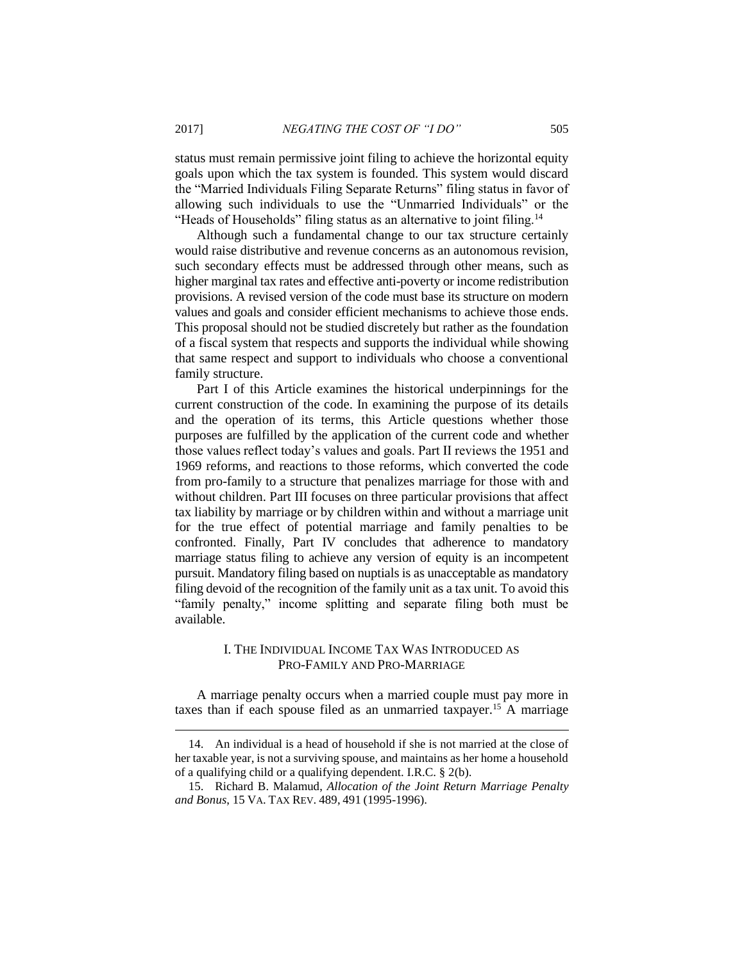status must remain permissive joint filing to achieve the horizontal equity goals upon which the tax system is founded. This system would discard the "Married Individuals Filing Separate Returns" filing status in favor of allowing such individuals to use the "Unmarried Individuals" or the "Heads of Households" filing status as an alternative to joint filing.<sup>14</sup>

Although such a fundamental change to our tax structure certainly would raise distributive and revenue concerns as an autonomous revision, such secondary effects must be addressed through other means, such as higher marginal tax rates and effective anti-poverty or income redistribution provisions. A revised version of the code must base its structure on modern values and goals and consider efficient mechanisms to achieve those ends. This proposal should not be studied discretely but rather as the foundation of a fiscal system that respects and supports the individual while showing that same respect and support to individuals who choose a conventional family structure.

Part I of this Article examines the historical underpinnings for the current construction of the code. In examining the purpose of its details and the operation of its terms, this Article questions whether those purposes are fulfilled by the application of the current code and whether those values reflect today's values and goals. Part II reviews the 1951 and 1969 reforms, and reactions to those reforms, which converted the code from pro-family to a structure that penalizes marriage for those with and without children. Part III focuses on three particular provisions that affect tax liability by marriage or by children within and without a marriage unit for the true effect of potential marriage and family penalties to be confronted. Finally, Part IV concludes that adherence to mandatory marriage status filing to achieve any version of equity is an incompetent pursuit. Mandatory filing based on nuptials is as unacceptable as mandatory filing devoid of the recognition of the family unit as a tax unit. To avoid this "family penalty," income splitting and separate filing both must be available.

## I. THE INDIVIDUAL INCOME TAX WAS INTRODUCED AS PRO-FAMILY AND PRO-MARRIAGE

A marriage penalty occurs when a married couple must pay more in taxes than if each spouse filed as an unmarried taxpayer.<sup>15</sup> A marriage

<sup>14.</sup> An individual is a head of household if she is not married at the close of her taxable year, is not a surviving spouse, and maintains as her home a household of a qualifying child or a qualifying dependent. I.R.C. § 2(b).

<sup>15.</sup> Richard B. Malamud, *Allocation of the Joint Return Marriage Penalty and Bonus*, 15 VA. TAX REV. 489, 491 (1995-1996).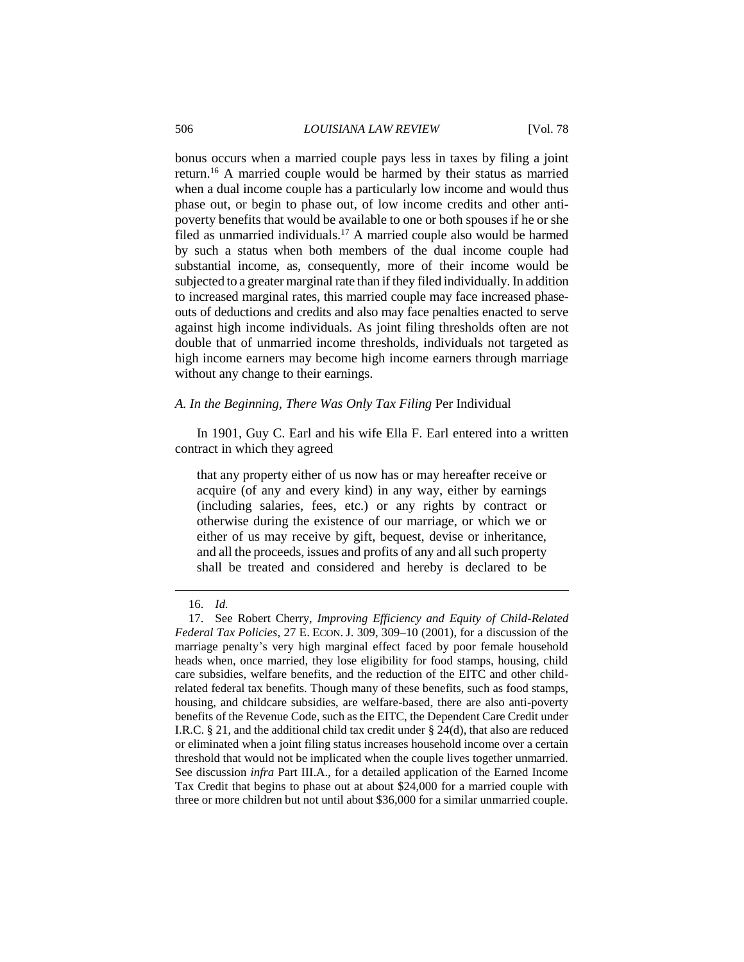#### 506 *LOUISIANA LAW REVIEW* [Vol. 78

bonus occurs when a married couple pays less in taxes by filing a joint return.<sup>16</sup> A married couple would be harmed by their status as married when a dual income couple has a particularly low income and would thus phase out, or begin to phase out, of low income credits and other antipoverty benefits that would be available to one or both spouses if he or she filed as unmarried individuals.<sup>17</sup> A married couple also would be harmed by such a status when both members of the dual income couple had substantial income, as, consequently, more of their income would be subjected to a greater marginal rate than if they filed individually. In addition to increased marginal rates, this married couple may face increased phaseouts of deductions and credits and also may face penalties enacted to serve against high income individuals. As joint filing thresholds often are not double that of unmarried income thresholds, individuals not targeted as high income earners may become high income earners through marriage without any change to their earnings.

#### *A. In the Beginning, There Was Only Tax Filing* Per Individual

In 1901, Guy C. Earl and his wife Ella F. Earl entered into a written contract in which they agreed

that any property either of us now has or may hereafter receive or acquire (of any and every kind) in any way, either by earnings (including salaries, fees, etc.) or any rights by contract or otherwise during the existence of our marriage, or which we or either of us may receive by gift, bequest, devise or inheritance, and all the proceeds, issues and profits of any and all such property shall be treated and considered and hereby is declared to be

<sup>16.</sup> *Id.*

<sup>17.</sup> See Robert Cherry, *Improving Efficiency and Equity of Child-Related Federal Tax Policies*, 27 E. ECON. J. 309, 309–10 (2001), for a discussion of the marriage penalty's very high marginal effect faced by poor female household heads when, once married, they lose eligibility for food stamps, housing, child care subsidies, welfare benefits, and the reduction of the EITC and other childrelated federal tax benefits. Though many of these benefits, such as food stamps, housing, and childcare subsidies, are welfare-based, there are also anti-poverty benefits of the Revenue Code, such as the EITC, the Dependent Care Credit under I.R.C. § 21, and the additional child tax credit under § 24(d), that also are reduced or eliminated when a joint filing status increases household income over a certain threshold that would not be implicated when the couple lives together unmarried. See discussion *infra* Part III.A., for a detailed application of the Earned Income Tax Credit that begins to phase out at about \$24,000 for a married couple with three or more children but not until about \$36,000 for a similar unmarried couple.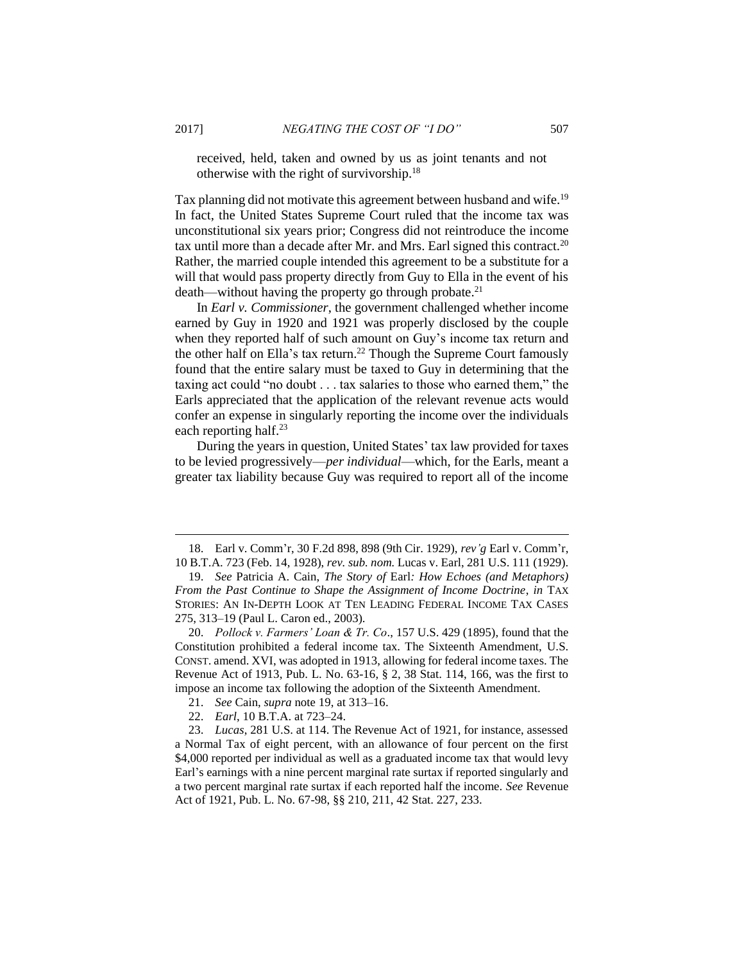received, held, taken and owned by us as joint tenants and not otherwise with the right of survivorship.<sup>18</sup>

Tax planning did not motivate this agreement between husband and wife.<sup>19</sup> In fact, the United States Supreme Court ruled that the income tax was unconstitutional six years prior; Congress did not reintroduce the income tax until more than a decade after Mr. and Mrs. Earl signed this contract.<sup>20</sup> Rather, the married couple intended this agreement to be a substitute for a will that would pass property directly from Guy to Ella in the event of his death—without having the property go through probate.<sup>21</sup>

In *Earl v. Commissioner*, the government challenged whether income earned by Guy in 1920 and 1921 was properly disclosed by the couple when they reported half of such amount on Guy's income tax return and the other half on Ella's tax return. <sup>22</sup> Though the Supreme Court famously found that the entire salary must be taxed to Guy in determining that the taxing act could "no doubt . . . tax salaries to those who earned them," the Earls appreciated that the application of the relevant revenue acts would confer an expense in singularly reporting the income over the individuals each reporting half.<sup>23</sup>

During the years in question, United States' tax law provided for taxes to be levied progressively—*per individual*—which, for the Earls, meant a greater tax liability because Guy was required to report all of the income

<sup>18.</sup> Earl v. Comm'r, 30 F.2d 898, 898 (9th Cir. 1929), *rev'g* Earl v. Comm'r, 10 B.T.A. 723 (Feb. 14, 1928), *rev. sub. nom.* Lucas v. Earl, 281 U.S. 111 (1929).

<sup>19.</sup> *See* Patricia A. Cain, *The Story of* Earl*: How Echoes (and Metaphors) From the Past Continue to Shape the Assignment of Income Doctrine*, *in* TAX STORIES: AN IN-DEPTH LOOK AT TEN LEADING FEDERAL INCOME TAX CASES 275, 313–19 (Paul L. Caron ed., 2003).

<sup>20.</sup> *Pollock v. Farmers' Loan & Tr. Co*., 157 U.S. 429 (1895), found that the Constitution prohibited a federal income tax. The Sixteenth Amendment, U.S. CONST. amend. XVI, was adopted in 1913, allowing for federal income taxes. The Revenue Act of 1913, Pub. L. No. 63-16, § 2, 38 Stat. 114, 166, was the first to impose an income tax following the adoption of the Sixteenth Amendment.

<sup>21.</sup> *See* Cain, *supra* note 19, at 313–16.

<sup>22.</sup> *Earl*, 10 B.T.A. at 723–24.

<sup>23.</sup> *Lucas*, 281 U.S. at 114. The Revenue Act of 1921, for instance, assessed a Normal Tax of eight percent, with an allowance of four percent on the first \$4,000 reported per individual as well as a graduated income tax that would levy Earl's earnings with a nine percent marginal rate surtax if reported singularly and a two percent marginal rate surtax if each reported half the income. *See* Revenue Act of 1921, Pub. L. No. 67-98, §§ 210, 211, 42 Stat. 227, 233.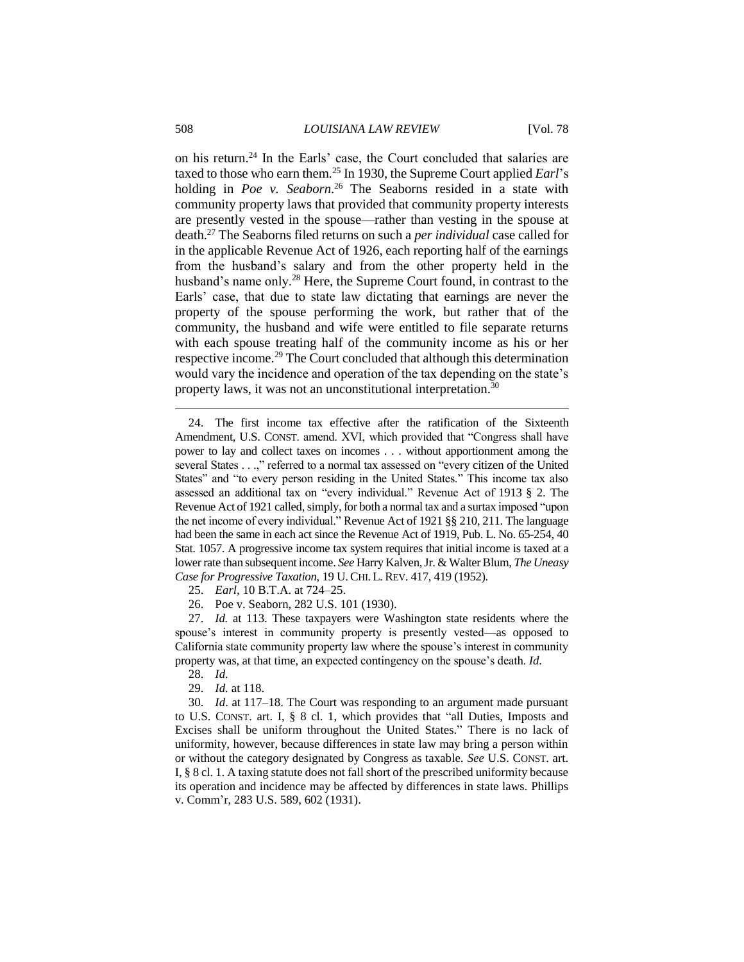on his return.<sup>24</sup> In the Earls' case, the Court concluded that salaries are taxed to those who earn them.<sup>25</sup> In 1930, the Supreme Court applied *Earl*'s holding in *Poe v. Seaborn*. <sup>26</sup> The Seaborns resided in a state with community property laws that provided that community property interests are presently vested in the spouse—rather than vesting in the spouse at death.<sup>27</sup> The Seaborns filed returns on such a *per individual* case called for in the applicable Revenue Act of 1926, each reporting half of the earnings from the husband's salary and from the other property held in the husband's name only.<sup>28</sup> Here, the Supreme Court found, in contrast to the Earls' case, that due to state law dictating that earnings are never the property of the spouse performing the work, but rather that of the community, the husband and wife were entitled to file separate returns with each spouse treating half of the community income as his or her respective income.<sup>29</sup> The Court concluded that although this determination would vary the incidence and operation of the tax depending on the state's property laws, it was not an unconstitutional interpretation.<sup>30</sup>

- 25. *Earl*, 10 B.T.A. at 724–25.
- 26. Poe v. Seaborn, 282 U.S. 101 (1930).

27. *Id.* at 113. These taxpayers were Washington state residents where the spouse's interest in community property is presently vested—as opposed to California state community property law where the spouse's interest in community property was, at that time, an expected contingency on the spouse's death. *Id*.

- 28. *Id.*
- 29. *Id.* at 118.

30. *Id*. at 117–18. The Court was responding to an argument made pursuant to U.S. CONST. art. I, § 8 cl. 1, which provides that "all Duties, Imposts and Excises shall be uniform throughout the United States." There is no lack of uniformity, however, because differences in state law may bring a person within or without the category designated by Congress as taxable. *See* U.S. CONST. art. I, § 8 cl. 1. A taxing statute does not fall short of the prescribed uniformity because its operation and incidence may be affected by differences in state laws. Phillips v. Comm'r, 283 U.S. 589, 602 (1931).

<sup>24.</sup> The first income tax effective after the ratification of the Sixteenth Amendment, U.S. CONST. amend. XVI, which provided that "Congress shall have power to lay and collect taxes on incomes . . . without apportionment among the several States . . .," referred to a normal tax assessed on "every citizen of the United States" and "to every person residing in the United States." This income tax also assessed an additional tax on "every individual." Revenue Act of 1913 § 2. The Revenue Act of 1921 called, simply, for both a normal tax and a surtax imposed "upon the net income of every individual." Revenue Act of 1921 §§ 210, 211. The language had been the same in each act since the Revenue Act of 1919, Pub. L. No. 65-254, 40 Stat. 1057. A progressive income tax system requires that initial income is taxed at a lower rate than subsequent income. *See* Harry Kalven, Jr. & Walter Blum, *The Uneasy Case for Progressive Taxation*, 19 U. CHI. L. REV. 417, 419 (1952).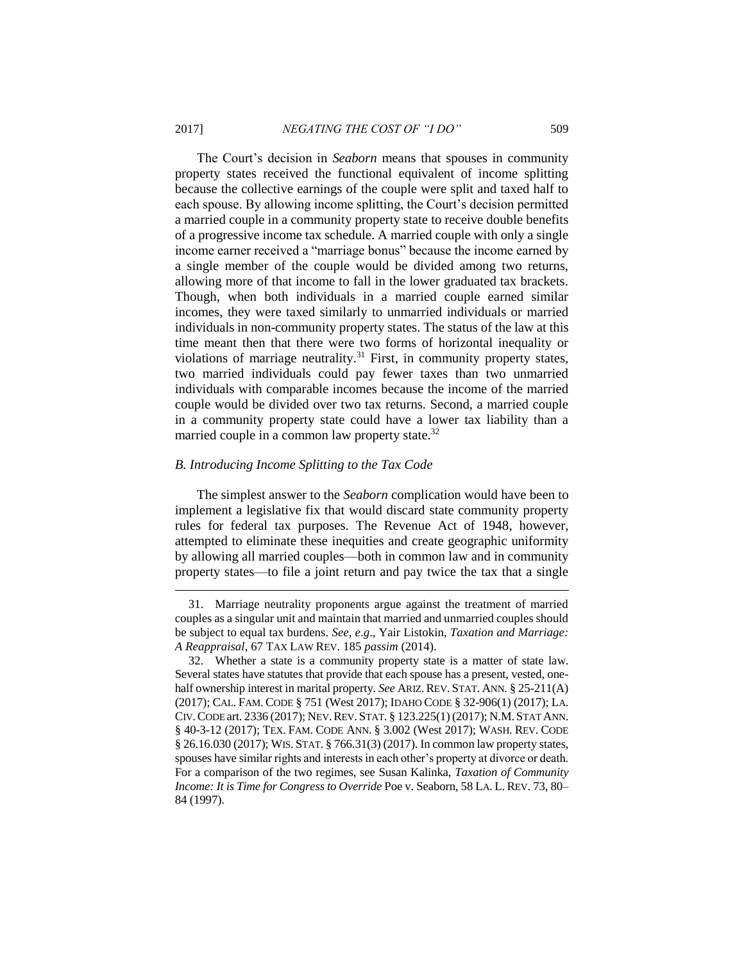The Court's decision in *Seaborn* means that spouses in community property states received the functional equivalent of income splitting because the collective earnings of the couple were split and taxed half to each spouse. By allowing income splitting, the Court's decision permitted a married couple in a community property state to receive double benefits of a progressive income tax schedule. A married couple with only a single income earner received a "marriage bonus" because the income earned by a single member of the couple would be divided among two returns, allowing more of that income to fall in the lower graduated tax brackets. Though, when both individuals in a married couple earned similar incomes, they were taxed similarly to unmarried individuals or married individuals in non-community property states. The status of the law at this time meant then that there were two forms of horizontal inequality or violations of marriage neutrality.<sup>31</sup> First, in community property states, two married individuals could pay fewer taxes than two unmarried individuals with comparable incomes because the income of the married couple would be divided over two tax returns. Second, a married couple in a community property state could have a lower tax liability than a married couple in a common law property state.<sup>32</sup>

#### *B. Introducing Income Splitting to the Tax Code*

The simplest answer to the *Seaborn* complication would have been to implement a legislative fix that would discard state community property rules for federal tax purposes. The Revenue Act of 1948, however, attempted to eliminate these inequities and create geographic uniformity by allowing all married couples—both in common law and in community property states—to file a joint return and pay twice the tax that a single

<sup>31.</sup> Marriage neutrality proponents argue against the treatment of married couples as a singular unit and maintain that married and unmarried couples should be subject to equal tax burdens. *See, e*.*g*., Yair Listokin, *Taxation and Marriage: A Reappraisal*, 67 TAX LAW REV. 185 *passim* (2014).

<sup>32.</sup> Whether a state is a community property state is a matter of state law. Several states have statutes that provide that each spouse has a present, vested, onehalf ownership interest in marital property. *See* ARIZ. REV. STAT. ANN. § 25-211(A) (2017); CAL. FAM. CODE § 751 (West 2017); IDAHO CODE § 32-906(1) (2017); LA. CIV.CODE art. 2336 (2017); NEV.REV. STAT. § 123.225(1) (2017); N.M.STAT ANN. § 40-3-12 (2017); TEX. FAM. CODE ANN. § 3.002 (West 2017); WASH. REV. CODE § 26.16.030 (2017); WIS. STAT. § 766.31(3) (2017). In common law property states, spouses have similar rights and interests in each other's property at divorce or death. For a comparison of the two regimes, see Susan Kalinka, *Taxation of Community Income: It is Time for Congress to Override* Poe v. Seaborn, 58 LA. L. REV. 73, 80– 84 (1997).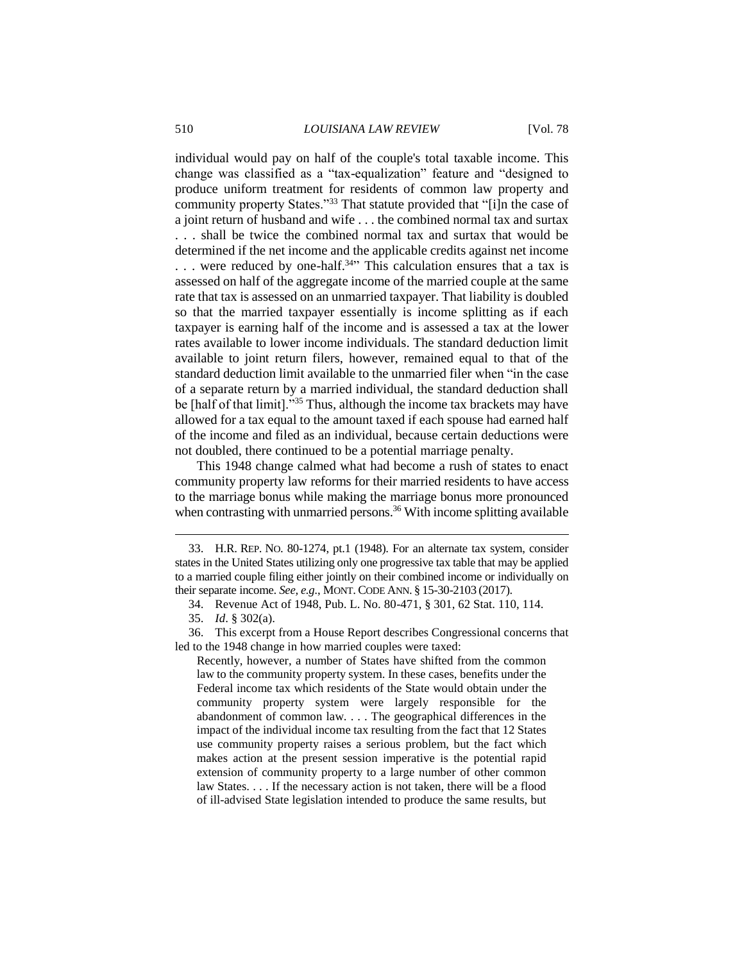individual would pay on half of the couple's total taxable income. This change was classified as a "tax-equalization" feature and "designed to produce uniform treatment for residents of common law property and community property States."<sup>33</sup> That statute provided that "[i]n the case of a joint return of husband and wife . . . the combined normal tax and surtax . . . shall be twice the combined normal tax and surtax that would be determined if the net income and the applicable credits against net income ... were reduced by one-half.<sup>34</sup><sup>1</sup> This calculation ensures that a tax is assessed on half of the aggregate income of the married couple at the same rate that tax is assessed on an unmarried taxpayer. That liability is doubled so that the married taxpayer essentially is income splitting as if each taxpayer is earning half of the income and is assessed a tax at the lower rates available to lower income individuals. The standard deduction limit available to joint return filers, however, remained equal to that of the standard deduction limit available to the unmarried filer when "in the case of a separate return by a married individual, the standard deduction shall be [half of that limit]."<sup>35</sup> Thus, although the income tax brackets may have allowed for a tax equal to the amount taxed if each spouse had earned half of the income and filed as an individual, because certain deductions were not doubled, there continued to be a potential marriage penalty.

This 1948 change calmed what had become a rush of states to enact community property law reforms for their married residents to have access to the marriage bonus while making the marriage bonus more pronounced when contrasting with unmarried persons.<sup>36</sup> With income splitting available

<sup>33.</sup> H.R. REP. NO. 80-1274, pt.1 (1948). For an alternate tax system, consider states in the United States utilizing only one progressive tax table that may be applied to a married couple filing either jointly on their combined income or individually on their separate income. *See, e.g.*, MONT. CODE ANN. § 15-30-2103 (2017).

<sup>34.</sup> Revenue Act of 1948, Pub. L. No. 80-471, § 301, 62 Stat. 110, 114.

<sup>35.</sup> *Id*. § 302(a).

<sup>36.</sup> This excerpt from a House Report describes Congressional concerns that led to the 1948 change in how married couples were taxed:

Recently, however, a number of States have shifted from the common law to the community property system. In these cases, benefits under the Federal income tax which residents of the State would obtain under the community property system were largely responsible for the abandonment of common law. . . . The geographical differences in the impact of the individual income tax resulting from the fact that 12 States use community property raises a serious problem, but the fact which makes action at the present session imperative is the potential rapid extension of community property to a large number of other common law States. . . . If the necessary action is not taken, there will be a flood of ill-advised State legislation intended to produce the same results, but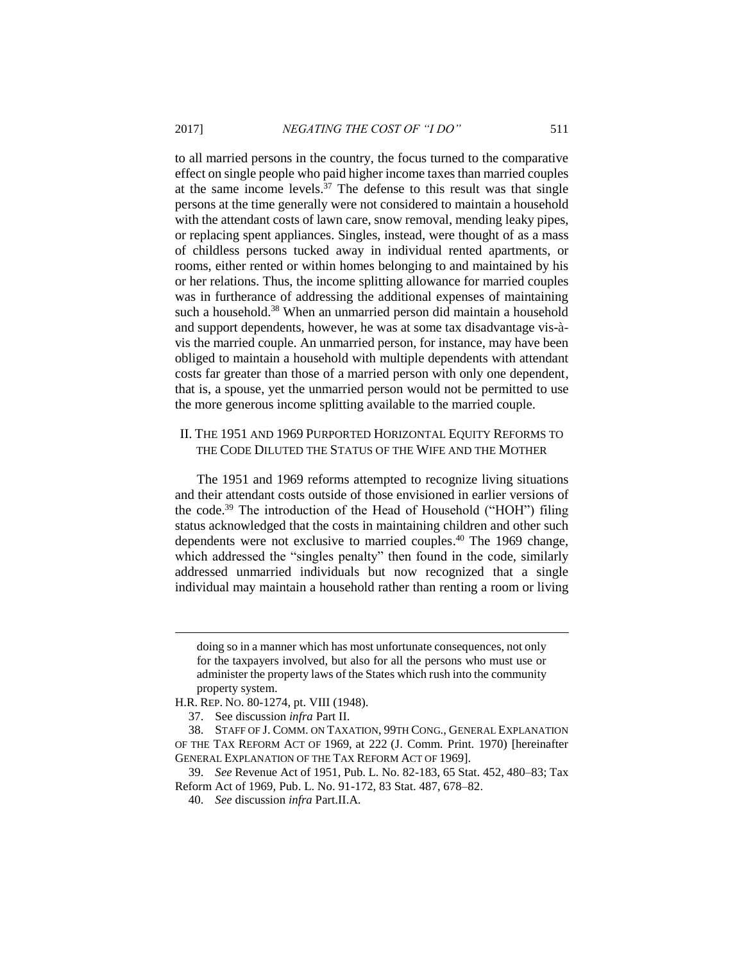to all married persons in the country, the focus turned to the comparative effect on single people who paid higher income taxes than married couples at the same income levels.<sup>37</sup> The defense to this result was that single persons at the time generally were not considered to maintain a household with the attendant costs of lawn care, snow removal, mending leaky pipes, or replacing spent appliances. Singles, instead, were thought of as a mass of childless persons tucked away in individual rented apartments, or rooms, either rented or within homes belonging to and maintained by his or her relations. Thus, the income splitting allowance for married couples was in furtherance of addressing the additional expenses of maintaining such a household.<sup>38</sup> When an unmarried person did maintain a household and support dependents, however, he was at some tax disadvantage vis-àvis the married couple. An unmarried person, for instance, may have been obliged to maintain a household with multiple dependents with attendant costs far greater than those of a married person with only one dependent, that is, a spouse, yet the unmarried person would not be permitted to use the more generous income splitting available to the married couple.

## II. THE 1951 AND 1969 PURPORTED HORIZONTAL EQUITY REFORMS TO THE CODE DILUTED THE STATUS OF THE WIFE AND THE MOTHER

The 1951 and 1969 reforms attempted to recognize living situations and their attendant costs outside of those envisioned in earlier versions of the code.<sup>39</sup> The introduction of the Head of Household ("HOH") filing status acknowledged that the costs in maintaining children and other such dependents were not exclusive to married couples. <sup>40</sup> The 1969 change, which addressed the "singles penalty" then found in the code, similarly addressed unmarried individuals but now recognized that a single individual may maintain a household rather than renting a room or living

doing so in a manner which has most unfortunate consequences, not only for the taxpayers involved, but also for all the persons who must use or administer the property laws of the States which rush into the community property system.

H.R. REP. NO. 80-1274, pt. VIII (1948).

<sup>37.</sup> See discussion *infra* Part II.

<sup>38.</sup> STAFF OF J. COMM. ON TAXATION, 99TH CONG., GENERAL EXPLANATION OF THE TAX REFORM ACT OF 1969, at 222 (J. Comm. Print. 1970) [hereinafter GENERAL EXPLANATION OF THE TAX REFORM ACT OF 1969].

<sup>39.</sup> *See* Revenue Act of 1951, Pub. L. No. 82-183, 65 Stat. 452, 480–83; Tax Reform Act of 1969, Pub. L. No. 91-172, 83 Stat. 487, 678–82.

<sup>40.</sup> *See* discussion *infra* Part.II.A.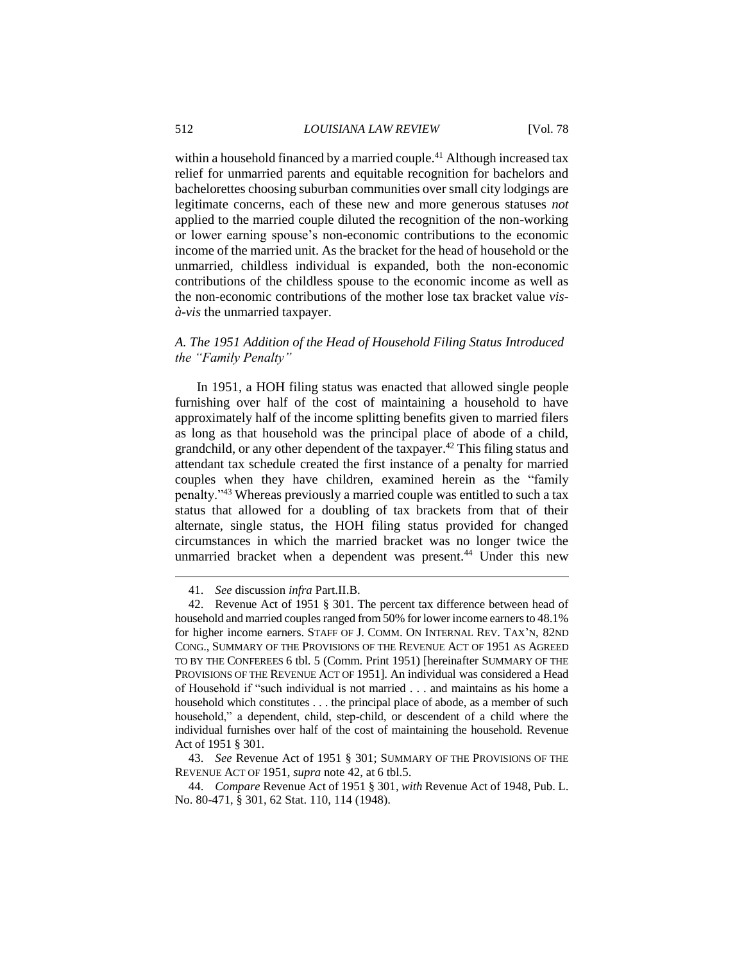within a household financed by a married couple.<sup>41</sup> Although increased tax relief for unmarried parents and equitable recognition for bachelors and bachelorettes choosing suburban communities over small city lodgings are legitimate concerns, each of these new and more generous statuses *not* applied to the married couple diluted the recognition of the non-working or lower earning spouse's non-economic contributions to the economic income of the married unit. As the bracket for the head of household or the unmarried, childless individual is expanded, both the non-economic contributions of the childless spouse to the economic income as well as the non-economic contributions of the mother lose tax bracket value *visà*-*vis* the unmarried taxpayer.

# *A. The 1951 Addition of the Head of Household Filing Status Introduced the "Family Penalty"*

In 1951, a HOH filing status was enacted that allowed single people furnishing over half of the cost of maintaining a household to have approximately half of the income splitting benefits given to married filers as long as that household was the principal place of abode of a child, grandchild, or any other dependent of the taxpayer.<sup>42</sup> This filing status and attendant tax schedule created the first instance of a penalty for married couples when they have children, examined herein as the "family penalty."<sup>43</sup> Whereas previously a married couple was entitled to such a tax status that allowed for a doubling of tax brackets from that of their alternate, single status, the HOH filing status provided for changed circumstances in which the married bracket was no longer twice the unmarried bracket when a dependent was present.<sup>44</sup> Under this new

43. *See* Revenue Act of 1951 § 301; SUMMARY OF THE PROVISIONS OF THE REVENUE ACT OF 1951, *supra* note 42, at 6 tbl.5.

44. *Compare* Revenue Act of 1951 § 301, *with* Revenue Act of 1948, Pub. L. No. 80-471, § 301, 62 Stat. 110, 114 (1948).

<sup>41.</sup> *See* discussion *infra* Part.II.B.

<sup>42.</sup> Revenue Act of 1951 § 301. The percent tax difference between head of household and married couples ranged from 50% for lower income earners to 48.1% for higher income earners. STAFF OF J. COMM. ON INTERNAL REV. TAX'N, 82ND CONG., SUMMARY OF THE PROVISIONS OF THE REVENUE ACT OF 1951 AS AGREED TO BY THE CONFEREES 6 tbl. 5 (Comm. Print 1951) [hereinafter SUMMARY OF THE PROVISIONS OF THE REVENUE ACT OF 1951]. An individual was considered a Head of Household if "such individual is not married . . . and maintains as his home a household which constitutes . . . the principal place of abode, as a member of such household," a dependent, child, step-child, or descendent of a child where the individual furnishes over half of the cost of maintaining the household. Revenue Act of 1951 § 301.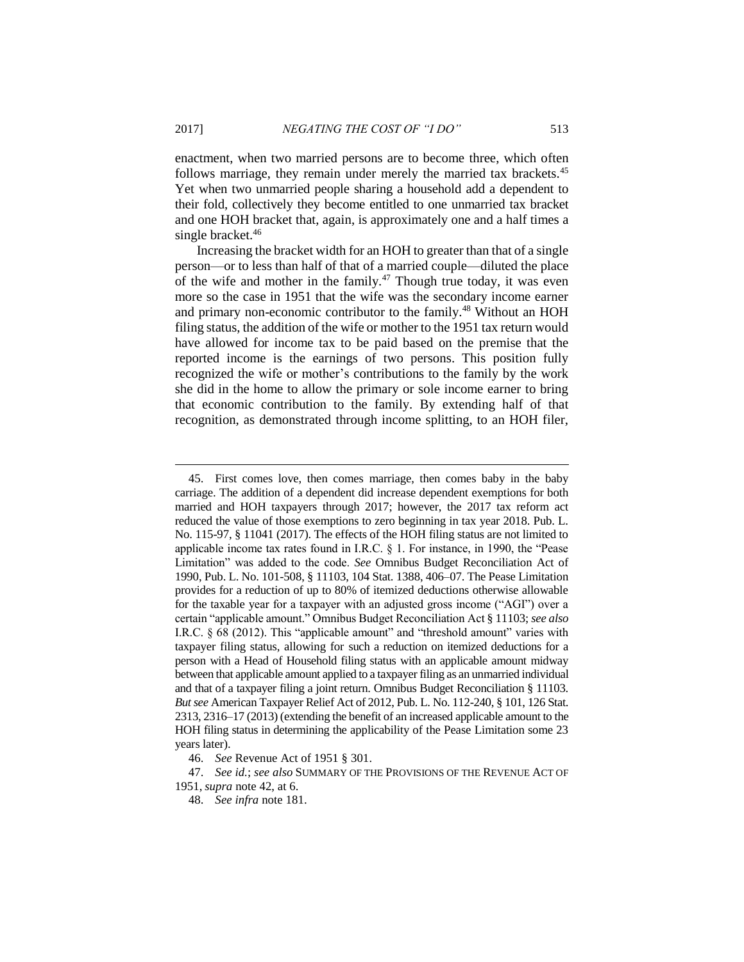enactment, when two married persons are to become three, which often follows marriage, they remain under merely the married tax brackets.<sup>45</sup> Yet when two unmarried people sharing a household add a dependent to their fold, collectively they become entitled to one unmarried tax bracket and one HOH bracket that, again, is approximately one and a half times a single bracket.<sup>46</sup>

Increasing the bracket width for an HOH to greater than that of a single person—or to less than half of that of a married couple—diluted the place of the wife and mother in the family.<sup>47</sup> Though true today, it was even more so the case in 1951 that the wife was the secondary income earner and primary non-economic contributor to the family.<sup>48</sup> Without an HOH filing status, the addition of the wife or mother to the 1951 tax return would have allowed for income tax to be paid based on the premise that the reported income is the earnings of two persons. This position fully recognized the wife or mother's contributions to the family by the work she did in the home to allow the primary or sole income earner to bring that economic contribution to the family. By extending half of that recognition, as demonstrated through income splitting, to an HOH filer,

<sup>45.</sup> First comes love, then comes marriage, then comes baby in the baby carriage. The addition of a dependent did increase dependent exemptions for both married and HOH taxpayers through 2017; however, the 2017 tax reform act reduced the value of those exemptions to zero beginning in tax year 2018. Pub. L. No. 115-97, § 11041 (2017). The effects of the HOH filing status are not limited to applicable income tax rates found in I.R.C. § 1. For instance, in 1990, the "Pease Limitation" was added to the code. *See* Omnibus Budget Reconciliation Act of 1990, Pub. L. No. 101-508, § 11103, 104 Stat. 1388, 406–07. The Pease Limitation provides for a reduction of up to 80% of itemized deductions otherwise allowable for the taxable year for a taxpayer with an adjusted gross income ("AGI") over a certain "applicable amount." Omnibus Budget Reconciliation Act § 11103; *see also*  I.R.C. § 68 (2012). This "applicable amount" and "threshold amount" varies with taxpayer filing status, allowing for such a reduction on itemized deductions for a person with a Head of Household filing status with an applicable amount midway between that applicable amount applied to a taxpayer filing as an unmarried individual and that of a taxpayer filing a joint return. Omnibus Budget Reconciliation § 11103. *But see* American Taxpayer Relief Act of 2012, Pub. L. No. 112-240, § 101, 126 Stat. 2313, 2316–17 (2013) (extending the benefit of an increased applicable amount to the HOH filing status in determining the applicability of the Pease Limitation some 23 years later).

<sup>46.</sup> *See* Revenue Act of 1951 § 301.

<sup>47.</sup> *See id.*; *see also* SUMMARY OF THE PROVISIONS OF THE REVENUE ACT OF 1951, *supra* note 42, at 6.

<sup>48.</sup> *See infra* note 181.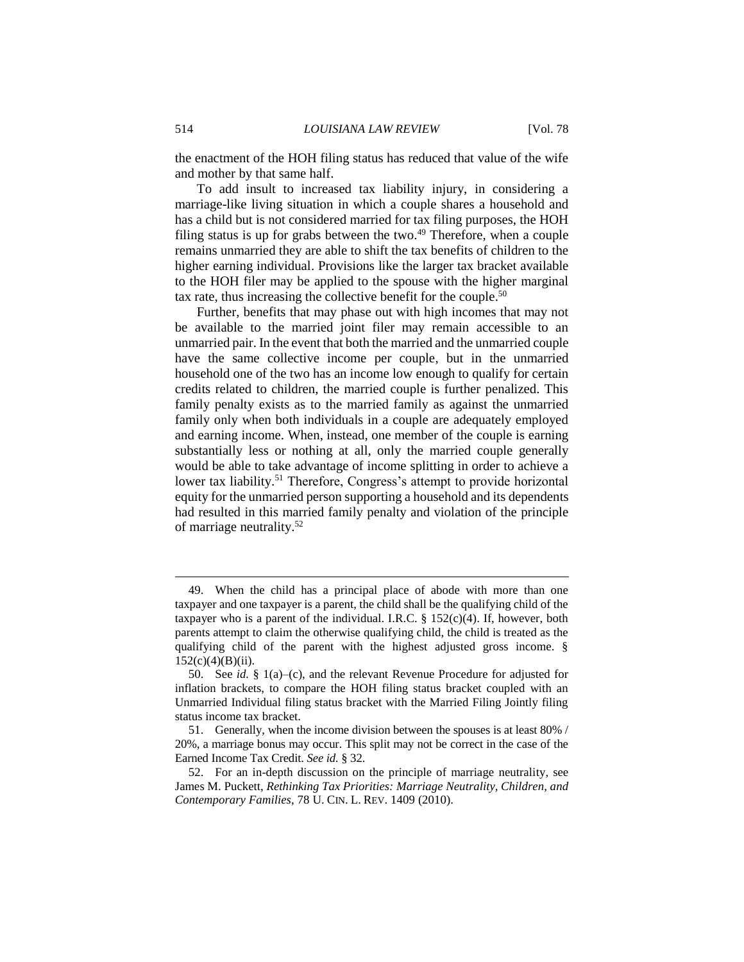the enactment of the HOH filing status has reduced that value of the wife and mother by that same half.

To add insult to increased tax liability injury, in considering a marriage-like living situation in which a couple shares a household and has a child but is not considered married for tax filing purposes, the HOH filing status is up for grabs between the two. $49$  Therefore, when a couple remains unmarried they are able to shift the tax benefits of children to the higher earning individual. Provisions like the larger tax bracket available to the HOH filer may be applied to the spouse with the higher marginal tax rate, thus increasing the collective benefit for the couple. 50

Further, benefits that may phase out with high incomes that may not be available to the married joint filer may remain accessible to an unmarried pair. In the event that both the married and the unmarried couple have the same collective income per couple, but in the unmarried household one of the two has an income low enough to qualify for certain credits related to children, the married couple is further penalized. This family penalty exists as to the married family as against the unmarried family only when both individuals in a couple are adequately employed and earning income. When, instead, one member of the couple is earning substantially less or nothing at all, only the married couple generally would be able to take advantage of income splitting in order to achieve a lower tax liability.<sup>51</sup> Therefore, Congress's attempt to provide horizontal equity for the unmarried person supporting a household and its dependents had resulted in this married family penalty and violation of the principle of marriage neutrality.<sup>52</sup>

<sup>49.</sup> When the child has a principal place of abode with more than one taxpayer and one taxpayer is a parent, the child shall be the qualifying child of the taxpayer who is a parent of the individual. I.R.C.  $\S$  152(c)(4). If, however, both parents attempt to claim the otherwise qualifying child, the child is treated as the qualifying child of the parent with the highest adjusted gross income. §  $152(c)(4)(B)(ii)$ .

<sup>50.</sup> See *id.* § 1(a)–(c), and the relevant Revenue Procedure for adjusted for inflation brackets, to compare the HOH filing status bracket coupled with an Unmarried Individual filing status bracket with the Married Filing Jointly filing status income tax bracket.

<sup>51.</sup> Generally, when the income division between the spouses is at least 80% / 20%, a marriage bonus may occur. This split may not be correct in the case of the Earned Income Tax Credit. *See id.* § 32.

<sup>52.</sup> For an in-depth discussion on the principle of marriage neutrality, see James M. Puckett, *Rethinking Tax Priorities: Marriage Neutrality, Children, and Contemporary Families*, 78 U. CIN. L. REV. 1409 (2010).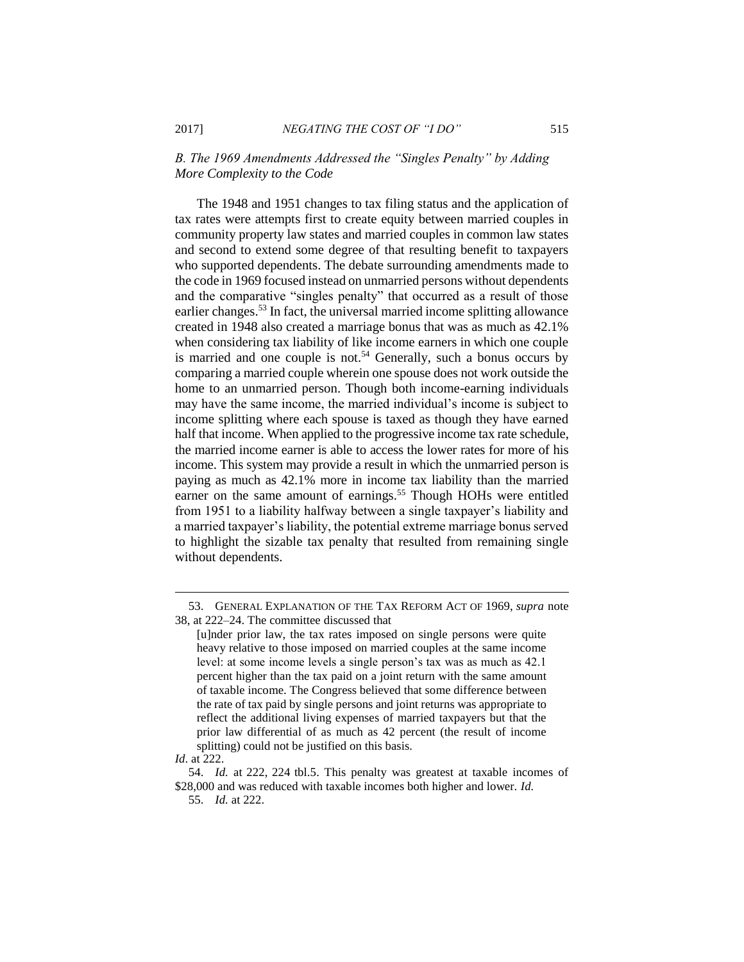*B. The 1969 Amendments Addressed the "Singles Penalty" by Adding More Complexity to the Code*

The 1948 and 1951 changes to tax filing status and the application of tax rates were attempts first to create equity between married couples in community property law states and married couples in common law states and second to extend some degree of that resulting benefit to taxpayers who supported dependents. The debate surrounding amendments made to the code in 1969 focused instead on unmarried persons without dependents and the comparative "singles penalty" that occurred as a result of those earlier changes.<sup>53</sup> In fact, the universal married income splitting allowance created in 1948 also created a marriage bonus that was as much as 42.1% when considering tax liability of like income earners in which one couple is married and one couple is not.<sup>54</sup> Generally, such a bonus occurs by comparing a married couple wherein one spouse does not work outside the home to an unmarried person. Though both income-earning individuals may have the same income, the married individual's income is subject to income splitting where each spouse is taxed as though they have earned half that income. When applied to the progressive income tax rate schedule, the married income earner is able to access the lower rates for more of his income. This system may provide a result in which the unmarried person is paying as much as 42.1% more in income tax liability than the married earner on the same amount of earnings.<sup>55</sup> Though HOHs were entitled from 1951 to a liability halfway between a single taxpayer's liability and a married taxpayer's liability, the potential extreme marriage bonus served to highlight the sizable tax penalty that resulted from remaining single without dependents.

<sup>53.</sup> GENERAL EXPLANATION OF THE TAX REFORM ACT OF 1969, *supra* note 38, at 222–24. The committee discussed that

<sup>[</sup>u]nder prior law, the tax rates imposed on single persons were quite heavy relative to those imposed on married couples at the same income level: at some income levels a single person's tax was as much as 42.1 percent higher than the tax paid on a joint return with the same amount of taxable income. The Congress believed that some difference between the rate of tax paid by single persons and joint returns was appropriate to reflect the additional living expenses of married taxpayers but that the prior law differential of as much as 42 percent (the result of income splitting) could not be justified on this basis.

*Id*. at 222.

<sup>54.</sup> *Id.* at 222, 224 tbl.5. This penalty was greatest at taxable incomes of \$28,000 and was reduced with taxable incomes both higher and lower. *Id.*

<sup>55.</sup> *Id.* at 222.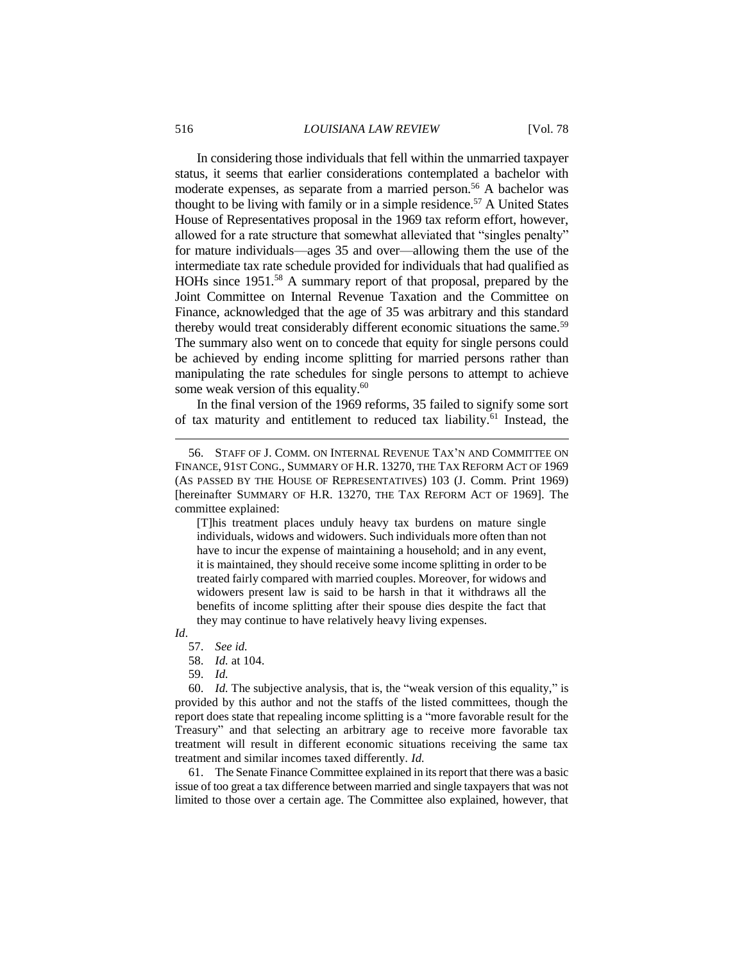In considering those individuals that fell within the unmarried taxpayer status, it seems that earlier considerations contemplated a bachelor with moderate expenses, as separate from a married person.<sup>56</sup> A bachelor was thought to be living with family or in a simple residence.<sup>57</sup> A United States House of Representatives proposal in the 1969 tax reform effort, however, allowed for a rate structure that somewhat alleviated that "singles penalty" for mature individuals—ages 35 and over—allowing them the use of the intermediate tax rate schedule provided for individuals that had qualified as HOHs since 1951.<sup>58</sup> A summary report of that proposal, prepared by the Joint Committee on Internal Revenue Taxation and the Committee on Finance, acknowledged that the age of 35 was arbitrary and this standard thereby would treat considerably different economic situations the same.<sup>59</sup> The summary also went on to concede that equity for single persons could be achieved by ending income splitting for married persons rather than manipulating the rate schedules for single persons to attempt to achieve some weak version of this equality.<sup>60</sup>

In the final version of the 1969 reforms, 35 failed to signify some sort of tax maturity and entitlement to reduced tax liability.<sup>61</sup> Instead, the

[T]his treatment places unduly heavy tax burdens on mature single individuals, widows and widowers. Such individuals more often than not have to incur the expense of maintaining a household; and in any event, it is maintained, they should receive some income splitting in order to be treated fairly compared with married couples. Moreover, for widows and widowers present law is said to be harsh in that it withdraws all the benefits of income splitting after their spouse dies despite the fact that they may continue to have relatively heavy living expenses.

*Id*.

 $\overline{a}$ 

- 58. *Id.* at 104.
- 59. *Id.*

60. *Id.* The subjective analysis, that is, the "weak version of this equality," is provided by this author and not the staffs of the listed committees, though the report does state that repealing income splitting is a "more favorable result for the Treasury" and that selecting an arbitrary age to receive more favorable tax treatment will result in different economic situations receiving the same tax treatment and similar incomes taxed differently. *Id.*

61. The Senate Finance Committee explained in its report that there was a basic issue of too great a tax difference between married and single taxpayers that was not limited to those over a certain age. The Committee also explained, however, that

<sup>56.</sup> STAFF OF J. COMM. ON INTERNAL REVENUE TAX'N AND COMMITTEE ON FINANCE, 91ST CONG., SUMMARY OF H.R. 13270, THE TAX REFORM ACT OF 1969 (AS PASSED BY THE HOUSE OF REPRESENTATIVES) 103 (J. Comm. Print 1969) [hereinafter SUMMARY OF H.R. 13270, THE TAX REFORM ACT OF 1969]. The committee explained:

<sup>57.</sup> *See id.*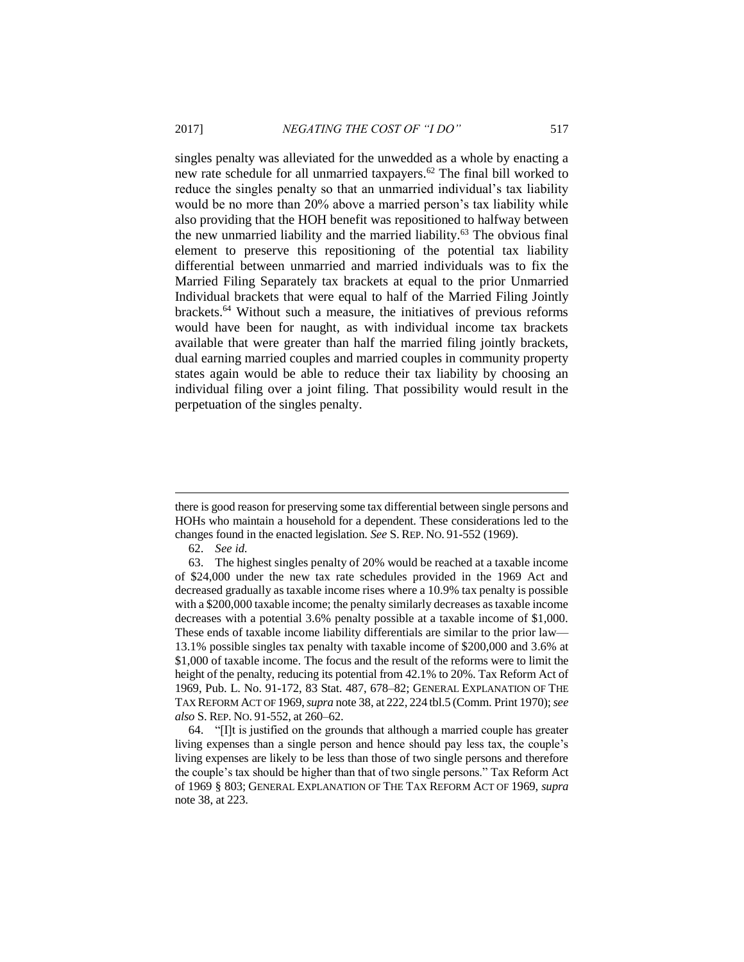singles penalty was alleviated for the unwedded as a whole by enacting a new rate schedule for all unmarried taxpayers.<sup>62</sup> The final bill worked to reduce the singles penalty so that an unmarried individual's tax liability would be no more than 20% above a married person's tax liability while also providing that the HOH benefit was repositioned to halfway between the new unmarried liability and the married liability.<sup>63</sup> The obvious final element to preserve this repositioning of the potential tax liability differential between unmarried and married individuals was to fix the Married Filing Separately tax brackets at equal to the prior Unmarried Individual brackets that were equal to half of the Married Filing Jointly brackets.<sup>64</sup> Without such a measure, the initiatives of previous reforms would have been for naught, as with individual income tax brackets available that were greater than half the married filing jointly brackets, dual earning married couples and married couples in community property states again would be able to reduce their tax liability by choosing an individual filing over a joint filing. That possibility would result in the perpetuation of the singles penalty.

62. *See id.*

there is good reason for preserving some tax differential between single persons and HOHs who maintain a household for a dependent. These considerations led to the changes found in the enacted legislation. *See* S. REP. NO. 91-552 (1969).

<sup>63.</sup> The highest singles penalty of 20% would be reached at a taxable income of \$24,000 under the new tax rate schedules provided in the 1969 Act and decreased gradually as taxable income rises where a 10.9% tax penalty is possible with a \$200,000 taxable income; the penalty similarly decreases as taxable income decreases with a potential 3.6% penalty possible at a taxable income of \$1,000. These ends of taxable income liability differentials are similar to the prior law— 13.1% possible singles tax penalty with taxable income of \$200,000 and 3.6% at \$1,000 of taxable income. The focus and the result of the reforms were to limit the height of the penalty, reducing its potential from 42.1% to 20%. Tax Reform Act of 1969, Pub. L. No. 91-172, 83 Stat. 487, 678–82; GENERAL EXPLANATION OF THE TAX REFORM ACT OF 1969,*supra* note 38, at 222, 224 tbl.5 (Comm. Print 1970); *see also* S. REP. NO. 91-552, at 260–62.

<sup>64.</sup> "[I]t is justified on the grounds that although a married couple has greater living expenses than a single person and hence should pay less tax, the couple's living expenses are likely to be less than those of two single persons and therefore the couple's tax should be higher than that of two single persons." Tax Reform Act of 1969 § 803; GENERAL EXPLANATION OF THE TAX REFORM ACT OF 1969, *supra* note 38, at 223.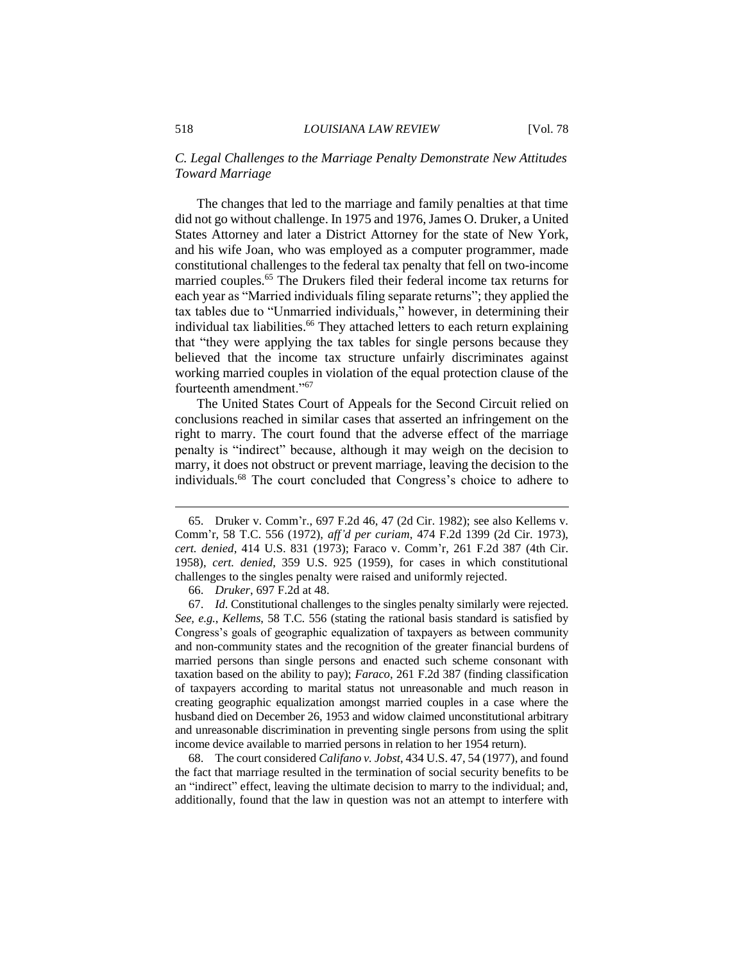# *C. Legal Challenges to the Marriage Penalty Demonstrate New Attitudes Toward Marriage*

The changes that led to the marriage and family penalties at that time did not go without challenge. In 1975 and 1976, James O. Druker, a United States Attorney and later a District Attorney for the state of New York, and his wife Joan, who was employed as a computer programmer, made constitutional challenges to the federal tax penalty that fell on two-income married couples.<sup>65</sup> The Drukers filed their federal income tax returns for each year as "Married individuals filing separate returns"; they applied the tax tables due to "Unmarried individuals," however, in determining their individual tax liabilities.<sup>66</sup> They attached letters to each return explaining that "they were applying the tax tables for single persons because they believed that the income tax structure unfairly discriminates against working married couples in violation of the equal protection clause of the fourteenth amendment."<sup>67</sup>

The United States Court of Appeals for the Second Circuit relied on conclusions reached in similar cases that asserted an infringement on the right to marry. The court found that the adverse effect of the marriage penalty is "indirect" because, although it may weigh on the decision to marry, it does not obstruct or prevent marriage, leaving the decision to the individuals.<sup>68</sup> The court concluded that Congress's choice to adhere to

68. The court considered *Califano v. Jobst*, 434 U.S. 47, 54 (1977), and found the fact that marriage resulted in the termination of social security benefits to be an "indirect" effect, leaving the ultimate decision to marry to the individual; and, additionally, found that the law in question was not an attempt to interfere with

<sup>65.</sup> Druker v. Comm'r., 697 F.2d 46, 47 (2d Cir. 1982); see also Kellems v. Comm'r, 58 T.C. 556 (1972), *aff'd per curiam*, 474 F.2d 1399 (2d Cir. 1973), *cert. denied*, 414 U.S. 831 (1973); Faraco v. Comm'r, 261 F.2d 387 (4th Cir. 1958), *cert. denied*, 359 U.S. 925 (1959), for cases in which constitutional challenges to the singles penalty were raised and uniformly rejected.

<sup>66.</sup> *Druker*, 697 F.2d at 48.

<sup>67.</sup> *Id*. Constitutional challenges to the singles penalty similarly were rejected. *See, e.g.*, *Kellems*, 58 T.C. 556 (stating the rational basis standard is satisfied by Congress's goals of geographic equalization of taxpayers as between community and non-community states and the recognition of the greater financial burdens of married persons than single persons and enacted such scheme consonant with taxation based on the ability to pay); *Faraco*, 261 F.2d 387 (finding classification of taxpayers according to marital status not unreasonable and much reason in creating geographic equalization amongst married couples in a case where the husband died on December 26, 1953 and widow claimed unconstitutional arbitrary and unreasonable discrimination in preventing single persons from using the split income device available to married persons in relation to her 1954 return).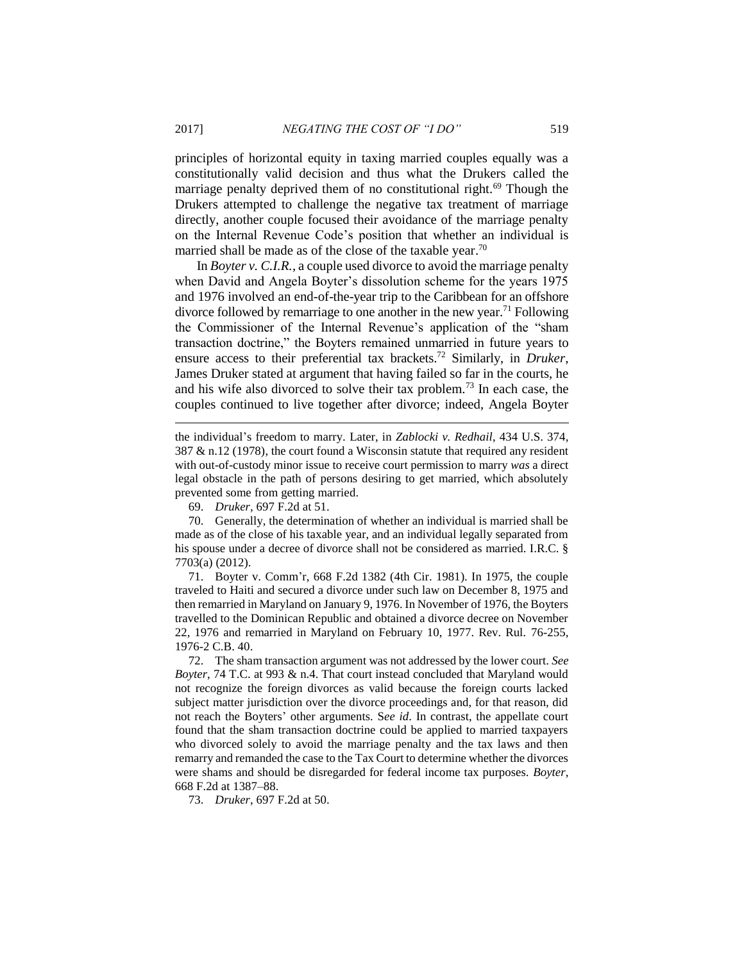principles of horizontal equity in taxing married couples equally was a constitutionally valid decision and thus what the Drukers called the marriage penalty deprived them of no constitutional right.<sup>69</sup> Though the Drukers attempted to challenge the negative tax treatment of marriage directly, another couple focused their avoidance of the marriage penalty on the Internal Revenue Code's position that whether an individual is married shall be made as of the close of the taxable year.<sup>70</sup>

In *Boyter v. C.I.R.*, a couple used divorce to avoid the marriage penalty when David and Angela Boyter's dissolution scheme for the years 1975 and 1976 involved an end-of-the-year trip to the Caribbean for an offshore divorce followed by remarriage to one another in the new year.<sup>71</sup> Following the Commissioner of the Internal Revenue's application of the "sham transaction doctrine," the Boyters remained unmarried in future years to ensure access to their preferential tax brackets.<sup>72</sup> Similarly, in *Druker*, James Druker stated at argument that having failed so far in the courts, he and his wife also divorced to solve their tax problem.<sup>73</sup> In each case, the couples continued to live together after divorce; indeed, Angela Boyter

the individual's freedom to marry. Later, in *Zablocki v. Redhail*, 434 U.S. 374, 387 & n.12 (1978), the court found a Wisconsin statute that required any resident with out-of-custody minor issue to receive court permission to marry *was* a direct legal obstacle in the path of persons desiring to get married, which absolutely prevented some from getting married.

69. *Druker*, 697 F.2d at 51.

70. Generally, the determination of whether an individual is married shall be made as of the close of his taxable year, and an individual legally separated from his spouse under a decree of divorce shall not be considered as married. I.R.C. § 7703(a) (2012).

71. Boyter v. Comm'r, 668 F.2d 1382 (4th Cir. 1981). In 1975, the couple traveled to Haiti and secured a divorce under such law on December 8, 1975 and then remarried in Maryland on January 9, 1976. In November of 1976, the Boyters travelled to the Dominican Republic and obtained a divorce decree on November 22, 1976 and remarried in Maryland on February 10, 1977. Rev. Rul. 76-255, 1976-2 C.B. 40.

72. The sham transaction argument was not addressed by the lower court. *See Boyter*, 74 T.C. at 993 & n.4. That court instead concluded that Maryland would not recognize the foreign divorces as valid because the foreign courts lacked subject matter jurisdiction over the divorce proceedings and, for that reason, did not reach the Boyters' other arguments. S*ee id*. In contrast, the appellate court found that the sham transaction doctrine could be applied to married taxpayers who divorced solely to avoid the marriage penalty and the tax laws and then remarry and remanded the case to the Tax Court to determine whether the divorces were shams and should be disregarded for federal income tax purposes. *Boyter*, 668 F.2d at 1387–88.

73. *Druker*, 697 F.2d at 50.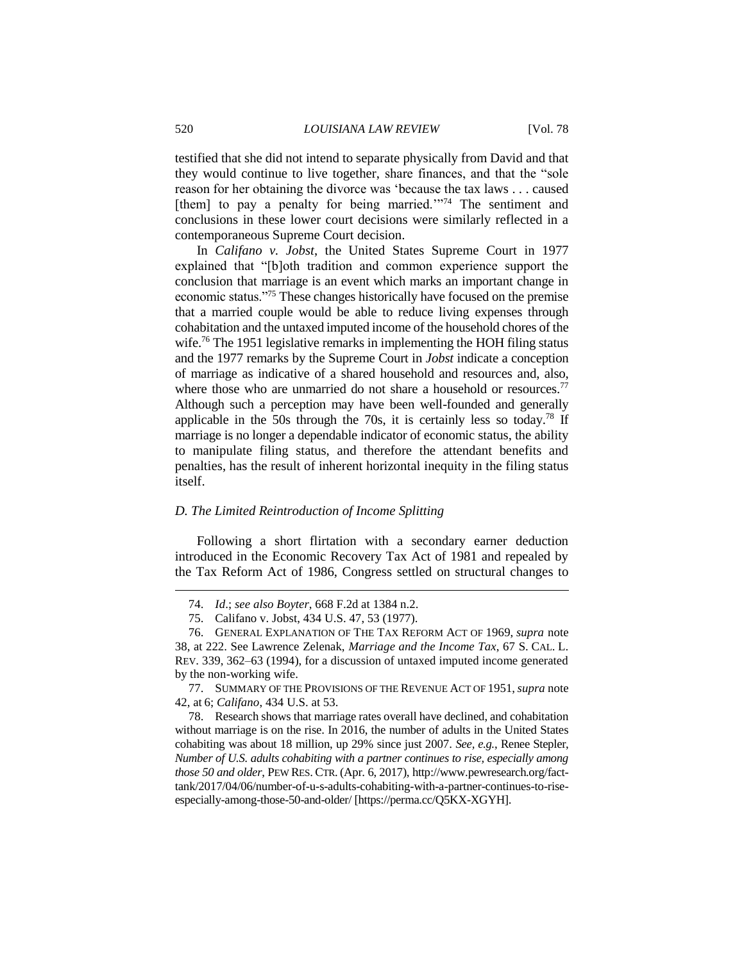testified that she did not intend to separate physically from David and that they would continue to live together, share finances, and that the "sole reason for her obtaining the divorce was 'because the tax laws . . . caused [them] to pay a penalty for being married."<sup>74</sup> The sentiment and conclusions in these lower court decisions were similarly reflected in a contemporaneous Supreme Court decision.

In *Califano v. Jobst*, the United States Supreme Court in 1977 explained that "[b]oth tradition and common experience support the conclusion that marriage is an event which marks an important change in economic status."<sup>75</sup> These changes historically have focused on the premise that a married couple would be able to reduce living expenses through cohabitation and the untaxed imputed income of the household chores of the wife.<sup>76</sup> The 1951 legislative remarks in implementing the HOH filing status and the 1977 remarks by the Supreme Court in *Jobst* indicate a conception of marriage as indicative of a shared household and resources and, also, where those who are unmarried do not share a household or resources.<sup>77</sup> Although such a perception may have been well-founded and generally applicable in the 50s through the 70s, it is certainly less so today.<sup>78</sup> If marriage is no longer a dependable indicator of economic status, the ability to manipulate filing status, and therefore the attendant benefits and penalties, has the result of inherent horizontal inequity in the filing status itself.

#### *D. The Limited Reintroduction of Income Splitting*

Following a short flirtation with a secondary earner deduction introduced in the Economic Recovery Tax Act of 1981 and repealed by the Tax Reform Act of 1986, Congress settled on structural changes to

<sup>74.</sup> *Id*.; *see also Boyter*, 668 F.2d at 1384 n.2.

<sup>75.</sup> Califano v. Jobst, 434 U.S. 47, 53 (1977).

<sup>76.</sup> GENERAL EXPLANATION OF THE TAX REFORM ACT OF 1969, *supra* note 38, at 222. See Lawrence Zelenak, *Marriage and the Income Tax*, 67 S. CAL. L. REV. 339, 362–63 (1994), for a discussion of untaxed imputed income generated by the non-working wife.

<sup>77.</sup> SUMMARY OF THE PROVISIONS OF THE REVENUE ACT OF 1951,*supra* note 42, at 6; *Califano*, 434 U.S. at 53.

<sup>78.</sup> Research shows that marriage rates overall have declined, and cohabitation without marriage is on the rise. In 2016, the number of adults in the United States cohabiting was about 18 million, up 29% since just 2007. *See, e.g.*, Renee Stepler, *Number of U.S. adults cohabiting with a partner continues to rise, especially among those 50 and older*, PEW RES. CTR. (Apr. 6, 2017), http://www.pewresearch.org/facttank/2017/04/06/number-of-u-s-adults-cohabiting-with-a-partner-continues-to-riseespecially-among-those-50-and-older/ [https://perma.cc/Q5KX-XGYH].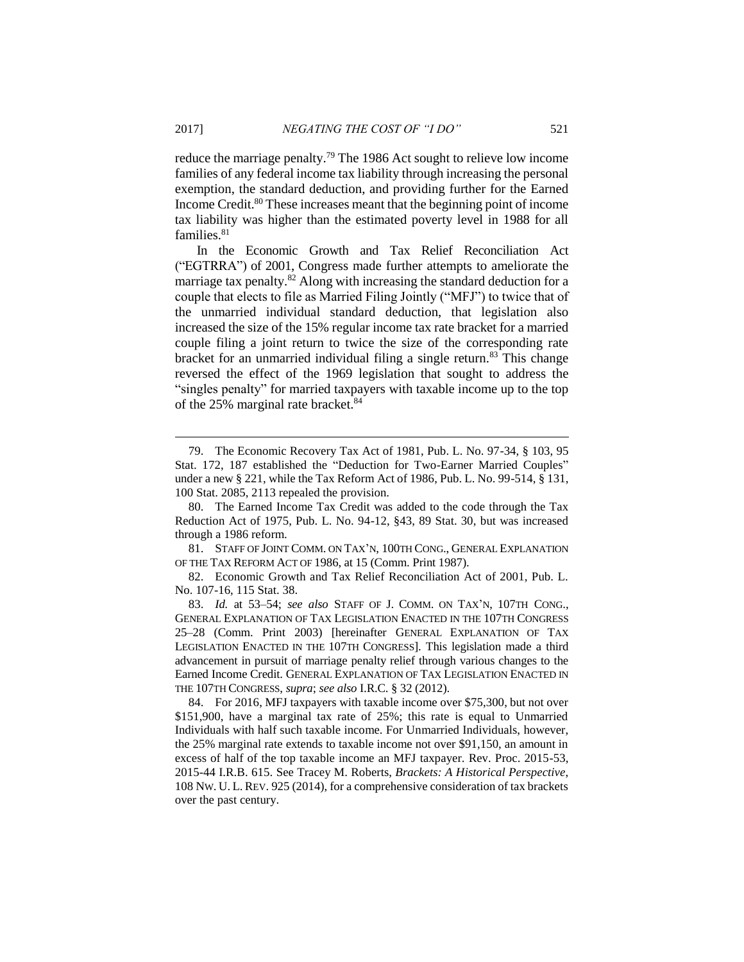reduce the marriage penalty.<sup>79</sup> The 1986 Act sought to relieve low income families of any federal income tax liability through increasing the personal exemption, the standard deduction, and providing further for the Earned Income Credit.<sup>80</sup> These increases meant that the beginning point of income tax liability was higher than the estimated poverty level in 1988 for all families.<sup>81</sup>

In the Economic Growth and Tax Relief Reconciliation Act ("EGTRRA") of 2001, Congress made further attempts to ameliorate the marriage tax penalty.<sup>82</sup> Along with increasing the standard deduction for a couple that elects to file as Married Filing Jointly ("MFJ") to twice that of the unmarried individual standard deduction, that legislation also increased the size of the 15% regular income tax rate bracket for a married couple filing a joint return to twice the size of the corresponding rate bracket for an unmarried individual filing a single return.<sup>83</sup> This change reversed the effect of the 1969 legislation that sought to address the "singles penalty" for married taxpayers with taxable income up to the top of the 25% marginal rate bracket.<sup>84</sup>

80. The Earned Income Tax Credit was added to the code through the Tax Reduction Act of 1975, Pub. L. No. 94-12, §43, 89 Stat. 30, but was increased through a 1986 reform.

81. STAFF OF JOINT COMM. ON TAX'N, 100TH CONG., GENERAL EXPLANATION OF THE TAX REFORM ACT OF 1986, at 15 (Comm. Print 1987).

82. Economic Growth and Tax Relief Reconciliation Act of 2001, Pub. L. No. 107-16, 115 Stat. 38.

<sup>79.</sup> The Economic Recovery Tax Act of 1981, Pub. L. No. 97-34, § 103, 95 Stat. 172, 187 established the "Deduction for Two-Earner Married Couples" under a new § 221, while the Tax Reform Act of 1986, Pub. L. No. 99-514, § 131, 100 Stat. 2085, 2113 repealed the provision.

<sup>83.</sup> *Id.* at 53–54; *see also* STAFF OF J. COMM. ON TAX'N, 107TH CONG., GENERAL EXPLANATION OF TAX LEGISLATION ENACTED IN THE 107TH CONGRESS 25–28 (Comm. Print 2003) [hereinafter GENERAL EXPLANATION OF TAX LEGISLATION ENACTED IN THE 107TH CONGRESS]. This legislation made a third advancement in pursuit of marriage penalty relief through various changes to the Earned Income Credit. GENERAL EXPLANATION OF TAX LEGISLATION ENACTED IN THE 107TH CONGRESS, *supra*; *see also* I.R.C. § 32 (2012).

<sup>84.</sup> For 2016, MFJ taxpayers with taxable income over \$75,300, but not over \$151,900, have a marginal tax rate of 25%; this rate is equal to Unmarried Individuals with half such taxable income. For Unmarried Individuals, however, the 25% marginal rate extends to taxable income not over \$91,150, an amount in excess of half of the top taxable income an MFJ taxpayer. Rev. Proc. 2015-53, 2015-44 I.R.B. 615. See Tracey M. Roberts, *Brackets: A Historical Perspective*, 108 NW. U. L. REV. 925 (2014), for a comprehensive consideration of tax brackets over the past century.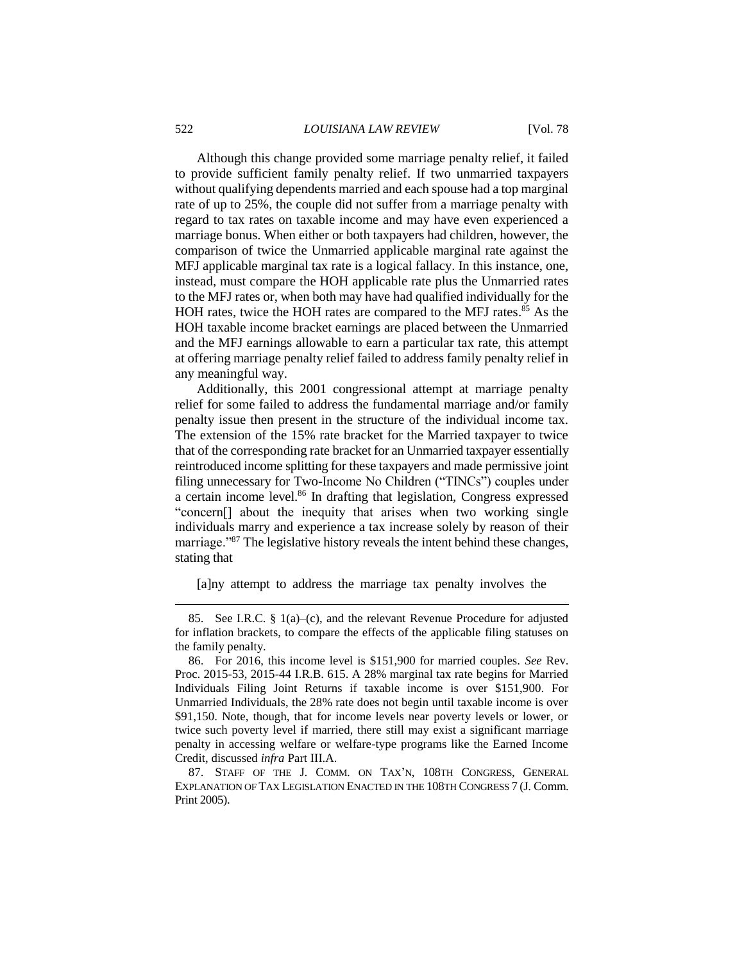Although this change provided some marriage penalty relief, it failed to provide sufficient family penalty relief. If two unmarried taxpayers without qualifying dependents married and each spouse had a top marginal rate of up to 25%, the couple did not suffer from a marriage penalty with regard to tax rates on taxable income and may have even experienced a marriage bonus. When either or both taxpayers had children, however, the comparison of twice the Unmarried applicable marginal rate against the MFJ applicable marginal tax rate is a logical fallacy. In this instance, one, instead, must compare the HOH applicable rate plus the Unmarried rates to the MFJ rates or, when both may have had qualified individually for the HOH rates, twice the HOH rates are compared to the MFJ rates.<sup>85</sup> As the HOH taxable income bracket earnings are placed between the Unmarried and the MFJ earnings allowable to earn a particular tax rate, this attempt at offering marriage penalty relief failed to address family penalty relief in any meaningful way.

Additionally, this 2001 congressional attempt at marriage penalty relief for some failed to address the fundamental marriage and/or family penalty issue then present in the structure of the individual income tax. The extension of the 15% rate bracket for the Married taxpayer to twice that of the corresponding rate bracket for an Unmarried taxpayer essentially reintroduced income splitting for these taxpayers and made permissive joint filing unnecessary for Two-Income No Children ("TINCs") couples under a certain income level.<sup>86</sup> In drafting that legislation, Congress expressed "concern[] about the inequity that arises when two working single individuals marry and experience a tax increase solely by reason of their marriage."<sup>87</sup> The legislative history reveals the intent behind these changes, stating that

[a]ny attempt to address the marriage tax penalty involves the

<sup>85.</sup> See I.R.C. § 1(a)–(c), and the relevant Revenue Procedure for adjusted for inflation brackets, to compare the effects of the applicable filing statuses on the family penalty.

<sup>86.</sup> For 2016, this income level is \$151,900 for married couples. *See* Rev. Proc. 2015-53, 2015-44 I.R.B. 615. A 28% marginal tax rate begins for Married Individuals Filing Joint Returns if taxable income is over \$151,900. For Unmarried Individuals, the 28% rate does not begin until taxable income is over \$91,150. Note, though, that for income levels near poverty levels or lower, or twice such poverty level if married, there still may exist a significant marriage penalty in accessing welfare or welfare-type programs like the Earned Income Credit, discussed *infra* Part III.A.

<sup>87.</sup> STAFF OF THE J. COMM. ON TAX'N, 108TH CONGRESS, GENERAL EXPLANATION OF TAX LEGISLATION ENACTED IN THE 108TH CONGRESS 7 (J. Comm. Print 2005).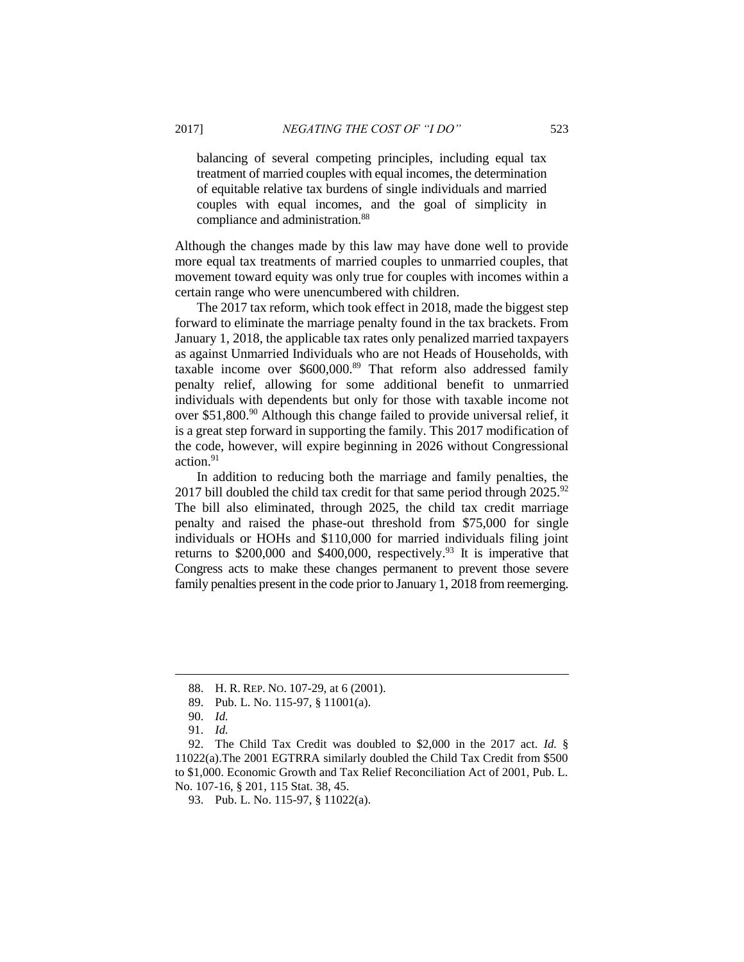balancing of several competing principles, including equal tax treatment of married couples with equal incomes, the determination of equitable relative tax burdens of single individuals and married couples with equal incomes, and the goal of simplicity in compliance and administration.<sup>88</sup>

Although the changes made by this law may have done well to provide more equal tax treatments of married couples to unmarried couples, that movement toward equity was only true for couples with incomes within a certain range who were unencumbered with children.

The 2017 tax reform, which took effect in 2018, made the biggest step forward to eliminate the marriage penalty found in the tax brackets. From January 1, 2018, the applicable tax rates only penalized married taxpayers as against Unmarried Individuals who are not Heads of Households, with taxable income over \$600,000.<sup>89</sup> That reform also addressed family penalty relief, allowing for some additional benefit to unmarried individuals with dependents but only for those with taxable income not over \$51,800.<sup>90</sup> Although this change failed to provide universal relief, it is a great step forward in supporting the family. This 2017 modification of the code, however, will expire beginning in 2026 without Congressional action.<sup>91</sup>

In addition to reducing both the marriage and family penalties, the 2017 bill doubled the child tax credit for that same period through  $2025.^{92}$ The bill also eliminated, through 2025, the child tax credit marriage penalty and raised the phase-out threshold from \$75,000 for single individuals or HOHs and \$110,000 for married individuals filing joint returns to \$200,000 and \$400,000, respectively.<sup>93</sup> It is imperative that Congress acts to make these changes permanent to prevent those severe family penalties present in the code prior to January 1, 2018 from reemerging.

<sup>88.</sup> H. R. REP. NO. 107-29, at 6 (2001).

<sup>89.</sup> Pub. L. No. 115-97, § 11001(a).

<sup>90.</sup> *Id.*

<sup>91.</sup> *Id.*

<sup>92.</sup> The Child Tax Credit was doubled to \$2,000 in the 2017 act. *Id.* § 11022(a).The 2001 EGTRRA similarly doubled the Child Tax Credit from \$500 to \$1,000. Economic Growth and Tax Relief Reconciliation Act of 2001, Pub. L. No. 107-16, § 201, 115 Stat. 38, 45.

<sup>93.</sup> Pub. L. No. 115-97, § 11022(a).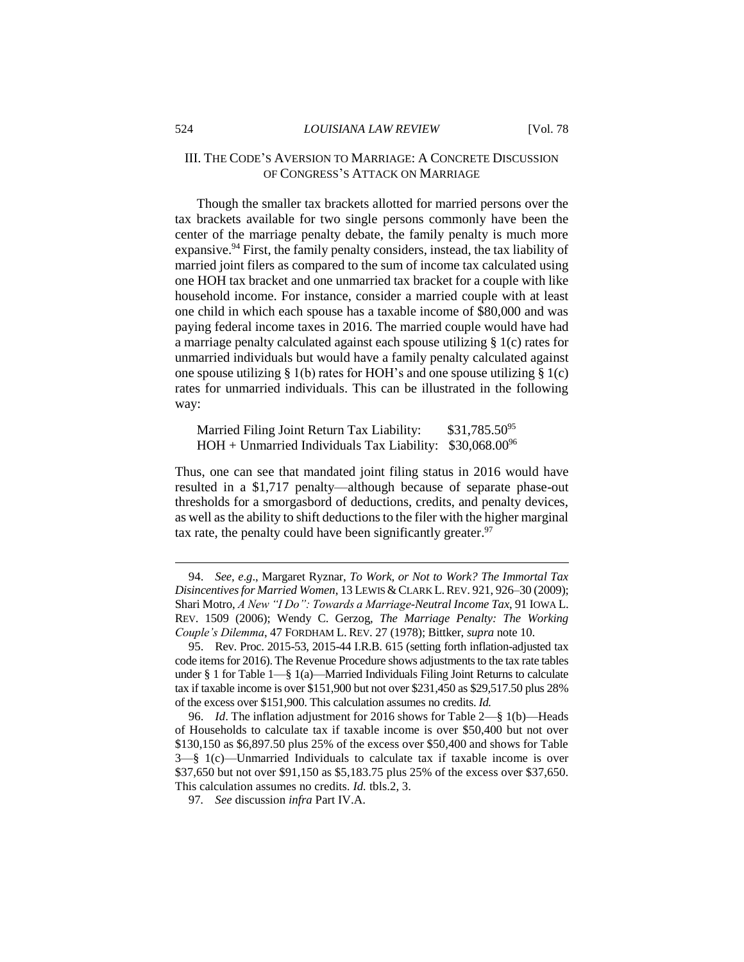#### 524 *LOUISIANA LAW REVIEW* [Vol. 78

# III. THE CODE'S AVERSION TO MARRIAGE: A CONCRETE DISCUSSION OF CONGRESS'S ATTACK ON MARRIAGE

Though the smaller tax brackets allotted for married persons over the tax brackets available for two single persons commonly have been the center of the marriage penalty debate, the family penalty is much more expansive. <sup>94</sup> First, the family penalty considers, instead, the tax liability of married joint filers as compared to the sum of income tax calculated using one HOH tax bracket and one unmarried tax bracket for a couple with like household income. For instance, consider a married couple with at least one child in which each spouse has a taxable income of \$80,000 and was paying federal income taxes in 2016. The married couple would have had a marriage penalty calculated against each spouse utilizing § 1(c) rates for unmarried individuals but would have a family penalty calculated against one spouse utilizing  $\S 1(b)$  rates for HOH's and one spouse utilizing  $\S 1(c)$ rates for unmarried individuals. This can be illustrated in the following way:

Married Filing Joint Return Tax Liability: \$31,785.50<sup>95</sup>  $HOH + Ummarried$  Individuals Tax Liability: \$30,068.00<sup>96</sup>

Thus, one can see that mandated joint filing status in 2016 would have resulted in a \$1,717 penalty—although because of separate phase-out thresholds for a smorgasbord of deductions, credits, and penalty devices, as well asthe ability to shift deductions to the filer with the higher marginal tax rate, the penalty could have been significantly greater.<sup>97</sup>

<sup>94.</sup> *See, e*.*g*., Margaret Ryznar, *To Work, or Not to Work? The Immortal Tax Disincentives for Married Women*, 13 LEWIS &CLARK L.REV. 921, 926–30 (2009); Shari Motro, *A New "I Do": Towards a Marriage-Neutral Income Tax*, 91 IOWA L. REV. 1509 (2006); Wendy C. Gerzog, *The Marriage Penalty: The Working Couple's Dilemma*, 47 FORDHAM L. REV. 27 (1978); Bittker, *supra* note 10.

<sup>95.</sup> Rev. Proc. 2015-53, 2015-44 I.R.B. 615 (setting forth inflation-adjusted tax code items for 2016). The Revenue Procedure shows adjustments to the tax rate tables under § 1 for Table 1—§ 1(a)—Married Individuals Filing Joint Returns to calculate tax if taxable income is over \$151,900 but not over \$231,450 as \$29,517.50 plus 28% of the excess over \$151,900. This calculation assumes no credits. *Id.*

<sup>96.</sup> *Id*. The inflation adjustment for 2016 shows for Table 2—§ 1(b)—Heads of Households to calculate tax if taxable income is over \$50,400 but not over \$130,150 as \$6,897.50 plus 25% of the excess over \$50,400 and shows for Table 3—§ 1(c)—Unmarried Individuals to calculate tax if taxable income is over \$37,650 but not over \$91,150 as \$5,183.75 plus 25% of the excess over \$37,650. This calculation assumes no credits. *Id.* tbls.2, 3.

<sup>97</sup>*. See* discussion *infra* Part IV.A.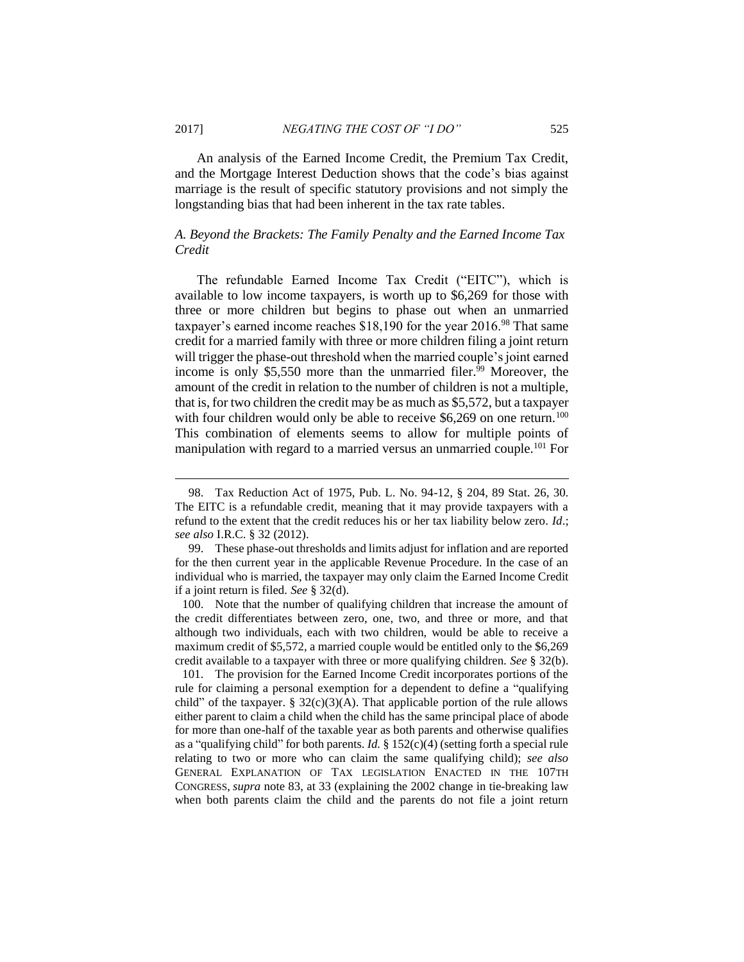$\overline{a}$ 

An analysis of the Earned Income Credit, the Premium Tax Credit, and the Mortgage Interest Deduction shows that the code's bias against marriage is the result of specific statutory provisions and not simply the longstanding bias that had been inherent in the tax rate tables.

# *A. Beyond the Brackets: The Family Penalty and the Earned Income Tax Credit*

The refundable Earned Income Tax Credit ("EITC"), which is available to low income taxpayers, is worth up to \$6,269 for those with three or more children but begins to phase out when an unmarried taxpayer's earned income reaches \$18,190 for the year 2016.<sup>98</sup> That same credit for a married family with three or more children filing a joint return will trigger the phase-out threshold when the married couple's joint earned income is only \$5,550 more than the unmarried filer.<sup>99</sup> Moreover, the amount of the credit in relation to the number of children is not a multiple, that is, for two children the credit may be as much as \$5,572, but a taxpayer with four children would only be able to receive  $$6,269$  on one return.<sup>100</sup> This combination of elements seems to allow for multiple points of manipulation with regard to a married versus an unmarried couple.<sup>101</sup> For

<sup>98.</sup> Tax Reduction Act of 1975, Pub. L. No. 94-12, § 204, 89 Stat. 26, 30. The EITC is a refundable credit, meaning that it may provide taxpayers with a refund to the extent that the credit reduces his or her tax liability below zero. *Id*.; *see also* I.R.C. § 32 (2012).

<sup>99.</sup> These phase-out thresholds and limits adjust for inflation and are reported for the then current year in the applicable Revenue Procedure. In the case of an individual who is married, the taxpayer may only claim the Earned Income Credit if a joint return is filed. *See* § 32(d).

<sup>100.</sup> Note that the number of qualifying children that increase the amount of the credit differentiates between zero, one, two, and three or more, and that although two individuals, each with two children, would be able to receive a maximum credit of \$5,572, a married couple would be entitled only to the \$6,269 credit available to a taxpayer with three or more qualifying children. *See* § 32(b).

<sup>101.</sup> The provision for the Earned Income Credit incorporates portions of the rule for claiming a personal exemption for a dependent to define a "qualifying child" of the taxpayer. §  $32(c)(3)(A)$ . That applicable portion of the rule allows either parent to claim a child when the child has the same principal place of abode for more than one-half of the taxable year as both parents and otherwise qualifies as a "qualifying child" for both parents. *Id.* § 152(c)(4) (setting forth a special rule relating to two or more who can claim the same qualifying child); *see also* GENERAL EXPLANATION OF TAX LEGISLATION ENACTED IN THE 107TH CONGRESS, *supra* note 83, at 33 (explaining the 2002 change in tie-breaking law when both parents claim the child and the parents do not file a joint return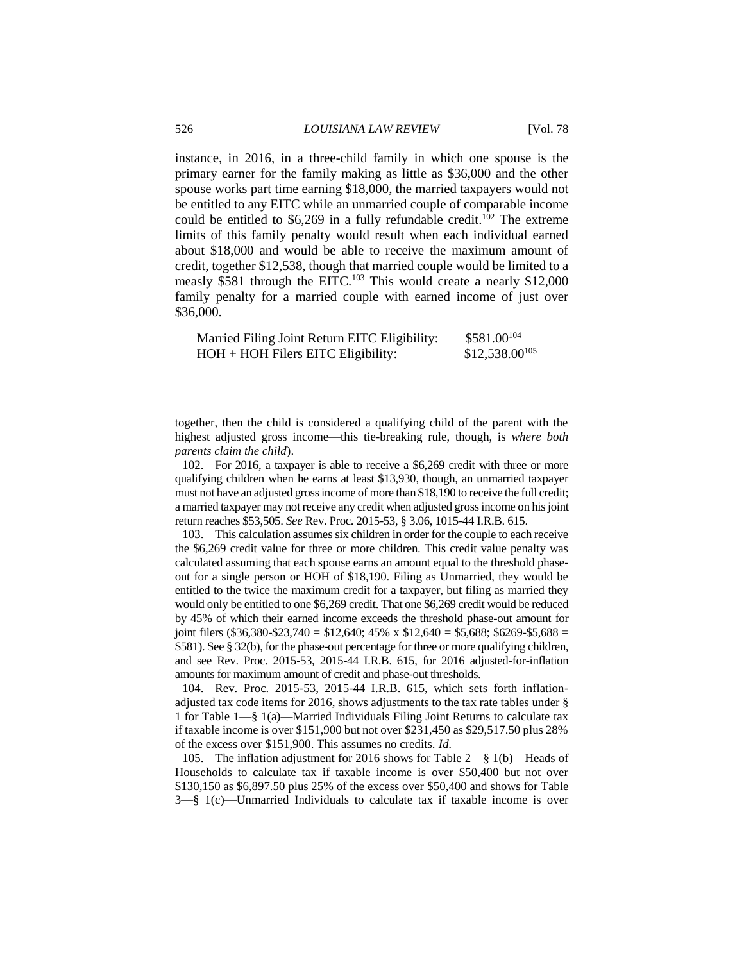instance, in 2016, in a three-child family in which one spouse is the primary earner for the family making as little as \$36,000 and the other spouse works part time earning \$18,000, the married taxpayers would not be entitled to any EITC while an unmarried couple of comparable income could be entitled to  $$6,269$  in a fully refundable credit.<sup>102</sup> The extreme limits of this family penalty would result when each individual earned about \$18,000 and would be able to receive the maximum amount of credit, together \$12,538, though that married couple would be limited to a measly \$581 through the EITC.<sup>103</sup> This would create a nearly \$12,000 family penalty for a married couple with earned income of just over \$36,000.

| Married Filing Joint Return EITC Eligibility: | $$581.00^{104}$    |
|-----------------------------------------------|--------------------|
| $HOH + HOH$ Filers EITC Eligibility:          | $$12,538.00^{105}$ |

103. This calculation assumes six children in order for the couple to each receive the \$6,269 credit value for three or more children. This credit value penalty was calculated assuming that each spouse earns an amount equal to the threshold phaseout for a single person or HOH of \$18,190. Filing as Unmarried, they would be entitled to the twice the maximum credit for a taxpayer, but filing as married they would only be entitled to one \$6,269 credit. That one \$6,269 credit would be reduced by 45% of which their earned income exceeds the threshold phase-out amount for joint filers (\$36,380-\$23,740 = \$12,640; 45% x \$12,640 = \$5,688; \$6269-\$5,688 = \$581). See § 32(b), for the phase-out percentage for three or more qualifying children, and see Rev. Proc. 2015-53, 2015-44 I.R.B. 615, for 2016 adjusted-for-inflation amounts for maximum amount of credit and phase-out thresholds.

104. Rev. Proc. 2015-53, 2015-44 I.R.B. 615, which sets forth inflationadjusted tax code items for 2016, shows adjustments to the tax rate tables under § 1 for Table 1—§ 1(a)—Married Individuals Filing Joint Returns to calculate tax if taxable income is over \$151,900 but not over \$231,450 as \$29,517.50 plus 28% of the excess over \$151,900. This assumes no credits. *Id.*

105. The inflation adjustment for 2016 shows for Table 2—§ 1(b)—Heads of Households to calculate tax if taxable income is over \$50,400 but not over \$130,150 as \$6,897.50 plus 25% of the excess over \$50,400 and shows for Table 3—§ 1(c)—Unmarried Individuals to calculate tax if taxable income is over

together, then the child is considered a qualifying child of the parent with the highest adjusted gross income—this tie-breaking rule, though, is *where both parents claim the child*).

<sup>102.</sup> For 2016, a taxpayer is able to receive a \$6,269 credit with three or more qualifying children when he earns at least \$13,930, though, an unmarried taxpayer must not have an adjusted gross income of more than \$18,190 to receive the full credit; a married taxpayer may not receive any credit when adjusted gross income on his joint return reaches \$53,505. *See* Rev. Proc. 2015-53, § 3.06, 1015-44 I.R.B. 615.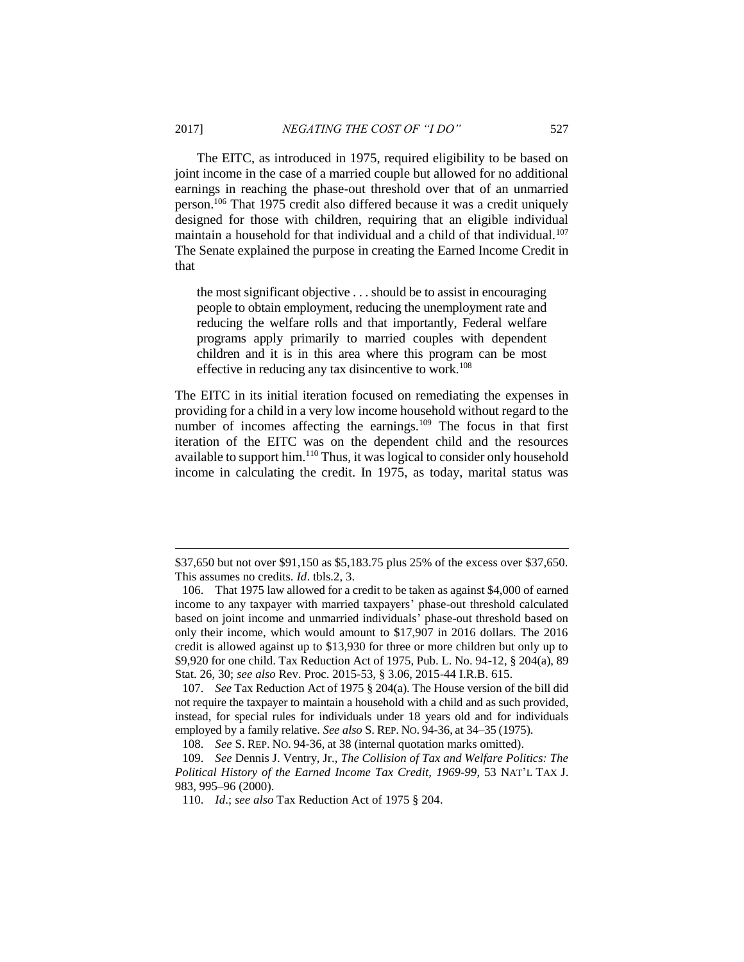The EITC, as introduced in 1975, required eligibility to be based on joint income in the case of a married couple but allowed for no additional earnings in reaching the phase-out threshold over that of an unmarried person.<sup>106</sup> That 1975 credit also differed because it was a credit uniquely designed for those with children, requiring that an eligible individual maintain a household for that individual and a child of that individual.<sup>107</sup> The Senate explained the purpose in creating the Earned Income Credit in that

the most significant objective . . . should be to assist in encouraging people to obtain employment, reducing the unemployment rate and reducing the welfare rolls and that importantly, Federal welfare programs apply primarily to married couples with dependent children and it is in this area where this program can be most effective in reducing any tax disincentive to work.<sup>108</sup>

The EITC in its initial iteration focused on remediating the expenses in providing for a child in a very low income household without regard to the number of incomes affecting the earnings.<sup>109</sup> The focus in that first iteration of the EITC was on the dependent child and the resources available to support him.<sup>110</sup> Thus, it was logical to consider only household income in calculating the credit. In 1975, as today, marital status was

<sup>\$37,650</sup> but not over \$91,150 as \$5,183.75 plus 25% of the excess over \$37,650. This assumes no credits. *Id*. tbls.2, 3.

<sup>106.</sup> That 1975 law allowed for a credit to be taken as against \$4,000 of earned income to any taxpayer with married taxpayers' phase-out threshold calculated based on joint income and unmarried individuals' phase-out threshold based on only their income, which would amount to \$17,907 in 2016 dollars. The 2016 credit is allowed against up to \$13,930 for three or more children but only up to \$9,920 for one child. Tax Reduction Act of 1975, Pub. L. No. 94-12, § 204(a), 89 Stat. 26, 30; *see also* Rev. Proc. 2015-53, § 3.06, 2015-44 I.R.B. 615.

<sup>107.</sup> *See* Tax Reduction Act of 1975 § 204(a). The House version of the bill did not require the taxpayer to maintain a household with a child and as such provided, instead, for special rules for individuals under 18 years old and for individuals employed by a family relative. *See also* S. REP. NO. 94-36, at 34–35 (1975).

<sup>108.</sup> *See* S. REP. NO. 94-36, at 38 (internal quotation marks omitted).

<sup>109.</sup> *See* Dennis J. Ventry, Jr., *The Collision of Tax and Welfare Politics: The Political History of the Earned Income Tax Credit, 1969-99*, 53 NAT'L TAX J. 983, 995–96 (2000).

<sup>110.</sup> *Id*.; *see also* Tax Reduction Act of 1975 § 204.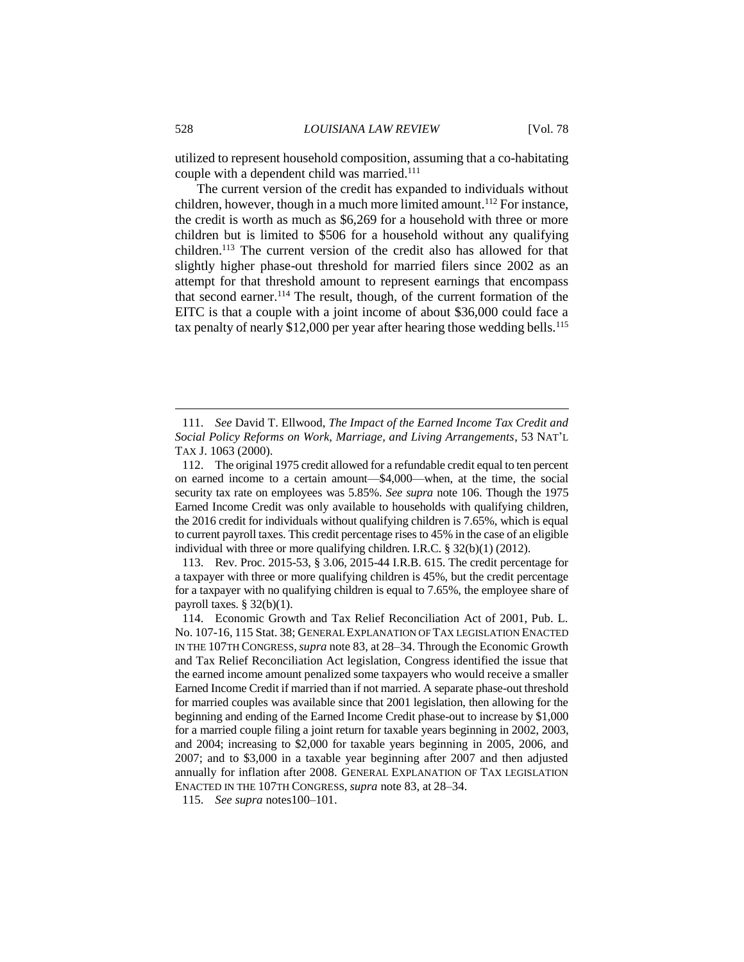utilized to represent household composition, assuming that a co-habitating couple with a dependent child was married.<sup>111</sup>

The current version of the credit has expanded to individuals without children, however, though in a much more limited amount.<sup>112</sup> For instance, the credit is worth as much as \$6,269 for a household with three or more children but is limited to \$506 for a household without any qualifying children.<sup>113</sup> The current version of the credit also has allowed for that slightly higher phase-out threshold for married filers since 2002 as an attempt for that threshold amount to represent earnings that encompass that second earner.<sup>114</sup> The result, though, of the current formation of the EITC is that a couple with a joint income of about \$36,000 could face a tax penalty of nearly  $$12,000$  per year after hearing those wedding bells.<sup>115</sup>

113. Rev. Proc. 2015-53, § 3.06, 2015-44 I.R.B. 615. The credit percentage for a taxpayer with three or more qualifying children is 45%, but the credit percentage for a taxpayer with no qualifying children is equal to 7.65%, the employee share of payroll taxes.  $§$  32(b)(1).

115. *See supra* notes100–101.

<sup>111.</sup> *See* David T. Ellwood, *The Impact of the Earned Income Tax Credit and Social Policy Reforms on Work, Marriage, and Living Arrangements*, 53 NAT'L TAX J. 1063 (2000).

<sup>112.</sup> The original 1975 credit allowed for a refundable credit equal to ten percent on earned income to a certain amount—\$4,000—when, at the time, the social security tax rate on employees was 5.85%. *See supra* note 106. Though the 1975 Earned Income Credit was only available to households with qualifying children, the 2016 credit for individuals without qualifying children is 7.65%, which is equal to current payroll taxes. This credit percentage rises to 45% in the case of an eligible individual with three or more qualifying children. I.R.C. § 32(b)(1) (2012).

<sup>114.</sup> Economic Growth and Tax Relief Reconciliation Act of 2001, Pub. L. No. 107-16, 115 Stat. 38; GENERAL EXPLANATION OF TAX LEGISLATION ENACTED IN THE 107TH CONGRESS,*supra* note 83, at 28–34. Through the Economic Growth and Tax Relief Reconciliation Act legislation, Congress identified the issue that the earned income amount penalized some taxpayers who would receive a smaller Earned Income Credit if married than if not married. A separate phase-out threshold for married couples was available since that 2001 legislation, then allowing for the beginning and ending of the Earned Income Credit phase-out to increase by \$1,000 for a married couple filing a joint return for taxable years beginning in 2002, 2003, and 2004; increasing to \$2,000 for taxable years beginning in 2005, 2006, and 2007; and to \$3,000 in a taxable year beginning after 2007 and then adjusted annually for inflation after 2008. GENERAL EXPLANATION OF TAX LEGISLATION ENACTED IN THE 107TH CONGRESS, *supra* note 83, at 28–34.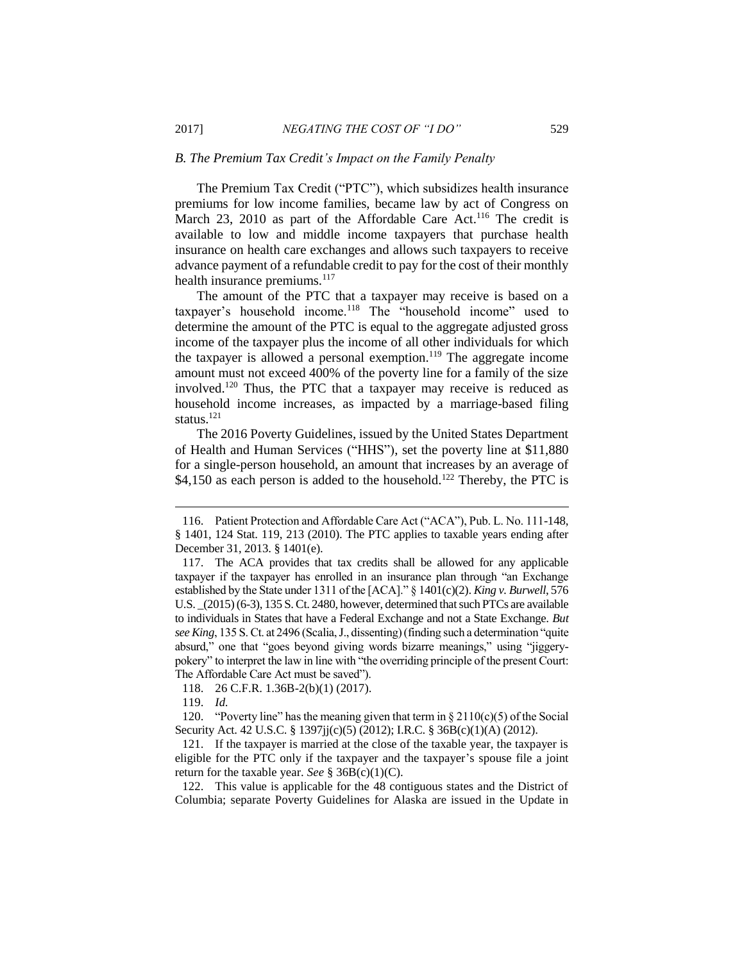#### *B. The Premium Tax Credit's Impact on the Family Penalty*

The Premium Tax Credit ("PTC"), which subsidizes health insurance premiums for low income families, became law by act of Congress on March 23, 2010 as part of the Affordable Care Act.<sup>116</sup> The credit is available to low and middle income taxpayers that purchase health insurance on health care exchanges and allows such taxpayers to receive advance payment of a refundable credit to pay for the cost of their monthly health insurance premiums.<sup>117</sup>

The amount of the PTC that a taxpayer may receive is based on a taxpayer's household income.<sup>118</sup> The "household income" used to determine the amount of the PTC is equal to the aggregate adjusted gross income of the taxpayer plus the income of all other individuals for which the taxpayer is allowed a personal exemption.<sup>119</sup> The aggregate income amount must not exceed 400% of the poverty line for a family of the size involved.<sup>120</sup> Thus, the PTC that a taxpayer may receive is reduced as household income increases, as impacted by a marriage-based filing status.<sup>121</sup>

The 2016 Poverty Guidelines, issued by the United States Department of Health and Human Services ("HHS"), set the poverty line at \$11,880 for a single-person household, an amount that increases by an average of  $$4,150$  as each person is added to the household.<sup>122</sup> Thereby, the PTC is

119. *Id.*

 $\overline{a}$ 

120. "Poverty line" has the meaning given that term in  $\S 2110(c)(5)$  of the Social Security Act. 42 U.S.C. § 1397jj(c)(5) (2012); I.R.C. § 36B(c)(1)(A) (2012).

121. If the taxpayer is married at the close of the taxable year, the taxpayer is eligible for the PTC only if the taxpayer and the taxpayer's spouse file a joint return for the taxable year. *See* § 36B(c)(1)(C).

122. This value is applicable for the 48 contiguous states and the District of Columbia; separate Poverty Guidelines for Alaska are issued in the Update in

<sup>116.</sup> Patient Protection and Affordable Care Act ("ACA"), Pub. L. No. 111-148, § 1401, 124 Stat. 119, 213 (2010). The PTC applies to taxable years ending after December 31, 2013. § 1401(e).

<sup>117.</sup> The ACA provides that tax credits shall be allowed for any applicable taxpayer if the taxpayer has enrolled in an insurance plan through "an Exchange established by the State under 1311 of the [ACA]." § 1401(c)(2). *King v. Burwell*, 576 U.S. \_(2015) (6-3), 135 S. Ct. 2480, however, determined that such PTCs are available to individuals in States that have a Federal Exchange and not a State Exchange. *But see King*, 135 S. Ct. at 2496 (Scalia, J., dissenting) (finding such a determination "quite absurd," one that "goes beyond giving words bizarre meanings," using "jiggerypokery" to interpret the law in line with "the overriding principle of the present Court: The Affordable Care Act must be saved").

<sup>118.</sup> 26 C.F.R. 1.36B-2(b)(1) (2017).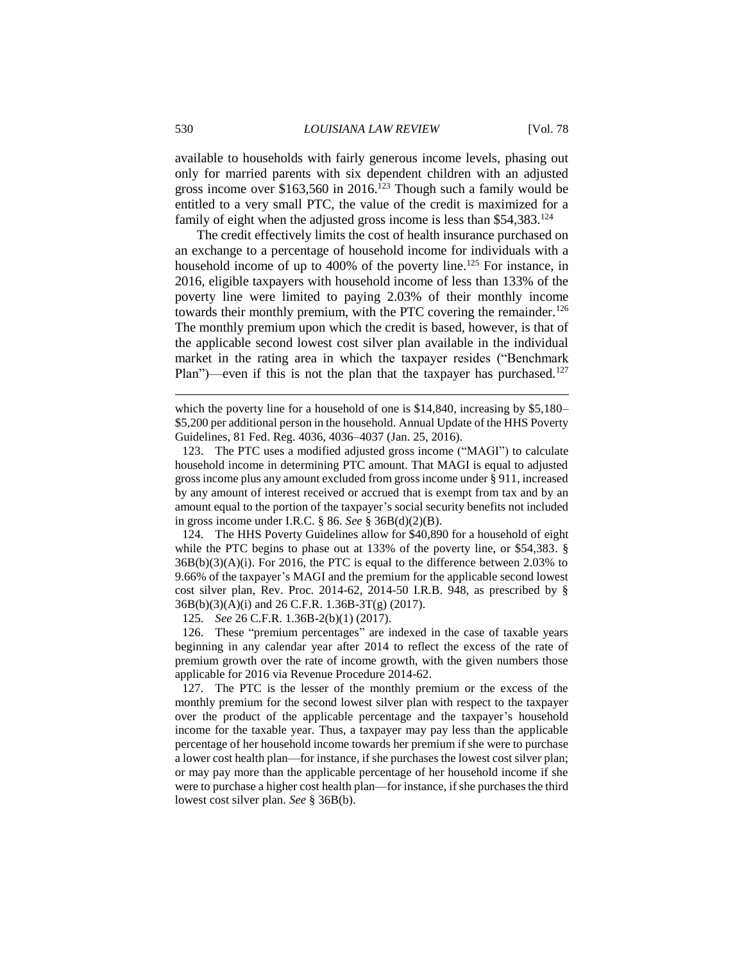available to households with fairly generous income levels, phasing out only for married parents with six dependent children with an adjusted gross income over  $$163,560$  in 2016.<sup>123</sup> Though such a family would be entitled to a very small PTC, the value of the credit is maximized for a family of eight when the adjusted gross income is less than \$54,383.<sup>124</sup>

The credit effectively limits the cost of health insurance purchased on an exchange to a percentage of household income for individuals with a household income of up to 400% of the poverty line.<sup>125</sup> For instance, in 2016, eligible taxpayers with household income of less than 133% of the poverty line were limited to paying 2.03% of their monthly income towards their monthly premium, with the PTC covering the remainder.<sup>126</sup> The monthly premium upon which the credit is based, however, is that of the applicable second lowest cost silver plan available in the individual market in the rating area in which the taxpayer resides ("Benchmark Plan")—even if this is not the plan that the taxpayer has purchased.<sup>127</sup>

which the poverty line for a household of one is \$14,840, increasing by \$5,180– \$5,200 per additional person in the household. Annual Update of the HHS Poverty Guidelines, 81 Fed. Reg. 4036, 4036–4037 (Jan. 25, 2016).

123. The PTC uses a modified adjusted gross income ("MAGI") to calculate household income in determining PTC amount. That MAGI is equal to adjusted gross income plus any amount excluded from gross income under § 911, increased by any amount of interest received or accrued that is exempt from tax and by an amount equal to the portion of the taxpayer's social security benefits not included in gross income under I.R.C. § 86. *See* § 36B(d)(2)(B).

124. The HHS Poverty Guidelines allow for \$40,890 for a household of eight while the PTC begins to phase out at 133% of the poverty line, or \$54,383*.* §  $36B(b)(3)(A)(i)$ . For 2016, the PTC is equal to the difference between 2.03% to 9.66% of the taxpayer's MAGI and the premium for the applicable second lowest cost silver plan, Rev. Proc. 2014-62, 2014-50 I.R.B. 948, as prescribed by § 36B(b)(3)(A)(i) and 26 C.F.R. 1.36B-3T(g) (2017).

125. *See* 26 C.F.R. 1.36B-2(b)(1) (2017).

126. These "premium percentages" are indexed in the case of taxable years beginning in any calendar year after 2014 to reflect the excess of the rate of premium growth over the rate of income growth, with the given numbers those applicable for 2016 via Revenue Procedure 2014-62.

127. The PTC is the lesser of the monthly premium or the excess of the monthly premium for the second lowest silver plan with respect to the taxpayer over the product of the applicable percentage and the taxpayer's household income for the taxable year. Thus, a taxpayer may pay less than the applicable percentage of her household income towards her premium if she were to purchase a lower cost health plan—for instance, if she purchases the lowest cost silver plan; or may pay more than the applicable percentage of her household income if she were to purchase a higher cost health plan—for instance, if she purchases the third lowest cost silver plan. *See* § 36B(b).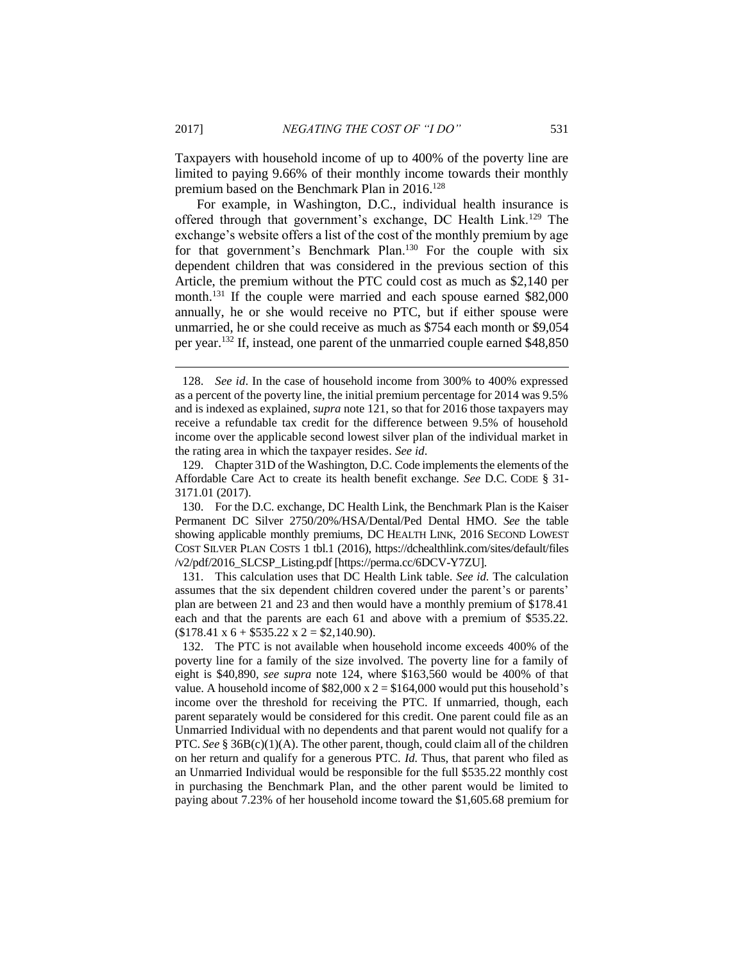Taxpayers with household income of up to 400% of the poverty line are limited to paying 9.66% of their monthly income towards their monthly premium based on the Benchmark Plan in 2016.<sup>128</sup>

For example, in Washington, D.C., individual health insurance is offered through that government's exchange, DC Health Link.<sup>129</sup> The exchange's website offers a list of the cost of the monthly premium by age for that government's Benchmark Plan.<sup>130</sup> For the couple with six dependent children that was considered in the previous section of this Article, the premium without the PTC could cost as much as \$2,140 per month.<sup>131</sup> If the couple were married and each spouse earned \$82,000 annually, he or she would receive no PTC, but if either spouse were unmarried, he or she could receive as much as \$754 each month or \$9,054 per year.<sup>132</sup> If, instead, one parent of the unmarried couple earned \$48,850

<sup>128.</sup> *See id*. In the case of household income from 300% to 400% expressed as a percent of the poverty line, the initial premium percentage for 2014 was 9.5% and is indexed as explained, *supra* note 121, so that for 2016 those taxpayers may receive a refundable tax credit for the difference between 9.5% of household income over the applicable second lowest silver plan of the individual market in the rating area in which the taxpayer resides. *See id*.

<sup>129.</sup> Chapter 31D of the Washington, D.C. Code implements the elements of the Affordable Care Act to create its health benefit exchange. *See* D.C. CODE § 31- 3171.01 (2017).

<sup>130.</sup> For the D.C. exchange, DC Health Link, the Benchmark Plan is the Kaiser Permanent DC Silver 2750/20%/HSA/Dental/Ped Dental HMO. *See* the table showing applicable monthly premiums, DC HEALTH LINK, 2016 SECOND LOWEST COST SILVER PLAN COSTS 1 tbl.1 (2016), https://dchealthlink.com/sites/default/files /v2/pdf/2016\_SLCSP\_Listing.pdf [https://perma.cc/6DCV-Y7ZU].

<sup>131.</sup> This calculation uses that DC Health Link table. *See id.* The calculation assumes that the six dependent children covered under the parent's or parents' plan are between 21 and 23 and then would have a monthly premium of \$178.41 each and that the parents are each 61 and above with a premium of \$535.22.  $$178.41 \times 6 + $535.22 \times 2 = $2,140.90$ .

<sup>132.</sup> The PTC is not available when household income exceeds 400% of the poverty line for a family of the size involved. The poverty line for a family of eight is \$40,890, *see supra* note 124, where \$163,560 would be 400% of that value. A household income of  $$82,000 \times 2 = $164,000$  would put this household's income over the threshold for receiving the PTC. If unmarried, though, each parent separately would be considered for this credit. One parent could file as an Unmarried Individual with no dependents and that parent would not qualify for a PTC. *See* § 36B(c)(1)(A). The other parent, though, could claim all of the children on her return and qualify for a generous PTC. *Id.* Thus, that parent who filed as an Unmarried Individual would be responsible for the full \$535.22 monthly cost in purchasing the Benchmark Plan, and the other parent would be limited to paying about 7.23% of her household income toward the \$1,605.68 premium for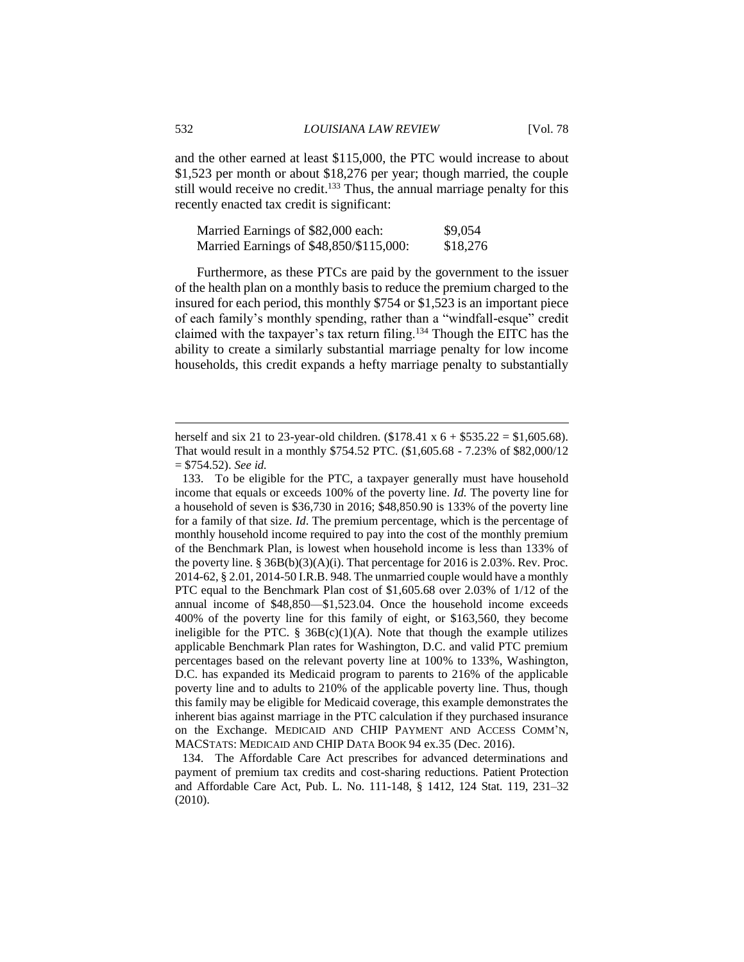and the other earned at least \$115,000, the PTC would increase to about \$1,523 per month or about \$18,276 per year; though married, the couple still would receive no credit.<sup>133</sup> Thus, the annual marriage penalty for this recently enacted tax credit is significant:

| Married Earnings of \$82,000 each: |                                         | \$9,054  |
|------------------------------------|-----------------------------------------|----------|
|                                    | Married Earnings of \$48,850/\$115,000: | \$18,276 |

Furthermore, as these PTCs are paid by the government to the issuer of the health plan on a monthly basis to reduce the premium charged to the insured for each period, this monthly \$754 or \$1,523 is an important piece of each family's monthly spending, rather than a "windfall-esque" credit claimed with the taxpayer's tax return filing.<sup>134</sup> Though the EITC has the ability to create a similarly substantial marriage penalty for low income households, this credit expands a hefty marriage penalty to substantially

herself and six 21 to 23-year-old children.  $(\$178.41 \times 6 + \$535.22 = \$1,605.68)$ . That would result in a monthly \$754.52 PTC. (\$1,605.68 - 7.23% of \$82,000/12 = \$754.52). *See id.*

<sup>133.</sup> To be eligible for the PTC, a taxpayer generally must have household income that equals or exceeds 100% of the poverty line. *Id.* The poverty line for a household of seven is \$36,730 in 2016; \$48,850.90 is 133% of the poverty line for a family of that size. *Id*. The premium percentage, which is the percentage of monthly household income required to pay into the cost of the monthly premium of the Benchmark Plan, is lowest when household income is less than 133% of the poverty line.  $\S 36B(b)(3)(A)(i)$ . That percentage for 2016 is 2.03%. Rev. Proc. 2014-62, § 2.01, 2014-50 I.R.B. 948. The unmarried couple would have a monthly PTC equal to the Benchmark Plan cost of \$1,605.68 over 2.03% of 1/12 of the annual income of \$48,850—\$1,523.04. Once the household income exceeds 400% of the poverty line for this family of eight, or \$163,560, they become ineligible for the PTC.  $\S$  36B(c)(1)(A). Note that though the example utilizes applicable Benchmark Plan rates for Washington, D.C. and valid PTC premium percentages based on the relevant poverty line at 100% to 133%, Washington, D.C. has expanded its Medicaid program to parents to 216% of the applicable poverty line and to adults to 210% of the applicable poverty line. Thus, though this family may be eligible for Medicaid coverage, this example demonstrates the inherent bias against marriage in the PTC calculation if they purchased insurance on the Exchange. MEDICAID AND CHIP PAYMENT AND ACCESS COMM'N, MACSTATS: MEDICAID AND CHIP DATA BOOK 94 ex.35 (Dec. 2016).

<sup>134.</sup> The Affordable Care Act prescribes for advanced determinations and payment of premium tax credits and cost-sharing reductions. Patient Protection and Affordable Care Act, Pub. L. No. 111-148, § 1412, 124 Stat. 119, 231–32 (2010).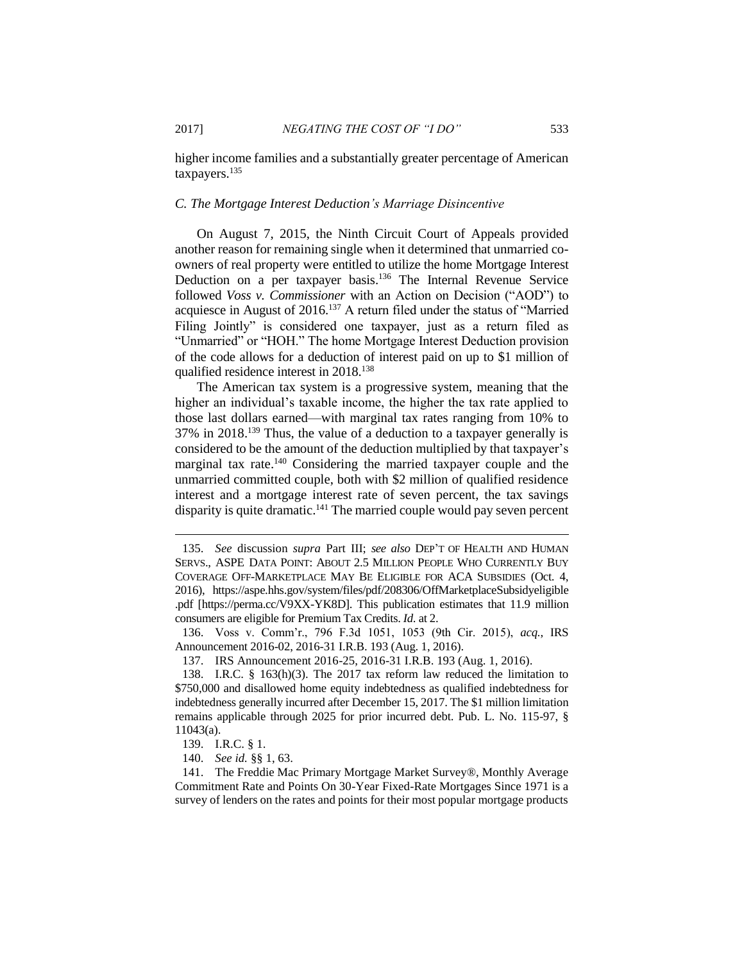higher income families and a substantially greater percentage of American taxpayers.<sup>135</sup>

#### *C. The Mortgage Interest Deduction's Marriage Disincentive*

On August 7, 2015, the Ninth Circuit Court of Appeals provided another reason for remaining single when it determined that unmarried coowners of real property were entitled to utilize the home Mortgage Interest Deduction on a per taxpayer basis.<sup>136</sup> The Internal Revenue Service followed *Voss v. Commissioner* with an Action on Decision ("AOD") to acquiesce in August of 2016.<sup>137</sup> A return filed under the status of "Married Filing Jointly" is considered one taxpayer, just as a return filed as "Unmarried" or "HOH." The home Mortgage Interest Deduction provision of the code allows for a deduction of interest paid on up to \$1 million of qualified residence interest in 2018. 138

The American tax system is a progressive system, meaning that the higher an individual's taxable income, the higher the tax rate applied to those last dollars earned—with marginal tax rates ranging from 10% to 37% in 2018. <sup>139</sup> Thus, the value of a deduction to a taxpayer generally is considered to be the amount of the deduction multiplied by that taxpayer's marginal tax rate.<sup>140</sup> Considering the married taxpayer couple and the unmarried committed couple, both with \$2 million of qualified residence interest and a mortgage interest rate of seven percent, the tax savings disparity is quite dramatic.<sup>141</sup> The married couple would pay seven percent

<sup>135.</sup> *See* discussion *supra* Part III; *see also* DEP'T OF HEALTH AND HUMAN SERVS., ASPE DATA POINT: ABOUT 2.5 MILLION PEOPLE WHO CURRENTLY BUY COVERAGE OFF-MARKETPLACE MAY BE ELIGIBLE FOR ACA SUBSIDIES (Oct. 4, 2016), https://aspe.hhs.gov/system/files/pdf/208306/OffMarketplaceSubsidyeligible .pdf [https://perma.cc/V9XX-YK8D]. This publication estimates that 11.9 million consumers are eligible for Premium Tax Credits. *Id*. at 2.

<sup>136.</sup> Voss v. Comm'r., 796 F.3d 1051, 1053 (9th Cir. 2015), *acq.*, IRS Announcement 2016-02, 2016-31 I.R.B. 193 (Aug. 1, 2016).

<sup>137.</sup> IRS Announcement 2016-25, 2016-31 I.R.B. 193 (Aug. 1, 2016).

<sup>138.</sup> I.R.C. § 163(h)(3). The 2017 tax reform law reduced the limitation to \$750,000 and disallowed home equity indebtedness as qualified indebtedness for indebtedness generally incurred after December 15, 2017. The \$1 million limitation remains applicable through 2025 for prior incurred debt. Pub. L. No. 115-97, § 11043(a).

<sup>139.</sup> I.R.C. § 1.

<sup>140.</sup> *See id.* §§ 1, 63.

<sup>141.</sup> The Freddie Mac Primary Mortgage Market Survey®, Monthly Average Commitment Rate and Points On 30-Year Fixed-Rate Mortgages Since 1971 is a survey of lenders on the rates and points for their most popular mortgage products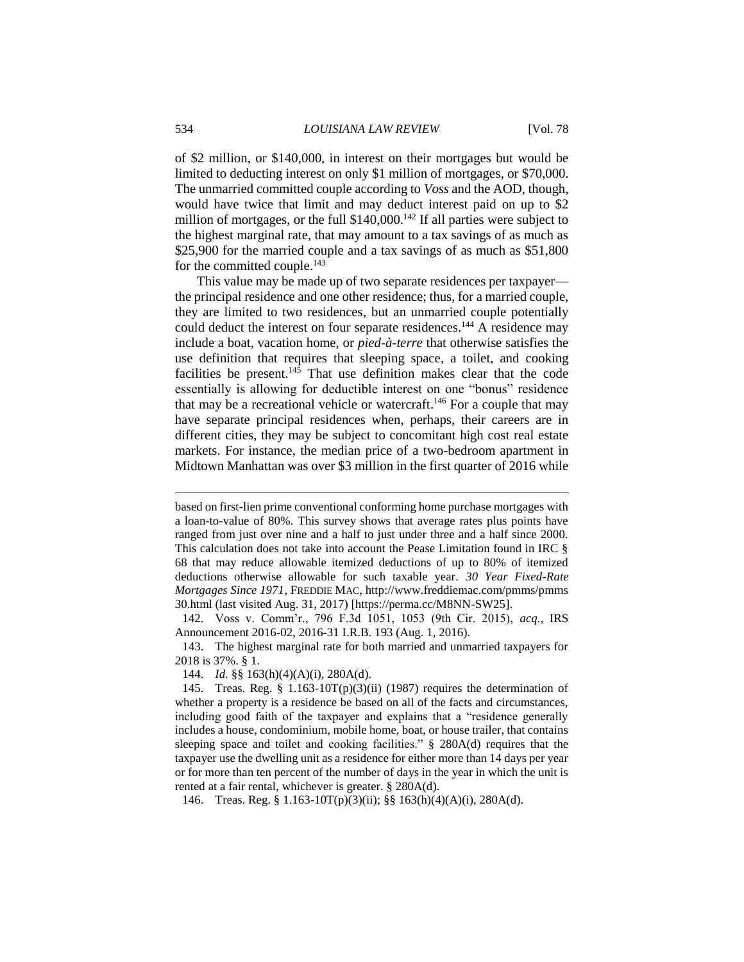of \$2 million, or \$140,000, in interest on their mortgages but would be limited to deducting interest on only \$1 million of mortgages, or \$70,000. The unmarried committed couple according to *Voss* and the AOD, though, would have twice that limit and may deduct interest paid on up to \$2 million of mortgages, or the full  $$140,000$ .<sup>142</sup> If all parties were subject to the highest marginal rate, that may amount to a tax savings of as much as \$25,900 for the married couple and a tax savings of as much as \$51,800 for the committed couple.<sup>143</sup>

This value may be made up of two separate residences per taxpayer the principal residence and one other residence; thus, for a married couple, they are limited to two residences, but an unmarried couple potentially could deduct the interest on four separate residences.<sup>144</sup> A residence may include a boat, vacation home, or *pied-à-terre* that otherwise satisfies the use definition that requires that sleeping space, a toilet, and cooking facilities be present. <sup>145</sup> That use definition makes clear that the code essentially is allowing for deductible interest on one "bonus" residence that may be a recreational vehicle or watercraft.<sup>146</sup> For a couple that may have separate principal residences when, perhaps, their careers are in different cities, they may be subject to concomitant high cost real estate markets. For instance, the median price of a two-bedroom apartment in Midtown Manhattan was over \$3 million in the first quarter of 2016 while

144. *Id.* §§ 163(h)(4)(A)(i), 280A(d).

146. Treas. Reg. § 1.163-10T(p)(3)(ii); §§ 163(h)(4)(A)(i), 280A(d).

based on first-lien prime conventional conforming home purchase mortgages with a loan-to-value of 80%. This survey shows that average rates plus points have ranged from just over nine and a half to just under three and a half since 2000. This calculation does not take into account the Pease Limitation found in IRC § 68 that may reduce allowable itemized deductions of up to 80% of itemized deductions otherwise allowable for such taxable year. *30 Year Fixed-Rate Mortgages Since 1971*, FREDDIE MAC, http://www.freddiemac.com/pmms/pmms 30.html (last visited Aug. 31, 2017) [https://perma.cc/M8NN-SW25].

<sup>142.</sup> Voss v. Comm'r., 796 F.3d 1051, 1053 (9th Cir. 2015), *acq.*, IRS Announcement 2016-02, 2016-31 I.R.B. 193 (Aug. 1, 2016).

<sup>143.</sup> The highest marginal rate for both married and unmarried taxpayers for 2018 is 37%. § 1.

<sup>145.</sup> Treas. Reg. § 1.163-10T(p)(3)(ii) (1987) requires the determination of whether a property is a residence be based on all of the facts and circumstances, including good faith of the taxpayer and explains that a "residence generally includes a house, condominium, mobile home, boat, or house trailer, that contains sleeping space and toilet and cooking facilities." § 280A(d) requires that the taxpayer use the dwelling unit as a residence for either more than 14 days per year or for more than ten percent of the number of days in the year in which the unit is rented at a fair rental, whichever is greater. § 280A(d).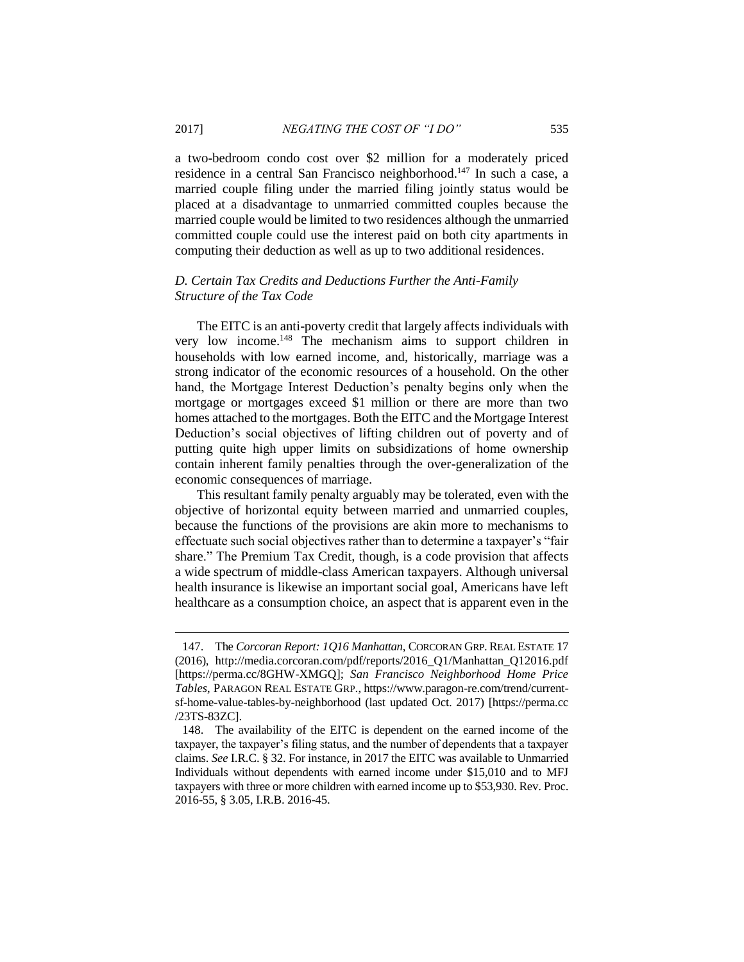a two-bedroom condo cost over \$2 million for a moderately priced residence in a central San Francisco neighborhood. <sup>147</sup> In such a case, a married couple filing under the married filing jointly status would be placed at a disadvantage to unmarried committed couples because the married couple would be limited to two residences although the unmarried committed couple could use the interest paid on both city apartments in computing their deduction as well as up to two additional residences.

# *D. Certain Tax Credits and Deductions Further the Anti-Family Structure of the Tax Code*

The EITC is an anti-poverty credit that largely affects individuals with very low income. <sup>148</sup> The mechanism aims to support children in households with low earned income, and, historically, marriage was a strong indicator of the economic resources of a household. On the other hand, the Mortgage Interest Deduction's penalty begins only when the mortgage or mortgages exceed \$1 million or there are more than two homes attached to the mortgages. Both the EITC and the Mortgage Interest Deduction's social objectives of lifting children out of poverty and of putting quite high upper limits on subsidizations of home ownership contain inherent family penalties through the over-generalization of the economic consequences of marriage.

This resultant family penalty arguably may be tolerated, even with the objective of horizontal equity between married and unmarried couples, because the functions of the provisions are akin more to mechanisms to effectuate such social objectives rather than to determine a taxpayer's "fair share." The Premium Tax Credit, though, is a code provision that affects a wide spectrum of middle-class American taxpayers. Although universal health insurance is likewise an important social goal, Americans have left healthcare as a consumption choice, an aspect that is apparent even in the

<sup>147.</sup> The *Corcoran Report: 1Q16 Manhattan*, CORCORAN GRP. REAL ESTATE 17 (2016), http://media.corcoran.com/pdf/reports/2016\_Q1/Manhattan\_Q12016.pdf [https://perma.cc/8GHW-XMGQ]; *San Francisco Neighborhood Home Price Tables*, PARAGON REAL ESTATE GRP., https://www.paragon-re.com/trend/currentsf-home-value-tables-by-neighborhood (last updated Oct. 2017) [https://perma.cc /23TS-83ZC].

<sup>148.</sup> The availability of the EITC is dependent on the earned income of the taxpayer, the taxpayer's filing status, and the number of dependents that a taxpayer claims. *See* I.R.C. § 32. For instance, in 2017 the EITC was available to Unmarried Individuals without dependents with earned income under \$15,010 and to MFJ taxpayers with three or more children with earned income up to \$53,930. Rev. Proc. 2016-55, § 3.05, I.R.B. 2016-45.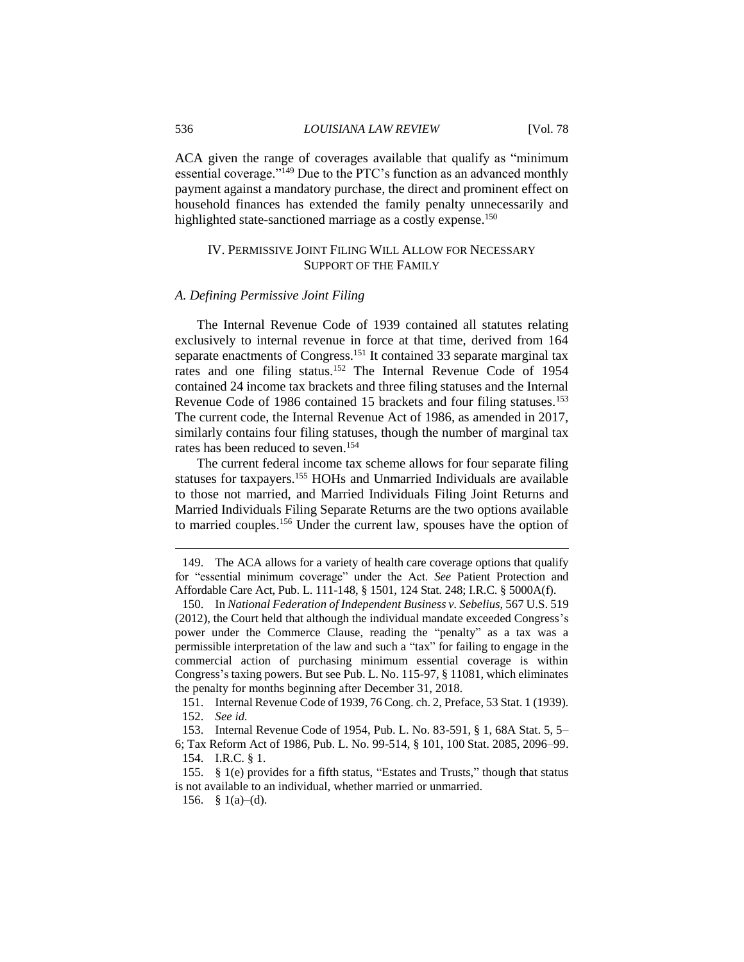ACA given the range of coverages available that qualify as "minimum essential coverage."<sup>149</sup> Due to the PTC's function as an advanced monthly payment against a mandatory purchase, the direct and prominent effect on household finances has extended the family penalty unnecessarily and highlighted state-sanctioned marriage as a costly expense.<sup>150</sup>

## IV. PERMISSIVE JOINT FILING WILL ALLOW FOR NECESSARY SUPPORT OF THE FAMILY

#### *A. Defining Permissive Joint Filing*

The Internal Revenue Code of 1939 contained all statutes relating exclusively to internal revenue in force at that time, derived from 164 separate enactments of Congress.<sup>151</sup> It contained 33 separate marginal tax rates and one filing status.<sup>152</sup> The Internal Revenue Code of 1954 contained 24 income tax brackets and three filing statuses and the Internal Revenue Code of 1986 contained 15 brackets and four filing statuses.<sup>153</sup> The current code, the Internal Revenue Act of 1986, as amended in 2017, similarly contains four filing statuses, though the number of marginal tax rates has been reduced to seven. 154

The current federal income tax scheme allows for four separate filing statuses for taxpayers.<sup>155</sup> HOHs and Unmarried Individuals are available to those not married, and Married Individuals Filing Joint Returns and Married Individuals Filing Separate Returns are the two options available to married couples.<sup>156</sup> Under the current law, spouses have the option of

<sup>149.</sup> The ACA allows for a variety of health care coverage options that qualify for "essential minimum coverage" under the Act. *See* Patient Protection and Affordable Care Act, Pub. L. 111-148, § 1501, 124 Stat. 248; I.R.C. § 5000A(f).

<sup>150.</sup> In *National Federation of Independent Business v. Sebelius*, 567 U.S. 519 (2012), the Court held that although the individual mandate exceeded Congress's power under the Commerce Clause, reading the "penalty" as a tax was a permissible interpretation of the law and such a "tax" for failing to engage in the commercial action of purchasing minimum essential coverage is within Congress's taxing powers. But see Pub. L. No. 115-97, § 11081, which eliminates the penalty for months beginning after December 31, 2018.

<sup>151.</sup> Internal Revenue Code of 1939, 76 Cong. ch. 2, Preface, 53 Stat. 1 (1939). 152. *See id.*

<sup>153.</sup> Internal Revenue Code of 1954, Pub. L. No. 83-591, § 1, 68A Stat. 5, 5– 6; Tax Reform Act of 1986, Pub. L. No. 99-514, § 101, 100 Stat. 2085, 2096–99.

<sup>154.</sup> I.R.C. § 1.

<sup>155.</sup> § 1(e) provides for a fifth status, "Estates and Trusts," though that status is not available to an individual, whether married or unmarried.

<sup>156. § 1(</sup>a)–(d).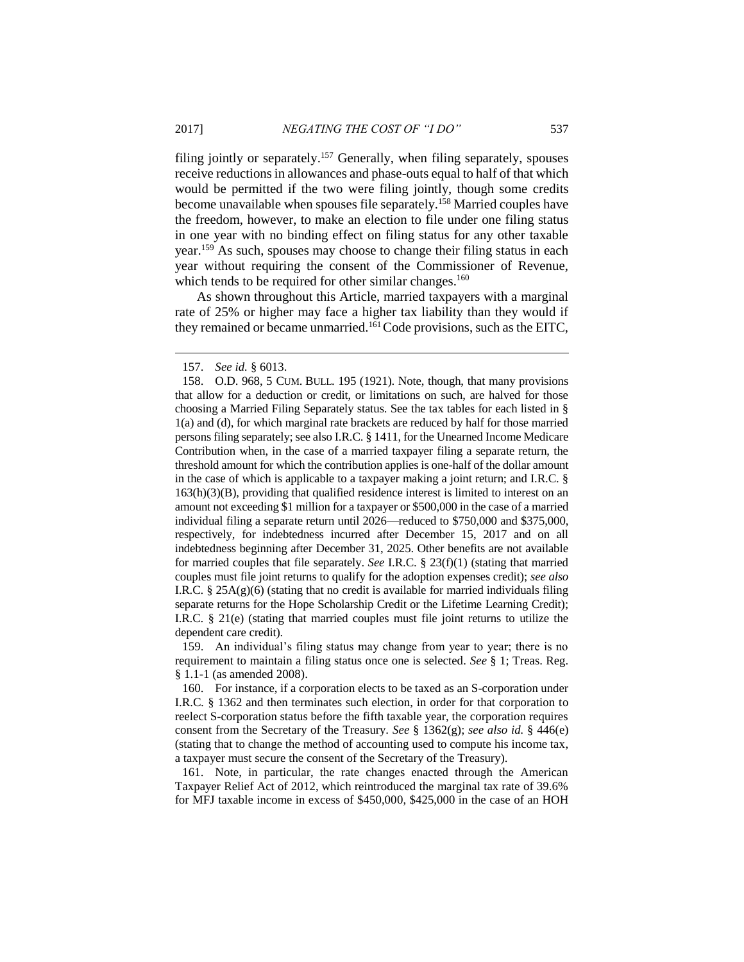filing jointly or separately.<sup>157</sup> Generally, when filing separately, spouses receive reductions in allowances and phase-outs equal to half of that which would be permitted if the two were filing jointly, though some credits become unavailable when spouses file separately.<sup>158</sup> Married couples have the freedom, however, to make an election to file under one filing status in one year with no binding effect on filing status for any other taxable year.<sup>159</sup> As such, spouses may choose to change their filing status in each year without requiring the consent of the Commissioner of Revenue, which tends to be required for other similar changes.<sup>160</sup>

As shown throughout this Article, married taxpayers with a marginal rate of 25% or higher may face a higher tax liability than they would if they remained or became unmarried.<sup>161</sup> Code provisions, such as the EITC,

159. An individual's filing status may change from year to year; there is no requirement to maintain a filing status once one is selected. *See* § 1; Treas. Reg. § 1.1-1 (as amended 2008).

160. For instance, if a corporation elects to be taxed as an S-corporation under I.R.C*.* § 1362 and then terminates such election, in order for that corporation to reelect S-corporation status before the fifth taxable year, the corporation requires consent from the Secretary of the Treasury. *See* § 1362(g); *see also id.* § 446(e) (stating that to change the method of accounting used to compute his income tax, a taxpayer must secure the consent of the Secretary of the Treasury).

161. Note, in particular, the rate changes enacted through the American Taxpayer Relief Act of 2012, which reintroduced the marginal tax rate of 39.6% for MFJ taxable income in excess of \$450,000, \$425,000 in the case of an HOH

<sup>157.</sup> *See id.* § 6013.

<sup>158.</sup> O.D. 968, 5 CUM. BULL. 195 (1921). Note, though, that many provisions that allow for a deduction or credit, or limitations on such, are halved for those choosing a Married Filing Separately status. See the tax tables for each listed in § 1(a) and (d), for which marginal rate brackets are reduced by half for those married persons filing separately; see also I.R.C. § 1411, for the Unearned Income Medicare Contribution when, in the case of a married taxpayer filing a separate return, the threshold amount for which the contribution applies is one-half of the dollar amount in the case of which is applicable to a taxpayer making a joint return; and I.R.C. §  $163(h)(3)(B)$ , providing that qualified residence interest is limited to interest on an amount not exceeding \$1 million for a taxpayer or \$500,000 in the case of a married individual filing a separate return until 2026—reduced to \$750,000 and \$375,000, respectively, for indebtedness incurred after December 15, 2017 and on all indebtedness beginning after December 31, 2025. Other benefits are not available for married couples that file separately. *See* I.R.C. § 23(f)(1) (stating that married couples must file joint returns to qualify for the adoption expenses credit); *see also*  I.R.C. §  $25A(g)(6)$  (stating that no credit is available for married individuals filing separate returns for the Hope Scholarship Credit or the Lifetime Learning Credit); I.R.C. § 21(e) (stating that married couples must file joint returns to utilize the dependent care credit).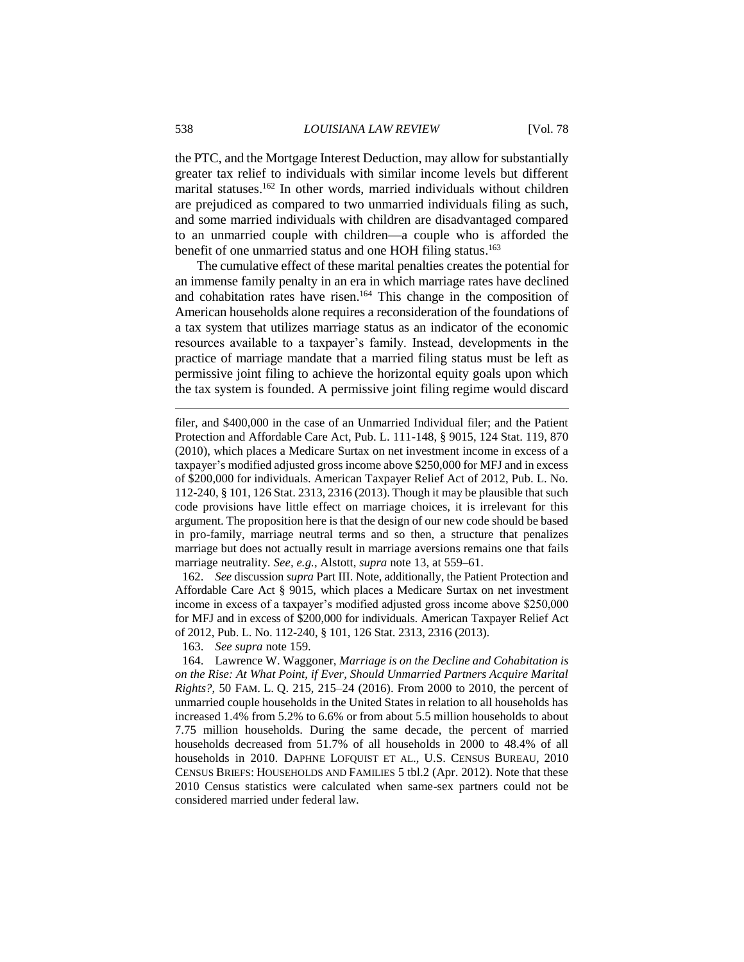the PTC, and the Mortgage Interest Deduction, may allow for substantially greater tax relief to individuals with similar income levels but different marital statuses. <sup>162</sup> In other words, married individuals without children are prejudiced as compared to two unmarried individuals filing as such, and some married individuals with children are disadvantaged compared to an unmarried couple with children—a couple who is afforded the benefit of one unmarried status and one HOH filing status.<sup>163</sup>

The cumulative effect of these marital penalties creates the potential for an immense family penalty in an era in which marriage rates have declined and cohabitation rates have risen. <sup>164</sup> This change in the composition of American households alone requires a reconsideration of the foundations of a tax system that utilizes marriage status as an indicator of the economic resources available to a taxpayer's family. Instead, developments in the practice of marriage mandate that a married filing status must be left as permissive joint filing to achieve the horizontal equity goals upon which the tax system is founded. A permissive joint filing regime would discard

162. *See* discussion *supra* Part III. Note, additionally, the Patient Protection and Affordable Care Act § 9015, which places a Medicare Surtax on net investment income in excess of a taxpayer's modified adjusted gross income above \$250,000 for MFJ and in excess of \$200,000 for individuals. American Taxpayer Relief Act of 2012, Pub. L. No. 112-240, § 101, 126 Stat. 2313, 2316 (2013).

163. *See supra* note 159.

filer, and \$400,000 in the case of an Unmarried Individual filer; and the Patient Protection and Affordable Care Act, Pub. L. 111-148, § 9015, 124 Stat. 119, 870 (2010), which places a Medicare Surtax on net investment income in excess of a taxpayer's modified adjusted gross income above \$250,000 for MFJ and in excess of \$200,000 for individuals. American Taxpayer Relief Act of 2012, Pub. L. No. 112-240, § 101, 126 Stat. 2313, 2316 (2013). Though it may be plausible that such code provisions have little effect on marriage choices, it is irrelevant for this argument. The proposition here is that the design of our new code should be based in pro-family, marriage neutral terms and so then, a structure that penalizes marriage but does not actually result in marriage aversions remains one that fails marriage neutrality. *See, e.g.*, Alstott, *supra* note 13, at 559–61.

<sup>164.</sup> Lawrence W. Waggoner, *Marriage is on the Decline and Cohabitation is on the Rise: At What Point, if Ever, Should Unmarried Partners Acquire Marital Rights?*, 50 FAM. L. Q. 215, 215–24 (2016). From 2000 to 2010, the percent of unmarried couple households in the United States in relation to all households has increased 1.4% from 5.2% to 6.6% or from about 5.5 million households to about 7.75 million households. During the same decade, the percent of married households decreased from 51.7% of all households in 2000 to 48.4% of all households in 2010. DAPHNE LOFQUIST ET AL., U.S. CENSUS BUREAU, 2010 CENSUS BRIEFS: HOUSEHOLDS AND FAMILIES 5 tbl.2 (Apr. 2012). Note that these 2010 Census statistics were calculated when same-sex partners could not be considered married under federal law.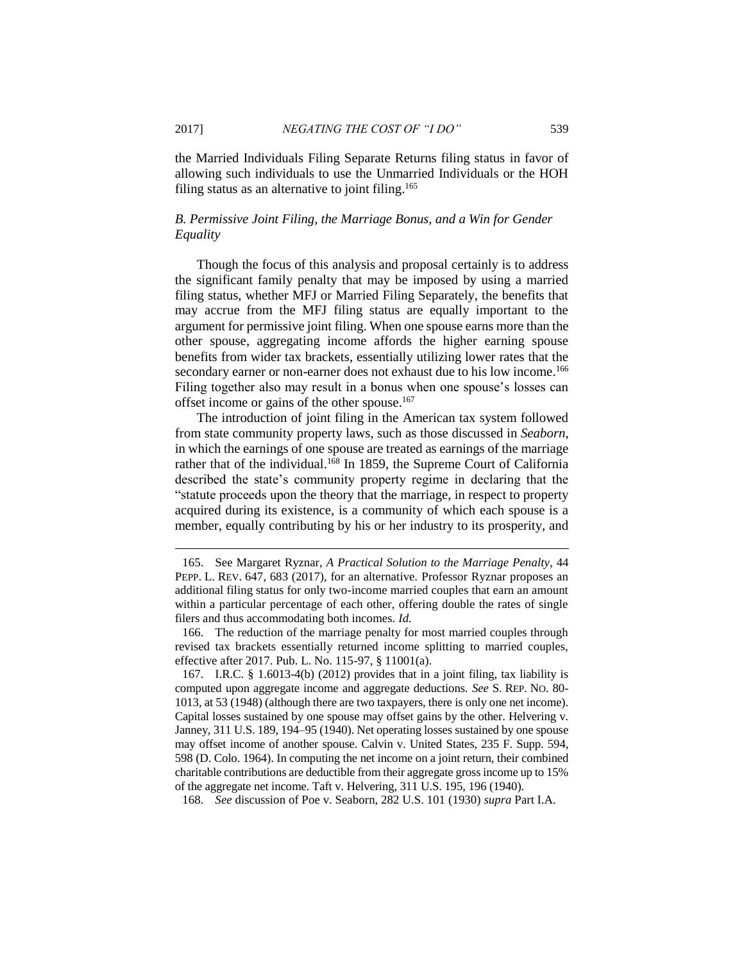the Married Individuals Filing Separate Returns filing status in favor of allowing such individuals to use the Unmarried Individuals or the HOH filing status as an alternative to joint filing.<sup>165</sup>

# *B. Permissive Joint Filing, the Marriage Bonus, and a Win for Gender Equality*

Though the focus of this analysis and proposal certainly is to address the significant family penalty that may be imposed by using a married filing status, whether MFJ or Married Filing Separately, the benefits that may accrue from the MFJ filing status are equally important to the argument for permissive joint filing. When one spouse earns more than the other spouse, aggregating income affords the higher earning spouse benefits from wider tax brackets, essentially utilizing lower rates that the secondary earner or non-earner does not exhaust due to his low income.<sup>166</sup> Filing together also may result in a bonus when one spouse's losses can offset income or gains of the other spouse.<sup>167</sup>

The introduction of joint filing in the American tax system followed from state community property laws, such as those discussed in *Seaborn*, in which the earnings of one spouse are treated as earnings of the marriage rather that of the individual.<sup>168</sup> In 1859, the Supreme Court of California described the state's community property regime in declaring that the "statute proceeds upon the theory that the marriage, in respect to property acquired during its existence, is a community of which each spouse is a member, equally contributing by his or her industry to its prosperity, and

<sup>165.</sup> See Margaret Ryznar, *A Practical Solution to the Marriage Penalty*, 44 PEPP. L. REV. 647, 683 (2017), for an alternative. Professor Ryznar proposes an additional filing status for only two-income married couples that earn an amount within a particular percentage of each other, offering double the rates of single filers and thus accommodating both incomes. *Id.*

<sup>166.</sup> The reduction of the marriage penalty for most married couples through revised tax brackets essentially returned income splitting to married couples, effective after 2017. Pub. L. No. 115-97, § 11001(a).

<sup>167.</sup> I.R.C. § 1.6013-4(b) (2012) provides that in a joint filing, tax liability is computed upon aggregate income and aggregate deductions. *See* S. REP. NO. 80- 1013, at 53 (1948) (although there are two taxpayers, there is only one net income). Capital losses sustained by one spouse may offset gains by the other. Helvering v. Janney, 311 U.S. 189, 194–95 (1940). Net operating losses sustained by one spouse may offset income of another spouse. Calvin v. United States, 235 F. Supp. 594, 598 (D. Colo. 1964). In computing the net income on a joint return, their combined charitable contributions are deductible from their aggregate gross income up to 15% of the aggregate net income. Taft v. Helvering, 311 U.S. 195, 196 (1940).

<sup>168.</sup> *See* discussion of Poe v. Seaborn, 282 U.S. 101 (1930) *supra* Part I.A.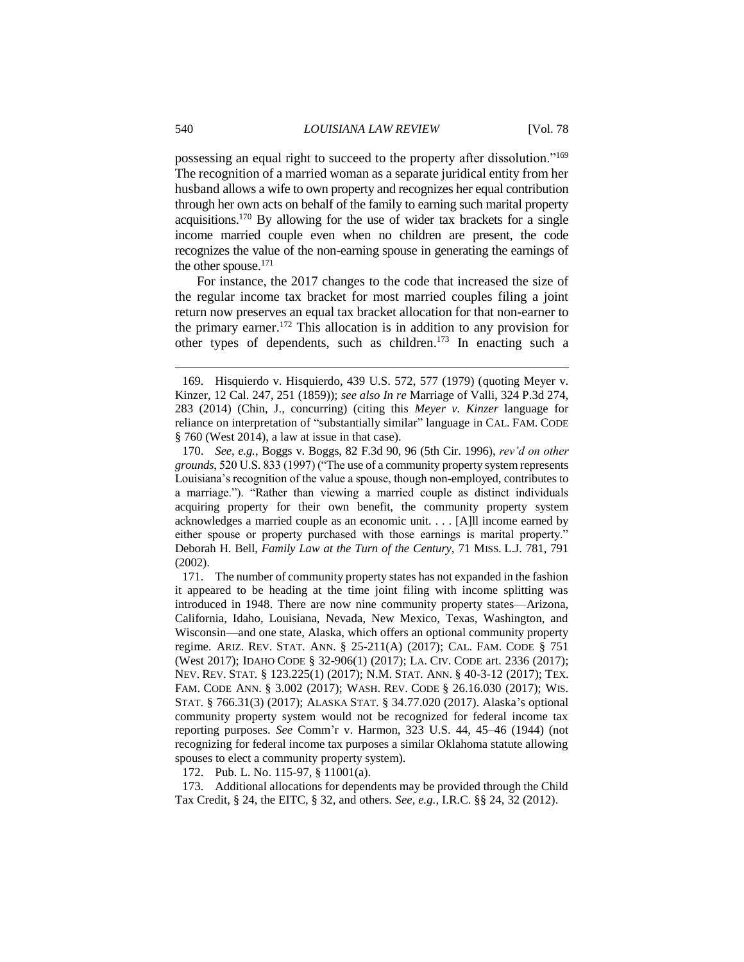possessing an equal right to succeed to the property after dissolution."<sup>169</sup> The recognition of a married woman as a separate juridical entity from her husband allows a wife to own property and recognizes her equal contribution through her own acts on behalf of the family to earning such marital property acquisitions.<sup>170</sup> By allowing for the use of wider tax brackets for a single income married couple even when no children are present, the code recognizes the value of the non-earning spouse in generating the earnings of the other spouse.<sup>171</sup>

For instance, the 2017 changes to the code that increased the size of the regular income tax bracket for most married couples filing a joint return now preserves an equal tax bracket allocation for that non-earner to the primary earner. <sup>172</sup> This allocation is in addition to any provision for other types of dependents, such as children. <sup>173</sup> In enacting such a

172. Pub. L. No. 115-97, § 11001(a).

173. Additional allocations for dependents may be provided through the Child Tax Credit, § 24, the EITC, § 32, and others. *See, e.g.*, I.R.C. §§ 24, 32 (2012).

<sup>169.</sup> Hisquierdo v. Hisquierdo, 439 U.S. 572, 577 (1979) (quoting Meyer v. Kinzer, 12 Cal. 247, 251 (1859)); *see also In re* Marriage of Valli, 324 P.3d 274, 283 (2014) (Chin, J., concurring) (citing this *Meyer v. Kinzer* language for reliance on interpretation of "substantially similar" language in CAL. FAM. CODE § 760 (West 2014), a law at issue in that case).

<sup>170.</sup> *See, e.g.*, Boggs v. Boggs, 82 F.3d 90, 96 (5th Cir. 1996), *rev'd on other grounds*, 520 U.S. 833 (1997) ("The use of a community property system represents Louisiana's recognition of the value a spouse, though non-employed, contributes to a marriage."). "Rather than viewing a married couple as distinct individuals acquiring property for their own benefit, the community property system acknowledges a married couple as an economic unit. . . . [A]ll income earned by either spouse or property purchased with those earnings is marital property." Deborah H. Bell, *Family Law at the Turn of the Century*, 71 MISS. L.J. 781, 791 (2002).

<sup>171.</sup> The number of community property states has not expanded in the fashion it appeared to be heading at the time joint filing with income splitting was introduced in 1948. There are now nine community property states—Arizona, California, Idaho, Louisiana, Nevada, New Mexico, Texas, Washington, and Wisconsin—and one state, Alaska, which offers an optional community property regime. ARIZ. REV. STAT. ANN. § 25-211(A) (2017); CAL. FAM. CODE § 751 (West 2017); IDAHO CODE § 32-906(1) (2017); LA. CIV. CODE art. 2336 (2017); NEV. REV. STAT. § 123.225(1) (2017); N.M. STAT. ANN. § 40-3-12 (2017); TEX. FAM. CODE ANN. § 3.002 (2017); WASH. REV. CODE § 26.16.030 (2017); WIS. STAT. § 766.31(3) (2017); ALASKA STAT. § 34.77.020 (2017). Alaska's optional community property system would not be recognized for federal income tax reporting purposes. *See* Comm'r v. Harmon, 323 U.S. 44, 45–46 (1944) (not recognizing for federal income tax purposes a similar Oklahoma statute allowing spouses to elect a community property system).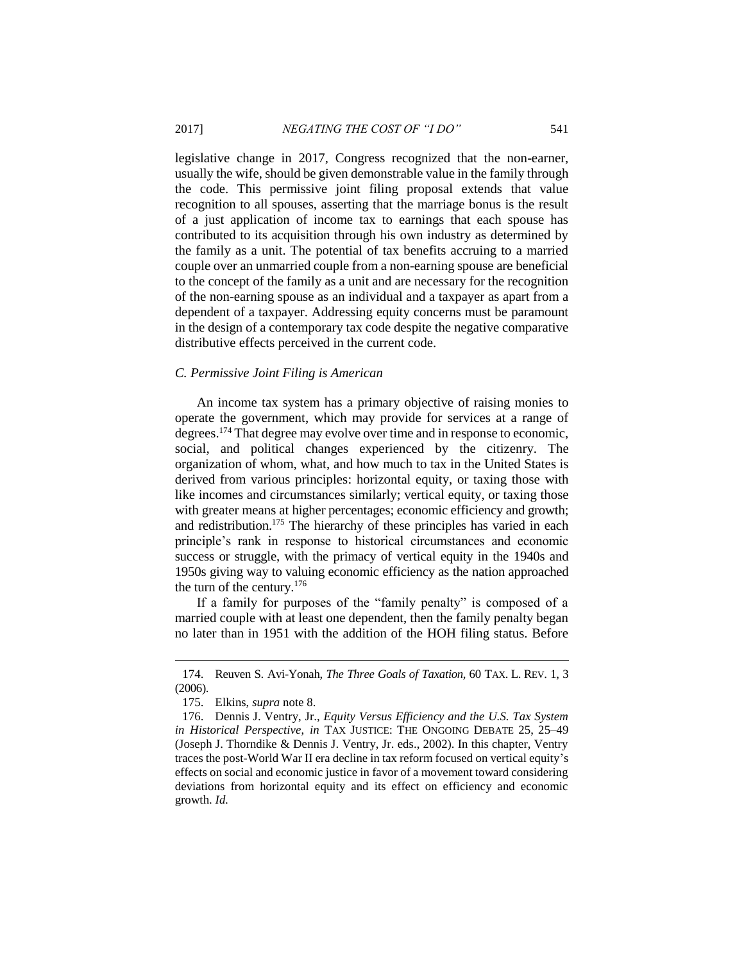legislative change in 2017, Congress recognized that the non-earner, usually the wife, should be given demonstrable value in the family through the code. This permissive joint filing proposal extends that value recognition to all spouses, asserting that the marriage bonus is the result of a just application of income tax to earnings that each spouse has contributed to its acquisition through his own industry as determined by the family as a unit. The potential of tax benefits accruing to a married couple over an unmarried couple from a non-earning spouse are beneficial to the concept of the family as a unit and are necessary for the recognition of the non-earning spouse as an individual and a taxpayer as apart from a dependent of a taxpayer. Addressing equity concerns must be paramount in the design of a contemporary tax code despite the negative comparative distributive effects perceived in the current code.

#### *C. Permissive Joint Filing is American*

An income tax system has a primary objective of raising monies to operate the government, which may provide for services at a range of degrees.<sup>174</sup> That degree may evolve over time and in response to economic, social, and political changes experienced by the citizenry. The organization of whom, what, and how much to tax in the United States is derived from various principles: horizontal equity, or taxing those with like incomes and circumstances similarly; vertical equity, or taxing those with greater means at higher percentages; economic efficiency and growth; and redistribution.<sup>175</sup> The hierarchy of these principles has varied in each principle's rank in response to historical circumstances and economic success or struggle, with the primacy of vertical equity in the 1940s and 1950s giving way to valuing economic efficiency as the nation approached the turn of the century.<sup>176</sup>

If a family for purposes of the "family penalty" is composed of a married couple with at least one dependent, then the family penalty began no later than in 1951 with the addition of the HOH filing status. Before

<sup>174.</sup> Reuven S. Avi-Yonah, *The Three Goals of Taxation*, 60 TAX. L. REV. 1, 3 (2006).

<sup>175.</sup> Elkins, *supra* note 8.

<sup>176.</sup> Dennis J. Ventry, Jr., *Equity Versus Efficiency and the U.S. Tax System in Historical Perspective*, *in* TAX JUSTICE: THE ONGOING DEBATE 25, 25–49 (Joseph J. Thorndike & Dennis J. Ventry, Jr. eds., 2002). In this chapter, Ventry traces the post-World War II era decline in tax reform focused on vertical equity's effects on social and economic justice in favor of a movement toward considering deviations from horizontal equity and its effect on efficiency and economic growth. *Id.*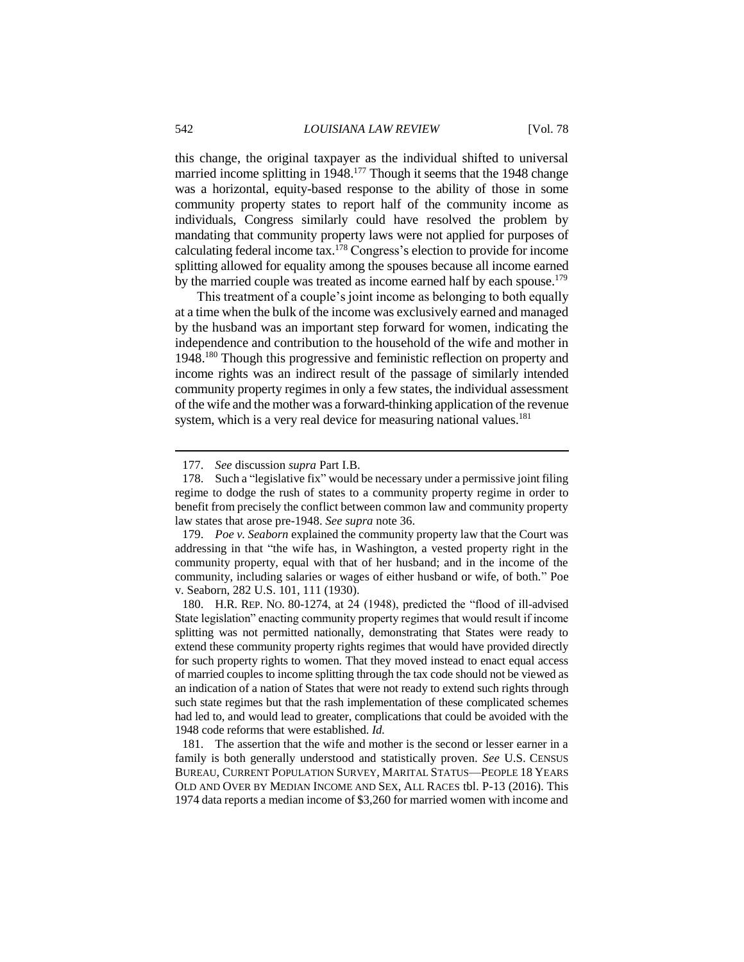this change, the original taxpayer as the individual shifted to universal married income splitting in 1948.<sup>177</sup> Though it seems that the 1948 change was a horizontal, equity-based response to the ability of those in some community property states to report half of the community income as individuals, Congress similarly could have resolved the problem by mandating that community property laws were not applied for purposes of calculating federal income tax.<sup>178</sup> Congress's election to provide for income splitting allowed for equality among the spouses because all income earned by the married couple was treated as income earned half by each spouse.<sup>179</sup>

This treatment of a couple's joint income as belonging to both equally at a time when the bulk of the income was exclusively earned and managed by the husband was an important step forward for women, indicating the independence and contribution to the household of the wife and mother in 1948.<sup>180</sup> Though this progressive and feministic reflection on property and income rights was an indirect result of the passage of similarly intended community property regimes in only a few states, the individual assessment of the wife and the mother was a forward-thinking application of the revenue system, which is a very real device for measuring national values.<sup>181</sup>

<sup>177.</sup> *See* discussion *supra* Part I.B.

<sup>178.</sup> Such a "legislative fix" would be necessary under a permissive joint filing regime to dodge the rush of states to a community property regime in order to benefit from precisely the conflict between common law and community property law states that arose pre-1948. *See supra* note 36.

<sup>179.</sup> *Poe v. Seaborn* explained the community property law that the Court was addressing in that "the wife has, in Washington, a vested property right in the community property, equal with that of her husband; and in the income of the community, including salaries or wages of either husband or wife, of both." Poe v. Seaborn, 282 U.S. 101, 111 (1930).

<sup>180.</sup> H.R. REP. NO. 80-1274, at 24 (1948), predicted the "flood of ill-advised State legislation" enacting community property regimes that would result if income splitting was not permitted nationally, demonstrating that States were ready to extend these community property rights regimes that would have provided directly for such property rights to women. That they moved instead to enact equal access of married couples to income splitting through the tax code should not be viewed as an indication of a nation of States that were not ready to extend such rights through such state regimes but that the rash implementation of these complicated schemes had led to, and would lead to greater, complications that could be avoided with the 1948 code reforms that were established. *Id.*

<sup>181.</sup> The assertion that the wife and mother is the second or lesser earner in a family is both generally understood and statistically proven. *See* U.S. CENSUS BUREAU, CURRENT POPULATION SURVEY, MARITAL STATUS—PEOPLE 18 YEARS OLD AND OVER BY MEDIAN INCOME AND SEX, ALL RACES tbl. P-13 (2016). This 1974 data reports a median income of \$3,260 for married women with income and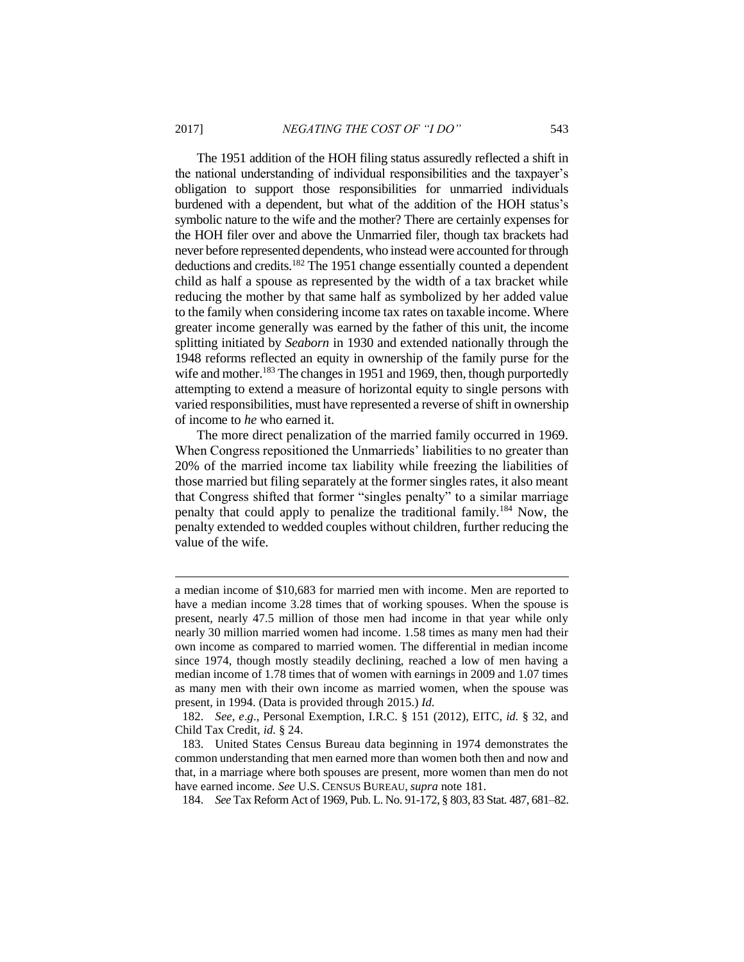The 1951 addition of the HOH filing status assuredly reflected a shift in the national understanding of individual responsibilities and the taxpayer's obligation to support those responsibilities for unmarried individuals burdened with a dependent, but what of the addition of the HOH status's symbolic nature to the wife and the mother? There are certainly expenses for the HOH filer over and above the Unmarried filer, though tax brackets had never before represented dependents, who instead were accounted for through deductions and credits.<sup>182</sup> The 1951 change essentially counted a dependent child as half a spouse as represented by the width of a tax bracket while reducing the mother by that same half as symbolized by her added value to the family when considering income tax rates on taxable income. Where greater income generally was earned by the father of this unit, the income splitting initiated by *Seaborn* in 1930 and extended nationally through the 1948 reforms reflected an equity in ownership of the family purse for the wife and mother.<sup>183</sup> The changes in 1951 and 1969, then, though purportedly attempting to extend a measure of horizontal equity to single persons with varied responsibilities, must have represented a reverse of shift in ownership of income to *he* who earned it.

The more direct penalization of the married family occurred in 1969. When Congress repositioned the Unmarrieds' liabilities to no greater than 20% of the married income tax liability while freezing the liabilities of those married but filing separately at the former singles rates, it also meant that Congress shifted that former "singles penalty" to a similar marriage penalty that could apply to penalize the traditional family.<sup>184</sup> Now, the penalty extended to wedded couples without children, further reducing the value of the wife.

a median income of \$10,683 for married men with income. Men are reported to have a median income 3.28 times that of working spouses. When the spouse is present, nearly 47.5 million of those men had income in that year while only nearly 30 million married women had income. 1.58 times as many men had their own income as compared to married women. The differential in median income since 1974, though mostly steadily declining, reached a low of men having a median income of 1.78 times that of women with earnings in 2009 and 1.07 times as many men with their own income as married women, when the spouse was present, in 1994. (Data is provided through 2015.) *Id.*

<sup>182.</sup> *See, e*.*g*., Personal Exemption, I.R.C. § 151 (2012), EITC, *id.* § 32, and Child Tax Credit, *id.* § 24.

<sup>183.</sup> United States Census Bureau data beginning in 1974 demonstrates the common understanding that men earned more than women both then and now and that, in a marriage where both spouses are present, more women than men do not have earned income. *See* U.S. CENSUS BUREAU, *supra* note 181.

<sup>184.</sup> *See* Tax Reform Act of 1969, Pub. L. No. 91-172, § 803, 83 Stat. 487, 681–82.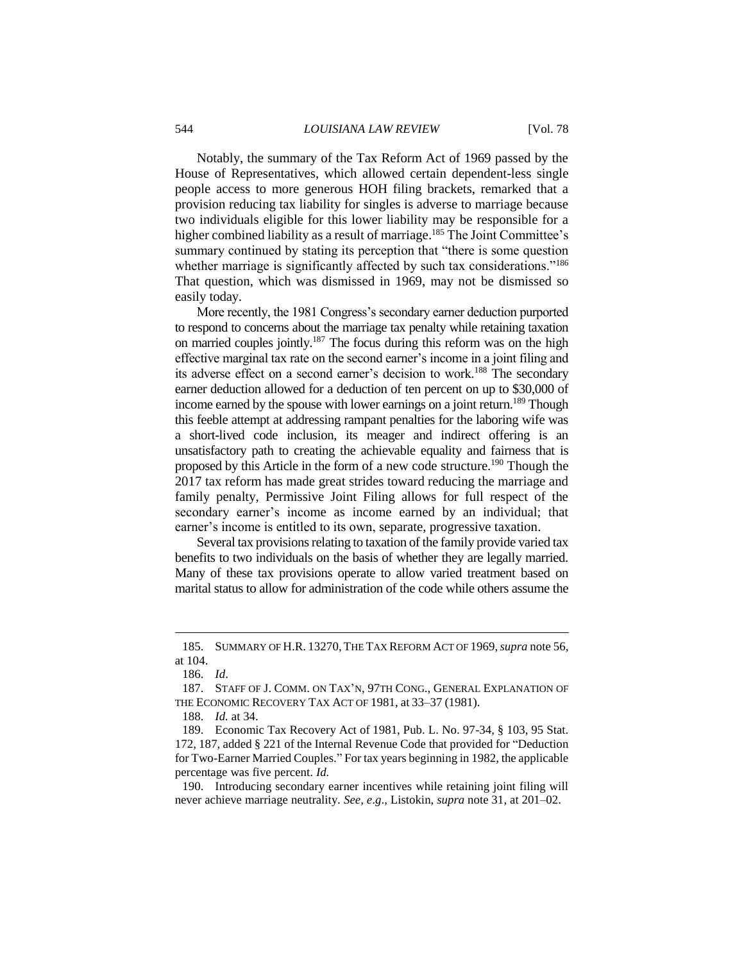Notably, the summary of the Tax Reform Act of 1969 passed by the House of Representatives, which allowed certain dependent-less single people access to more generous HOH filing brackets, remarked that a provision reducing tax liability for singles is adverse to marriage because two individuals eligible for this lower liability may be responsible for a higher combined liability as a result of marriage.<sup>185</sup> The Joint Committee's summary continued by stating its perception that "there is some question whether marriage is significantly affected by such tax considerations."<sup>186</sup> That question, which was dismissed in 1969, may not be dismissed so easily today.

More recently, the 1981 Congress's secondary earner deduction purported to respond to concerns about the marriage tax penalty while retaining taxation on married couples jointly.<sup>187</sup> The focus during this reform was on the high effective marginal tax rate on the second earner's income in a joint filing and its adverse effect on a second earner's decision to work.<sup>188</sup> The secondary earner deduction allowed for a deduction of ten percent on up to \$30,000 of income earned by the spouse with lower earnings on a joint return.<sup>189</sup> Though this feeble attempt at addressing rampant penalties for the laboring wife was a short-lived code inclusion, its meager and indirect offering is an unsatisfactory path to creating the achievable equality and fairness that is proposed by this Article in the form of a new code structure.<sup>190</sup> Though the 2017 tax reform has made great strides toward reducing the marriage and family penalty, Permissive Joint Filing allows for full respect of the secondary earner's income as income earned by an individual; that earner's income is entitled to its own, separate, progressive taxation.

Several tax provisions relating to taxation of the family provide varied tax benefits to two individuals on the basis of whether they are legally married. Many of these tax provisions operate to allow varied treatment based on marital status to allow for administration of the code while others assume the

<sup>185.</sup> SUMMARY OF H.R. 13270,THE TAX REFORM ACT OF 1969,*supra* note 56, at 104.

<sup>186.</sup> *Id*.

<sup>187.</sup> STAFF OF J. COMM. ON TAX'N, 97TH CONG., GENERAL EXPLANATION OF THE ECONOMIC RECOVERY TAX ACT OF 1981, at 33–37 (1981).

<sup>188.</sup> *Id.* at 34.

<sup>189.</sup> Economic Tax Recovery Act of 1981, Pub. L. No. 97-34, § 103, 95 Stat. 172, 187, added § 221 of the Internal Revenue Code that provided for "Deduction for Two-Earner Married Couples." For tax years beginning in 1982, the applicable percentage was five percent. *Id.*

<sup>190.</sup> Introducing secondary earner incentives while retaining joint filing will never achieve marriage neutrality. *See, e*.*g*., Listokin, *supra* note 31, at 201–02.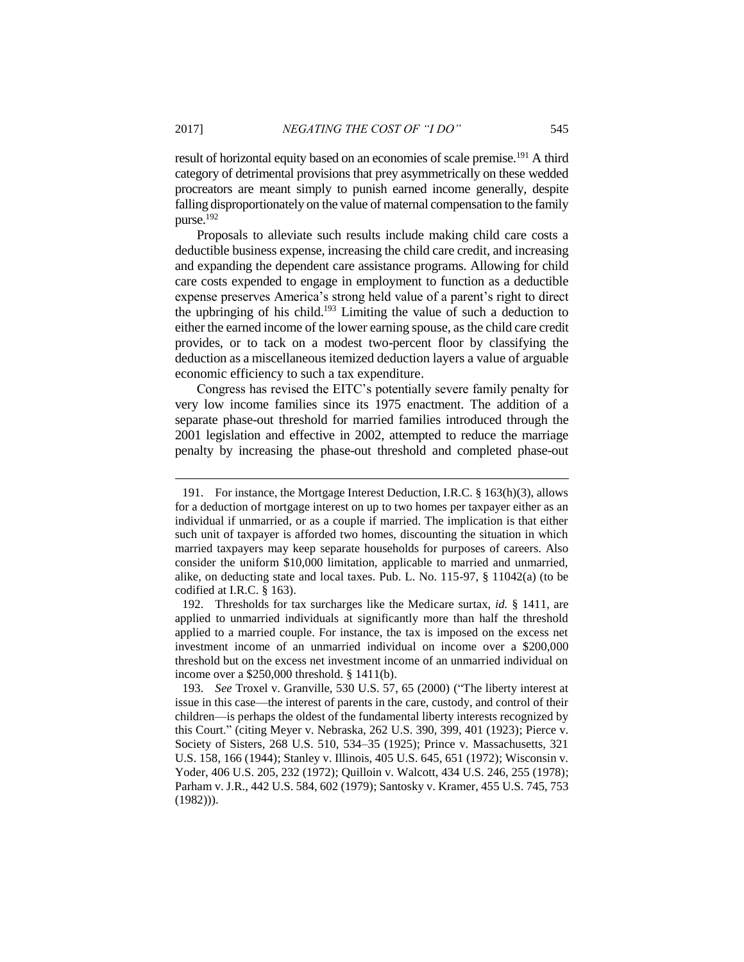result of horizontal equity based on an economies of scale premise.<sup>191</sup> A third category of detrimental provisions that prey asymmetrically on these wedded procreators are meant simply to punish earned income generally, despite falling disproportionately on the value of maternal compensation to the family purse.<sup>192</sup>

Proposals to alleviate such results include making child care costs a deductible business expense, increasing the child care credit, and increasing and expanding the dependent care assistance programs. Allowing for child care costs expended to engage in employment to function as a deductible expense preserves America's strong held value of a parent's right to direct the upbringing of his child. <sup>193</sup> Limiting the value of such a deduction to either the earned income of the lower earning spouse, as the child care credit provides, or to tack on a modest two-percent floor by classifying the deduction as a miscellaneous itemized deduction layers a value of arguable economic efficiency to such a tax expenditure.

Congress has revised the EITC's potentially severe family penalty for very low income families since its 1975 enactment. The addition of a separate phase-out threshold for married families introduced through the 2001 legislation and effective in 2002, attempted to reduce the marriage penalty by increasing the phase-out threshold and completed phase-out

<sup>191.</sup> For instance, the Mortgage Interest Deduction, I.R.C. § 163(h)(3), allows for a deduction of mortgage interest on up to two homes per taxpayer either as an individual if unmarried, or as a couple if married. The implication is that either such unit of taxpayer is afforded two homes, discounting the situation in which married taxpayers may keep separate households for purposes of careers. Also consider the uniform \$10,000 limitation, applicable to married and unmarried, alike, on deducting state and local taxes. Pub. L. No. 115-97, § 11042(a) (to be codified at I.R.C. § 163).

<sup>192.</sup> Thresholds for tax surcharges like the Medicare surtax, *id.* § 1411, are applied to unmarried individuals at significantly more than half the threshold applied to a married couple. For instance, the tax is imposed on the excess net investment income of an unmarried individual on income over a \$200,000 threshold but on the excess net investment income of an unmarried individual on income over a \$250,000 threshold. § 1411(b).

<sup>193.</sup> *See* Troxel v. Granville, 530 U.S. 57, 65 (2000) ("The liberty interest at issue in this case—the interest of parents in the care, custody, and control of their children—is perhaps the oldest of the fundamental liberty interests recognized by this Court." (citing Meyer v. Nebraska, 262 U.S. 390, 399, 401 (1923); Pierce v. Society of Sisters, 268 U.S. 510, 534–35 (1925); Prince v. Massachusetts, 321 U.S. 158, 166 (1944); Stanley v. Illinois, 405 U.S. 645, 651 (1972); Wisconsin v. Yoder, 406 U.S. 205, 232 (1972); Quilloin v. Walcott, 434 U.S. 246, 255 (1978); Parham v. J.R., 442 U.S. 584, 602 (1979); Santosky v. Kramer, 455 U.S. 745, 753 (1982))).